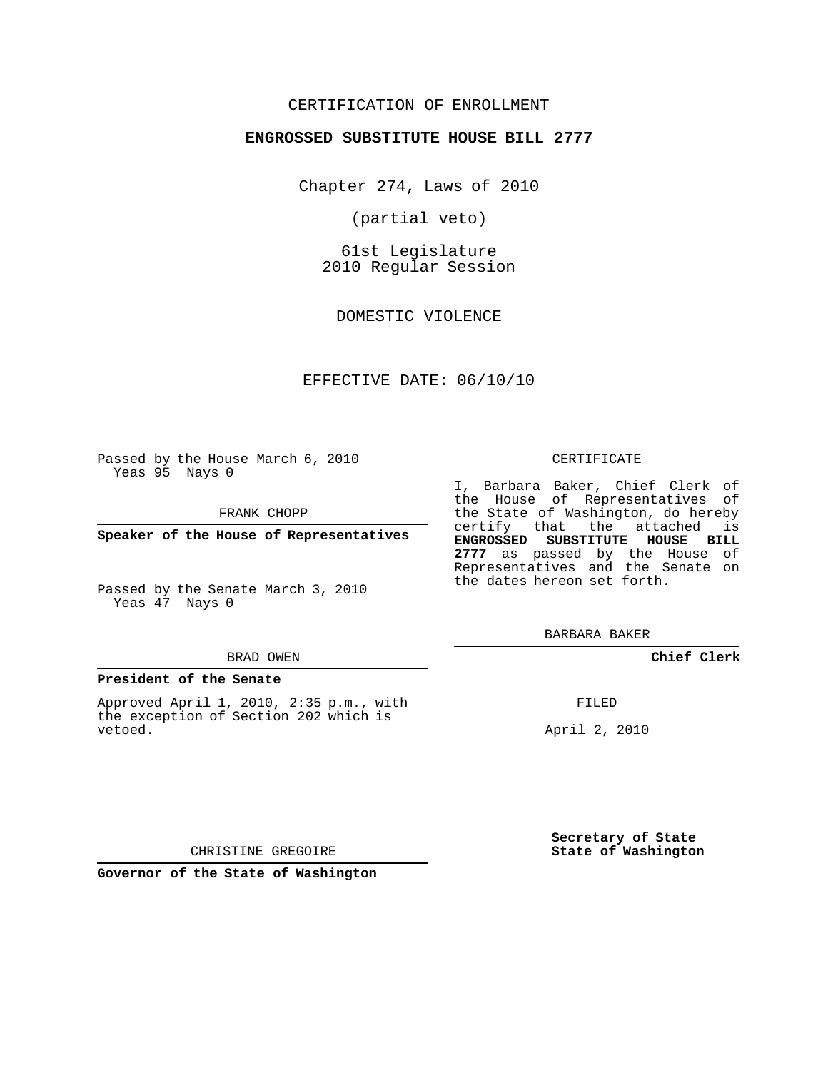## CERTIFICATION OF ENROLLMENT

## **ENGROSSED SUBSTITUTE HOUSE BILL 2777**

Chapter 274, Laws of 2010

(partial veto)

61st Legislature 2010 Regular Session

DOMESTIC VIOLENCE

## EFFECTIVE DATE: 06/10/10

Passed by the House March 6, 2010 Yeas 95 Nays 0

FRANK CHOPP

**Speaker of the House of Representatives**

Passed by the Senate March 3, 2010 Yeas 47 Nays 0

#### BRAD OWEN

### **President of the Senate**

Approved April 1, 2010, 2:35 p.m., with the exception of Section 202 which is vetoed.

#### CERTIFICATE

I, Barbara Baker, Chief Clerk of the House of Representatives of the State of Washington, do hereby certify that the attached is **ENGROSSED SUBSTITUTE HOUSE BILL 2777** as passed by the House of Representatives and the Senate on the dates hereon set forth.

BARBARA BAKER

**Chief Clerk**

FILED

April 2, 2010

**Secretary of State State of Washington**

CHRISTINE GREGOIRE

**Governor of the State of Washington**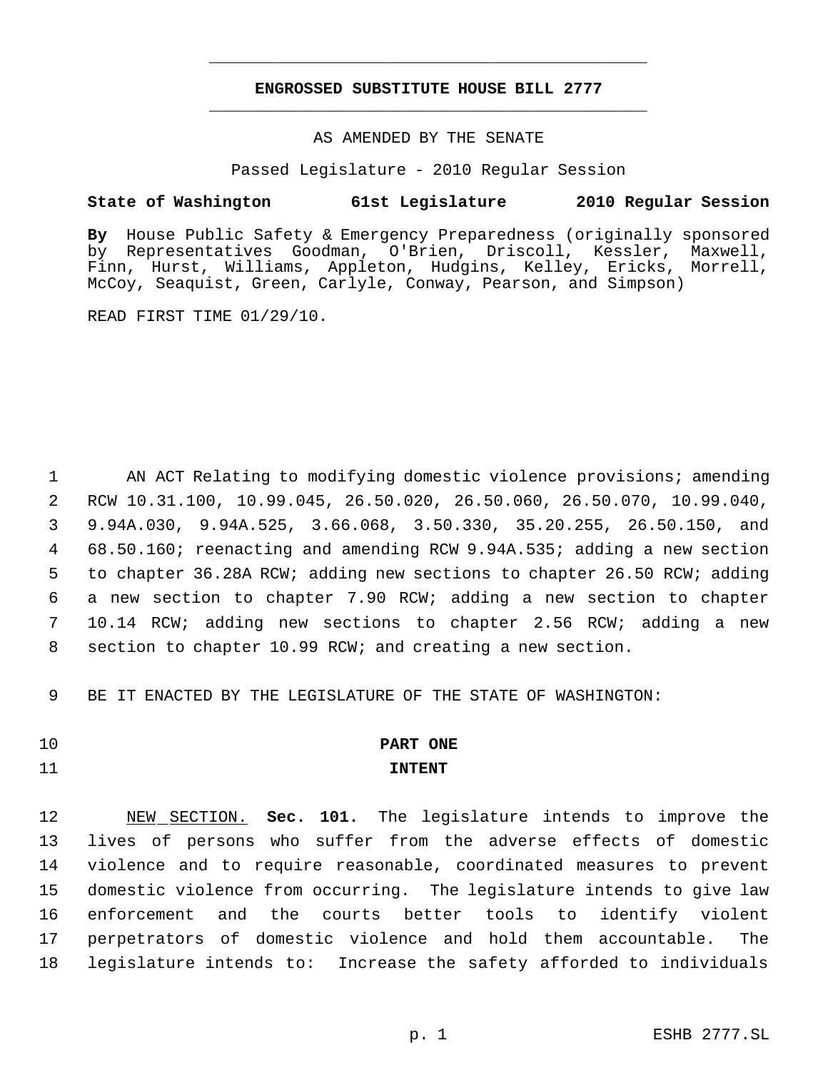## **ENGROSSED SUBSTITUTE HOUSE BILL 2777** \_\_\_\_\_\_\_\_\_\_\_\_\_\_\_\_\_\_\_\_\_\_\_\_\_\_\_\_\_\_\_\_\_\_\_\_\_\_\_\_\_\_\_\_\_

\_\_\_\_\_\_\_\_\_\_\_\_\_\_\_\_\_\_\_\_\_\_\_\_\_\_\_\_\_\_\_\_\_\_\_\_\_\_\_\_\_\_\_\_\_

## AS AMENDED BY THE SENATE

Passed Legislature - 2010 Regular Session

## **State of Washington 61st Legislature 2010 Regular Session**

**By** House Public Safety & Emergency Preparedness (originally sponsored by Representatives Goodman, O'Brien, Driscoll, Kessler, Maxwell, Finn, Hurst, Williams, Appleton, Hudgins, Kelley, Ericks, Morrell, McCoy, Seaquist, Green, Carlyle, Conway, Pearson, and Simpson)

READ FIRST TIME 01/29/10.

1 AN ACT Relating to modifying domestic violence provisions; amending RCW 10.31.100, 10.99.045, 26.50.020, 26.50.060, 26.50.070, 10.99.040, 9.94A.030, 9.94A.525, 3.66.068, 3.50.330, 35.20.255, 26.50.150, and 68.50.160; reenacting and amending RCW 9.94A.535; adding a new section to chapter 36.28A RCW; adding new sections to chapter 26.50 RCW; adding a new section to chapter 7.90 RCW; adding a new section to chapter 10.14 RCW; adding new sections to chapter 2.56 RCW; adding a new section to chapter 10.99 RCW; and creating a new section.

9 BE IT ENACTED BY THE LEGISLATURE OF THE STATE OF WASHINGTON:

# 10 **PART ONE**

## 11 **INTENT**

 NEW SECTION. **Sec. 101.** The legislature intends to improve the lives of persons who suffer from the adverse effects of domestic violence and to require reasonable, coordinated measures to prevent domestic violence from occurring. The legislature intends to give law enforcement and the courts better tools to identify violent perpetrators of domestic violence and hold them accountable. The legislature intends to: Increase the safety afforded to individuals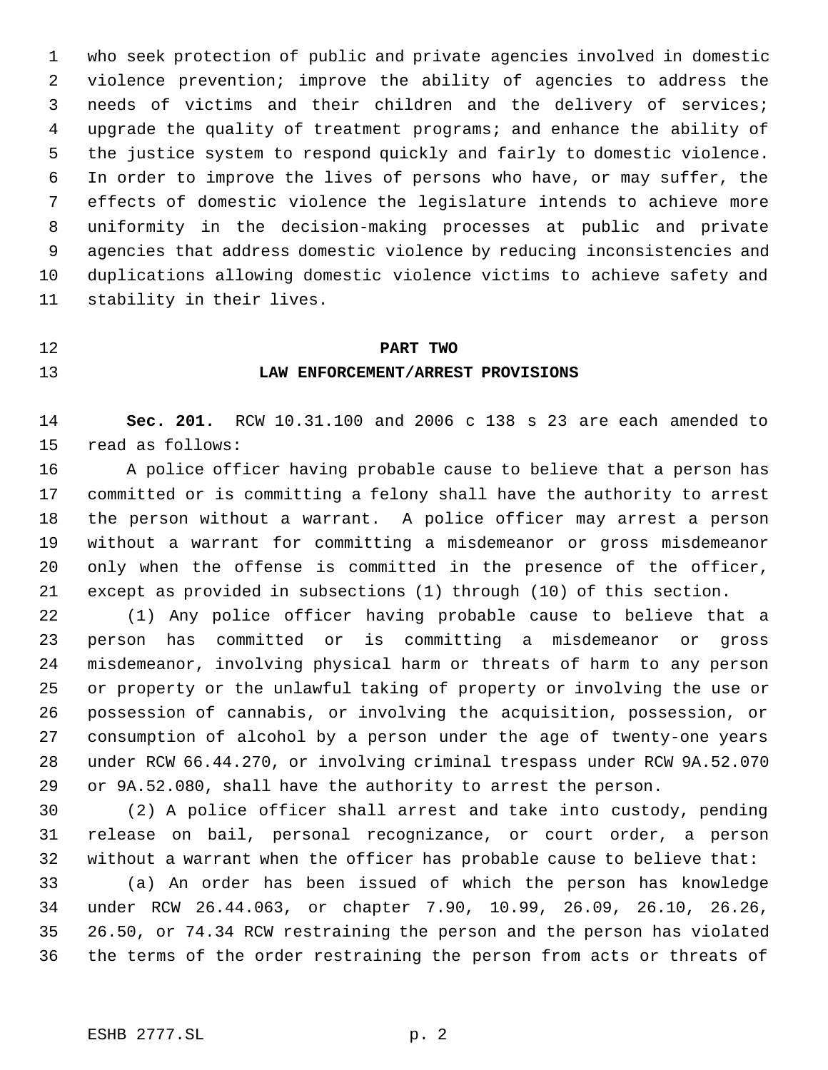who seek protection of public and private agencies involved in domestic violence prevention; improve the ability of agencies to address the needs of victims and their children and the delivery of services; upgrade the quality of treatment programs; and enhance the ability of the justice system to respond quickly and fairly to domestic violence. In order to improve the lives of persons who have, or may suffer, the effects of domestic violence the legislature intends to achieve more uniformity in the decision-making processes at public and private agencies that address domestic violence by reducing inconsistencies and duplications allowing domestic violence victims to achieve safety and stability in their lives.

# **PART TWO LAW ENFORCEMENT/ARREST PROVISIONS**

 **Sec. 201.** RCW 10.31.100 and 2006 c 138 s 23 are each amended to read as follows:

 A police officer having probable cause to believe that a person has committed or is committing a felony shall have the authority to arrest the person without a warrant. A police officer may arrest a person without a warrant for committing a misdemeanor or gross misdemeanor only when the offense is committed in the presence of the officer, except as provided in subsections (1) through (10) of this section.

 (1) Any police officer having probable cause to believe that a person has committed or is committing a misdemeanor or gross misdemeanor, involving physical harm or threats of harm to any person or property or the unlawful taking of property or involving the use or possession of cannabis, or involving the acquisition, possession, or consumption of alcohol by a person under the age of twenty-one years under RCW 66.44.270, or involving criminal trespass under RCW 9A.52.070 or 9A.52.080, shall have the authority to arrest the person.

 (2) A police officer shall arrest and take into custody, pending release on bail, personal recognizance, or court order, a person without a warrant when the officer has probable cause to believe that:

 (a) An order has been issued of which the person has knowledge under RCW 26.44.063, or chapter 7.90, 10.99, 26.09, 26.10, 26.26, 26.50, or 74.34 RCW restraining the person and the person has violated the terms of the order restraining the person from acts or threats of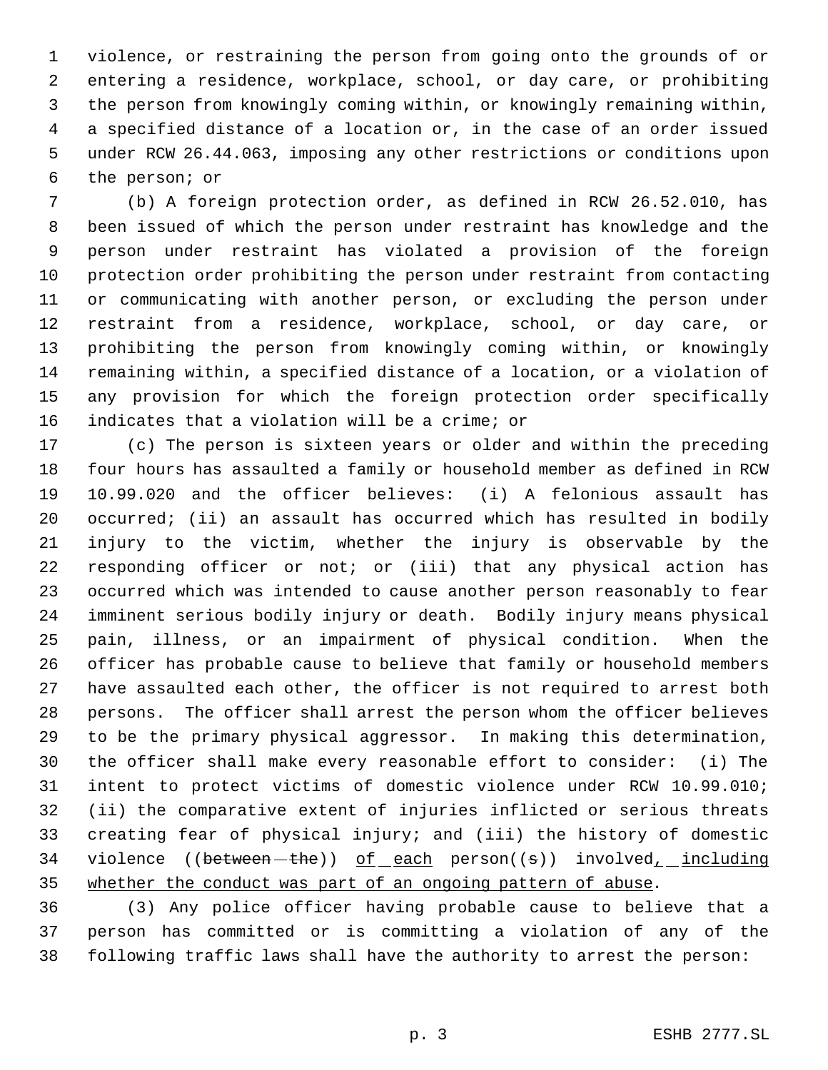violence, or restraining the person from going onto the grounds of or entering a residence, workplace, school, or day care, or prohibiting the person from knowingly coming within, or knowingly remaining within, a specified distance of a location or, in the case of an order issued under RCW 26.44.063, imposing any other restrictions or conditions upon the person; or

 (b) A foreign protection order, as defined in RCW 26.52.010, has been issued of which the person under restraint has knowledge and the person under restraint has violated a provision of the foreign protection order prohibiting the person under restraint from contacting or communicating with another person, or excluding the person under restraint from a residence, workplace, school, or day care, or prohibiting the person from knowingly coming within, or knowingly remaining within, a specified distance of a location, or a violation of any provision for which the foreign protection order specifically indicates that a violation will be a crime; or

 (c) The person is sixteen years or older and within the preceding four hours has assaulted a family or household member as defined in RCW 10.99.020 and the officer believes: (i) A felonious assault has occurred; (ii) an assault has occurred which has resulted in bodily injury to the victim, whether the injury is observable by the responding officer or not; or (iii) that any physical action has occurred which was intended to cause another person reasonably to fear imminent serious bodily injury or death. Bodily injury means physical pain, illness, or an impairment of physical condition. When the officer has probable cause to believe that family or household members have assaulted each other, the officer is not required to arrest both persons. The officer shall arrest the person whom the officer believes to be the primary physical aggressor. In making this determination, the officer shall make every reasonable effort to consider: (i) The intent to protect victims of domestic violence under RCW 10.99.010; (ii) the comparative extent of injuries inflicted or serious threats creating fear of physical injury; and (iii) the history of domestic 34 violence (( $between - the$ )) of each person( $(s)$ ) involved<sub>1</sub> including 35 whether the conduct was part of an ongoing pattern of abuse.

 (3) Any police officer having probable cause to believe that a person has committed or is committing a violation of any of the following traffic laws shall have the authority to arrest the person: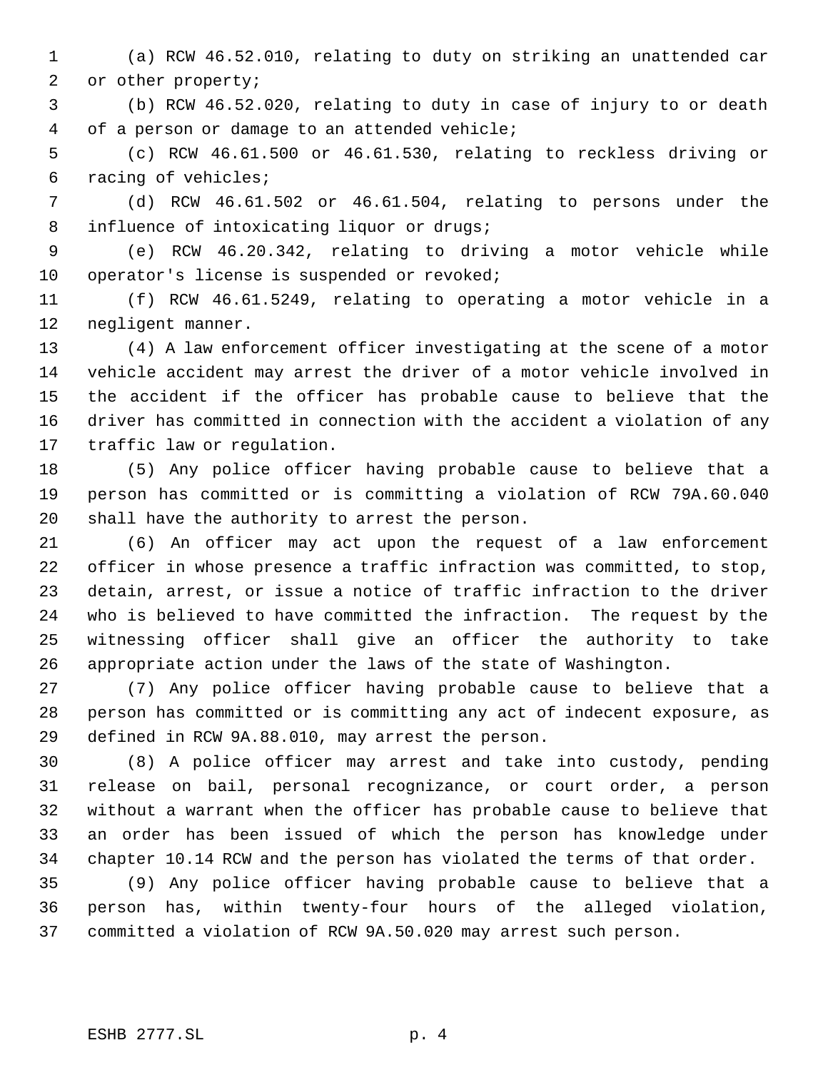(a) RCW 46.52.010, relating to duty on striking an unattended car or other property;

 (b) RCW 46.52.020, relating to duty in case of injury to or death of a person or damage to an attended vehicle;

 (c) RCW 46.61.500 or 46.61.530, relating to reckless driving or racing of vehicles;

 (d) RCW 46.61.502 or 46.61.504, relating to persons under the 8 influence of intoxicating liquor or drugs;

 (e) RCW 46.20.342, relating to driving a motor vehicle while 10 operator's license is suspended or revoked;

 (f) RCW 46.61.5249, relating to operating a motor vehicle in a negligent manner.

 (4) A law enforcement officer investigating at the scene of a motor vehicle accident may arrest the driver of a motor vehicle involved in the accident if the officer has probable cause to believe that the driver has committed in connection with the accident a violation of any traffic law or regulation.

 (5) Any police officer having probable cause to believe that a person has committed or is committing a violation of RCW 79A.60.040 shall have the authority to arrest the person.

 (6) An officer may act upon the request of a law enforcement officer in whose presence a traffic infraction was committed, to stop, detain, arrest, or issue a notice of traffic infraction to the driver who is believed to have committed the infraction. The request by the witnessing officer shall give an officer the authority to take appropriate action under the laws of the state of Washington.

 (7) Any police officer having probable cause to believe that a person has committed or is committing any act of indecent exposure, as defined in RCW 9A.88.010, may arrest the person.

 (8) A police officer may arrest and take into custody, pending release on bail, personal recognizance, or court order, a person without a warrant when the officer has probable cause to believe that an order has been issued of which the person has knowledge under chapter 10.14 RCW and the person has violated the terms of that order.

 (9) Any police officer having probable cause to believe that a person has, within twenty-four hours of the alleged violation, committed a violation of RCW 9A.50.020 may arrest such person.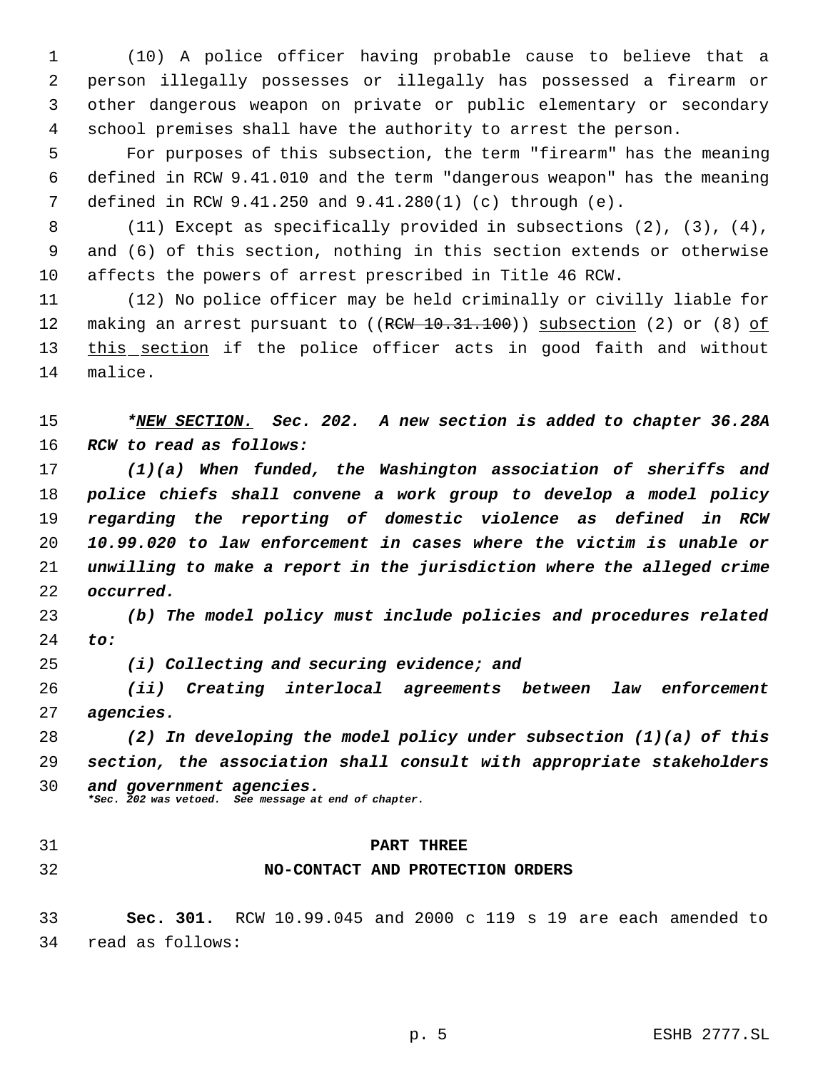(10) A police officer having probable cause to believe that a person illegally possesses or illegally has possessed a firearm or other dangerous weapon on private or public elementary or secondary school premises shall have the authority to arrest the person.

 For purposes of this subsection, the term "firearm" has the meaning defined in RCW 9.41.010 and the term "dangerous weapon" has the meaning defined in RCW 9.41.250 and 9.41.280(1) (c) through (e).

 (11) Except as specifically provided in subsections (2), (3), (4), and (6) of this section, nothing in this section extends or otherwise affects the powers of arrest prescribed in Title 46 RCW.

 (12) No police officer may be held criminally or civilly liable for 12 making an arrest pursuant to ((RCW 10.31.100)) subsection (2) or (8) of 13 this section if the police officer acts in good faith and without malice.

 *\*NEW SECTION. Sec. 202. A new section is added to chapter 36.28A RCW to read as follows:*

 *(1)(a) When funded, the Washington association of sheriffs and police chiefs shall convene a work group to develop a model policy regarding the reporting of domestic violence as defined in RCW 10.99.020 to law enforcement in cases where the victim is unable or unwilling to make a report in the jurisdiction where the alleged crime occurred.*

 *(b) The model policy must include policies and procedures related to:*

*(i) Collecting and securing evidence; and*

 *(ii) Creating interlocal agreements between law enforcement agencies.*

 *(2) In developing the model policy under subsection (1)(a) of this section, the association shall consult with appropriate stakeholders and government agencies.*

*\*Sec. 202 was vetoed. See message at end of chapter.*

## **PART THREE**

## **NO-CONTACT AND PROTECTION ORDERS**

 **Sec. 301.** RCW 10.99.045 and 2000 c 119 s 19 are each amended to read as follows: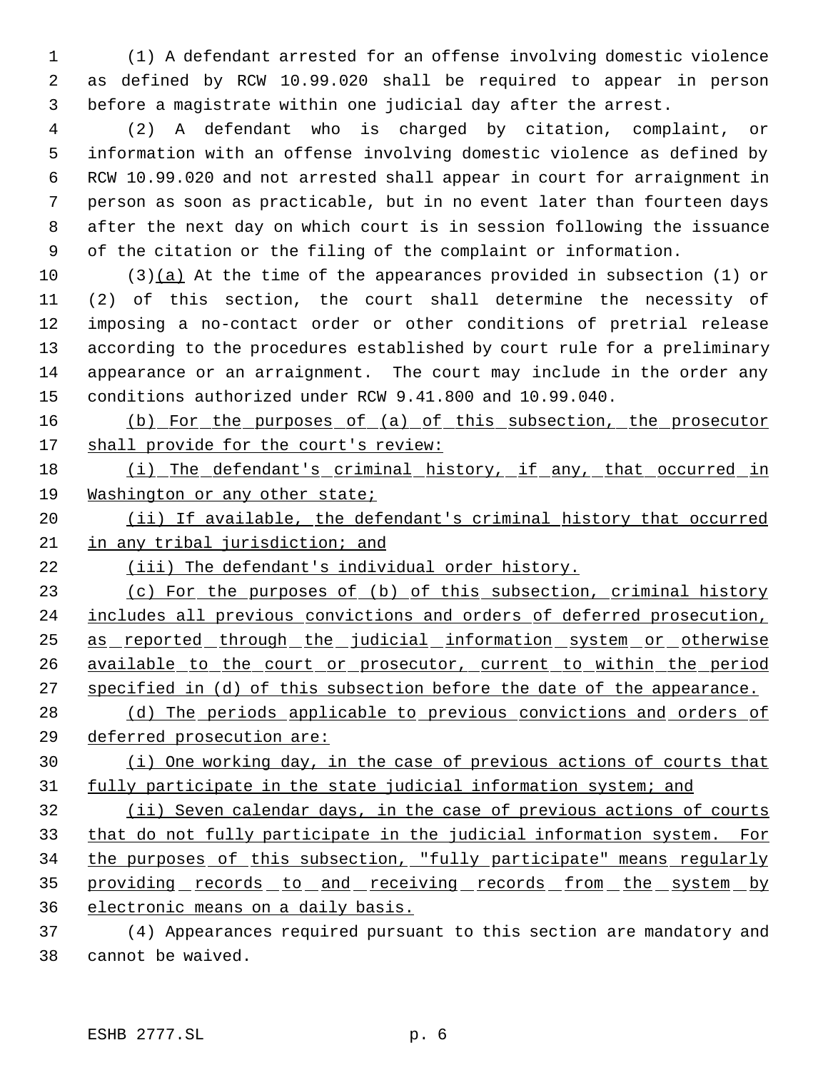(1) A defendant arrested for an offense involving domestic violence as defined by RCW 10.99.020 shall be required to appear in person before a magistrate within one judicial day after the arrest.

 (2) A defendant who is charged by citation, complaint, or information with an offense involving domestic violence as defined by RCW 10.99.020 and not arrested shall appear in court for arraignment in person as soon as practicable, but in no event later than fourteen days after the next day on which court is in session following the issuance of the citation or the filing of the complaint or information.

 (3)(a) At the time of the appearances provided in subsection (1) or (2) of this section, the court shall determine the necessity of imposing a no-contact order or other conditions of pretrial release according to the procedures established by court rule for a preliminary appearance or an arraignment. The court may include in the order any conditions authorized under RCW 9.41.800 and 10.99.040.

 (b) For the purposes of (a) of this subsection, the prosecutor 17 shall provide for the court's review:

18 (i) The defendant's criminal history, if any, that occurred in Washington or any other state;

20 (ii) If available, the defendant's criminal history that occurred in any tribal jurisdiction; and

(iii) The defendant's individual order history.

23 (c) For the purposes of (b) of this subsection, criminal history 24 includes all previous convictions and orders of deferred prosecution, 25 as reported through the judicial information system or otherwise 26 available to the court or prosecutor, current to within the period specified in (d) of this subsection before the date of the appearance.

28 (d) The periods applicable to previous convictions and orders of deferred prosecution are:

 (i) One working day, in the case of previous actions of courts that 31 fully participate in the state judicial information system; and

 (ii) Seven calendar days, in the case of previous actions of courts that do not fully participate in the judicial information system. For the purposes of this subsection, "fully participate" means regularly 35 providing records to and receiving records from the system by electronic means on a daily basis.

 (4) Appearances required pursuant to this section are mandatory and cannot be waived.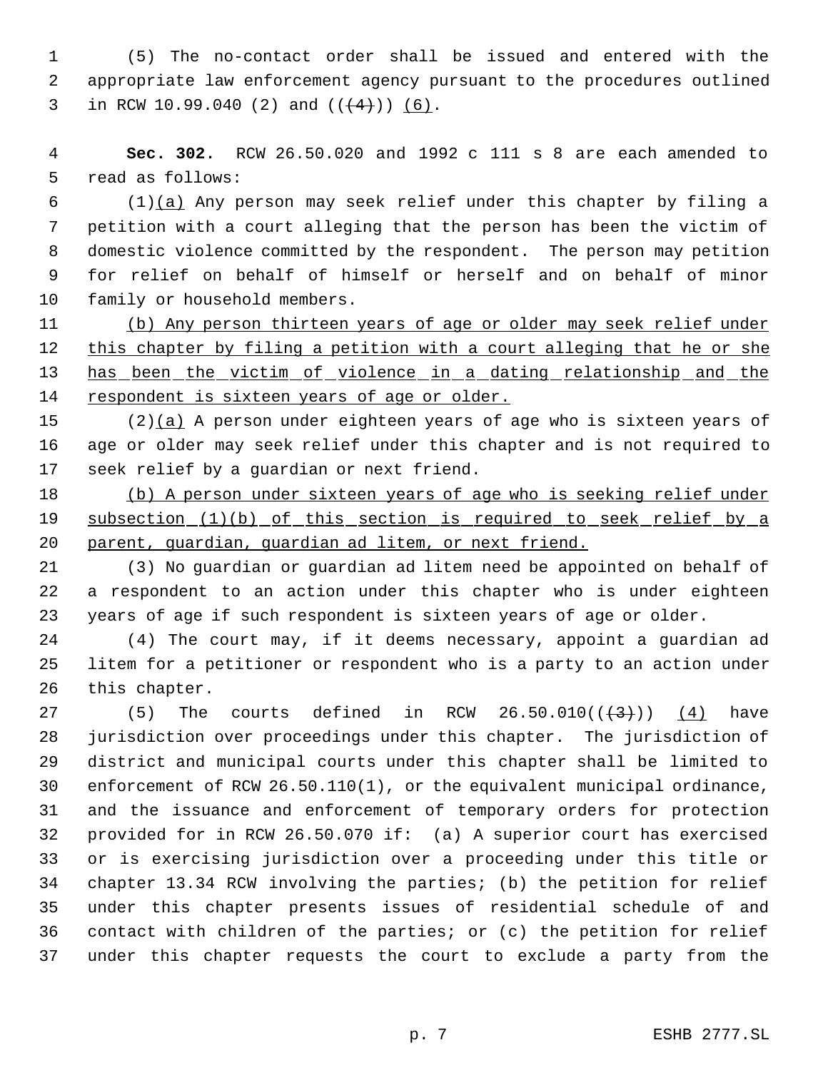(5) The no-contact order shall be issued and entered with the appropriate law enforcement agency pursuant to the procedures outlined 3 in RCW 10.99.040 (2) and  $((+4))$  (6).

 **Sec. 302.** RCW 26.50.020 and 1992 c 111 s 8 are each amended to read as follows:

 (1)(a) Any person may seek relief under this chapter by filing a petition with a court alleging that the person has been the victim of domestic violence committed by the respondent. The person may petition for relief on behalf of himself or herself and on behalf of minor family or household members.

 (b) Any person thirteen years of age or older may seek relief under 12 this chapter by filing a petition with a court alleging that he or she has been the victim of violence in a dating relationship and the 14 respondent is sixteen years of age or older.

15 (2)(a) A person under eighteen years of age who is sixteen years of age or older may seek relief under this chapter and is not required to seek relief by a guardian or next friend.

18 (b) A person under sixteen years of age who is seeking relief under 19 subsection (1)(b) of this section is required to seek relief by a parent, guardian, guardian ad litem, or next friend.

 (3) No guardian or guardian ad litem need be appointed on behalf of a respondent to an action under this chapter who is under eighteen years of age if such respondent is sixteen years of age or older.

 (4) The court may, if it deems necessary, appoint a guardian ad litem for a petitioner or respondent who is a party to an action under this chapter.

27 (5) The courts defined in RCW  $26.50.010((\frac{4}{3})) (4)$  have jurisdiction over proceedings under this chapter. The jurisdiction of district and municipal courts under this chapter shall be limited to enforcement of RCW 26.50.110(1), or the equivalent municipal ordinance, and the issuance and enforcement of temporary orders for protection provided for in RCW 26.50.070 if: (a) A superior court has exercised or is exercising jurisdiction over a proceeding under this title or chapter 13.34 RCW involving the parties; (b) the petition for relief under this chapter presents issues of residential schedule of and contact with children of the parties; or (c) the petition for relief under this chapter requests the court to exclude a party from the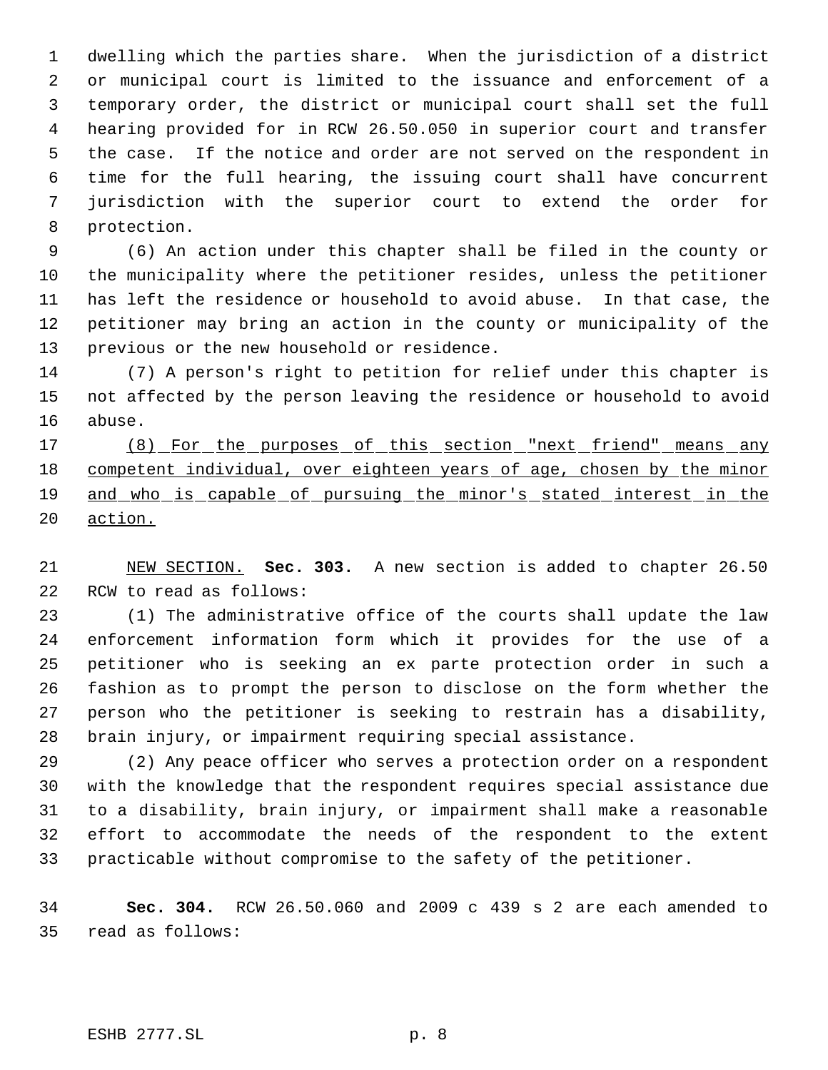dwelling which the parties share. When the jurisdiction of a district or municipal court is limited to the issuance and enforcement of a temporary order, the district or municipal court shall set the full hearing provided for in RCW 26.50.050 in superior court and transfer the case. If the notice and order are not served on the respondent in time for the full hearing, the issuing court shall have concurrent jurisdiction with the superior court to extend the order for protection.

 (6) An action under this chapter shall be filed in the county or the municipality where the petitioner resides, unless the petitioner has left the residence or household to avoid abuse. In that case, the petitioner may bring an action in the county or municipality of the previous or the new household or residence.

 (7) A person's right to petition for relief under this chapter is not affected by the person leaving the residence or household to avoid abuse.

17 (8) For the purposes of this section "next friend" means any 18 competent individual, over eighteen years of age, chosen by the minor and who is capable of pursuing the minor's stated interest in the action.

 NEW SECTION. **Sec. 303.** A new section is added to chapter 26.50 RCW to read as follows:

 (1) The administrative office of the courts shall update the law enforcement information form which it provides for the use of a petitioner who is seeking an ex parte protection order in such a fashion as to prompt the person to disclose on the form whether the person who the petitioner is seeking to restrain has a disability, brain injury, or impairment requiring special assistance.

 (2) Any peace officer who serves a protection order on a respondent with the knowledge that the respondent requires special assistance due to a disability, brain injury, or impairment shall make a reasonable effort to accommodate the needs of the respondent to the extent practicable without compromise to the safety of the petitioner.

 **Sec. 304.** RCW 26.50.060 and 2009 c 439 s 2 are each amended to read as follows: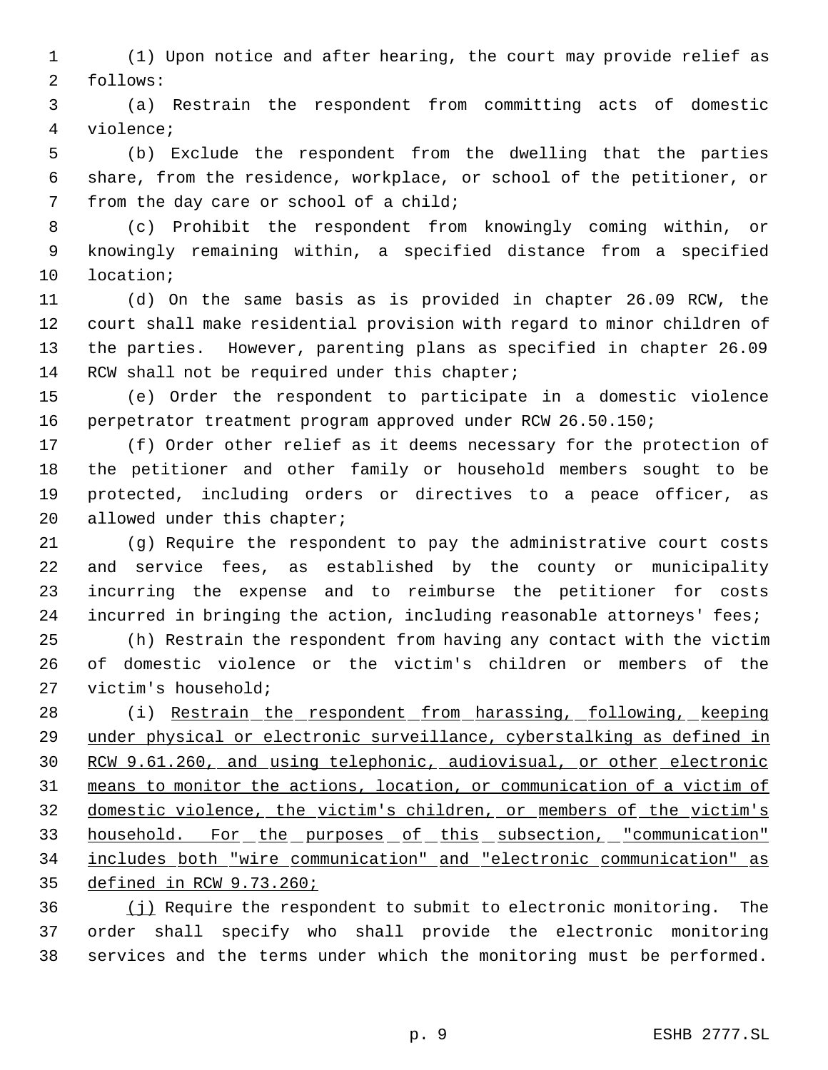(1) Upon notice and after hearing, the court may provide relief as follows:

 (a) Restrain the respondent from committing acts of domestic violence;

 (b) Exclude the respondent from the dwelling that the parties share, from the residence, workplace, or school of the petitioner, or from the day care or school of a child;

 (c) Prohibit the respondent from knowingly coming within, or knowingly remaining within, a specified distance from a specified location;

 (d) On the same basis as is provided in chapter 26.09 RCW, the court shall make residential provision with regard to minor children of the parties. However, parenting plans as specified in chapter 26.09 14 RCW shall not be required under this chapter;

 (e) Order the respondent to participate in a domestic violence perpetrator treatment program approved under RCW 26.50.150;

 (f) Order other relief as it deems necessary for the protection of the petitioner and other family or household members sought to be protected, including orders or directives to a peace officer, as 20 allowed under this chapter;

 (g) Require the respondent to pay the administrative court costs and service fees, as established by the county or municipality incurring the expense and to reimburse the petitioner for costs 24 incurred in bringing the action, including reasonable attorneys' fees;

 (h) Restrain the respondent from having any contact with the victim of domestic violence or the victim's children or members of the victim's household;

 (i) Restrain the respondent from harassing, following, keeping under physical or electronic surveillance, cyberstalking as defined in RCW 9.61.260, and using telephonic, audiovisual, or other electronic means to monitor the actions, location, or communication of a victim of domestic violence, the victim's children, or members of the victim's 33 household. For the purposes of this subsection, "communication" includes both "wire communication" and "electronic communication" as defined in RCW 9.73.260;

 (j) Require the respondent to submit to electronic monitoring. The order shall specify who shall provide the electronic monitoring services and the terms under which the monitoring must be performed.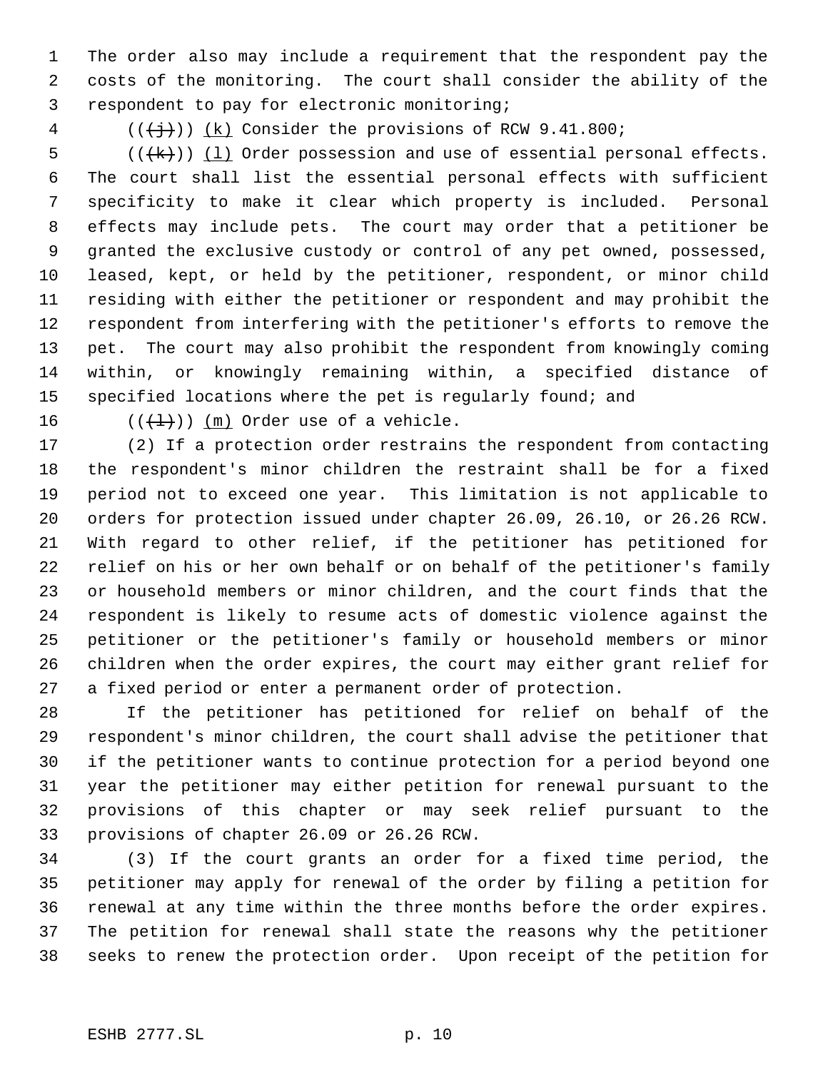The order also may include a requirement that the respondent pay the costs of the monitoring. The court shall consider the ability of the respondent to pay for electronic monitoring;

4  $((\frac{1}{2})^{\circ})$  (k) Consider the provisions of RCW 9.41.800;

 (( $(k)$ )) (1) Order possession and use of essential personal effects. The court shall list the essential personal effects with sufficient specificity to make it clear which property is included. Personal effects may include pets. The court may order that a petitioner be granted the exclusive custody or control of any pet owned, possessed, leased, kept, or held by the petitioner, respondent, or minor child residing with either the petitioner or respondent and may prohibit the respondent from interfering with the petitioner's efforts to remove the pet. The court may also prohibit the respondent from knowingly coming within, or knowingly remaining within, a specified distance of 15 specified locations where the pet is regularly found; and

16  $((+1))$   $(m)$  Order use of a vehicle.

 (2) If a protection order restrains the respondent from contacting the respondent's minor children the restraint shall be for a fixed period not to exceed one year. This limitation is not applicable to orders for protection issued under chapter 26.09, 26.10, or 26.26 RCW. With regard to other relief, if the petitioner has petitioned for relief on his or her own behalf or on behalf of the petitioner's family or household members or minor children, and the court finds that the respondent is likely to resume acts of domestic violence against the petitioner or the petitioner's family or household members or minor children when the order expires, the court may either grant relief for a fixed period or enter a permanent order of protection.

 If the petitioner has petitioned for relief on behalf of the respondent's minor children, the court shall advise the petitioner that if the petitioner wants to continue protection for a period beyond one year the petitioner may either petition for renewal pursuant to the provisions of this chapter or may seek relief pursuant to the provisions of chapter 26.09 or 26.26 RCW.

 (3) If the court grants an order for a fixed time period, the petitioner may apply for renewal of the order by filing a petition for renewal at any time within the three months before the order expires. The petition for renewal shall state the reasons why the petitioner seeks to renew the protection order. Upon receipt of the petition for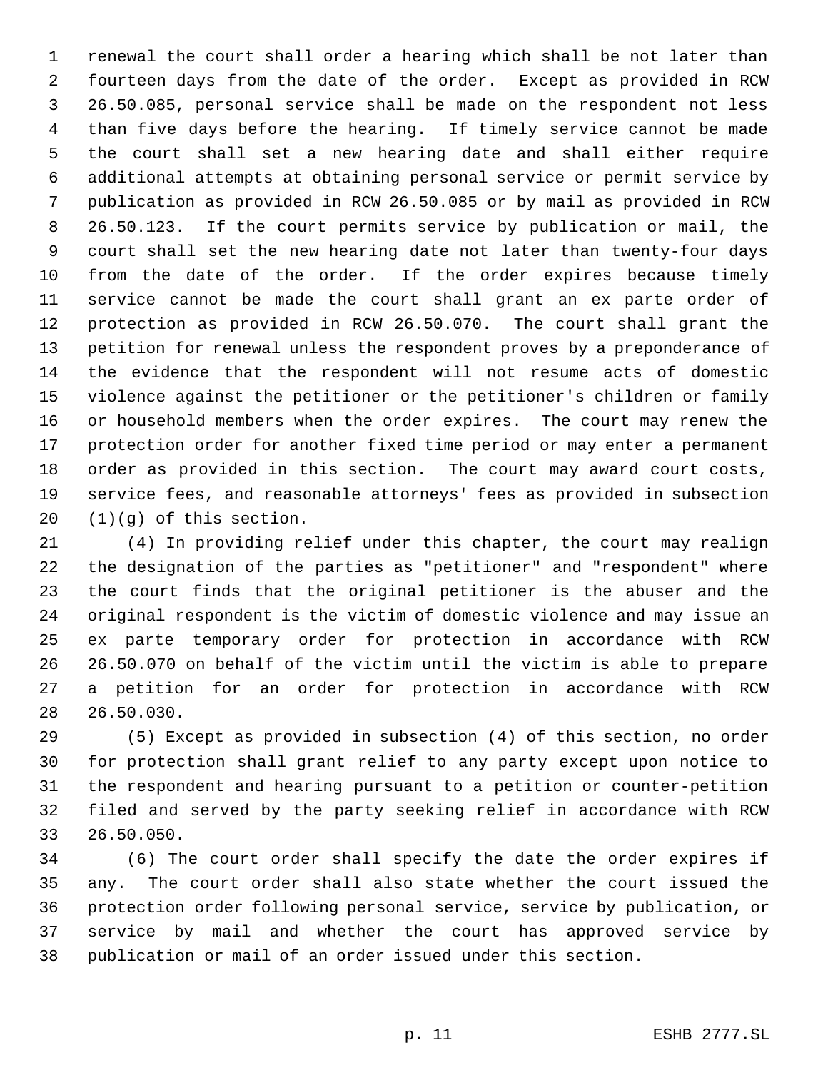renewal the court shall order a hearing which shall be not later than fourteen days from the date of the order. Except as provided in RCW 26.50.085, personal service shall be made on the respondent not less than five days before the hearing. If timely service cannot be made the court shall set a new hearing date and shall either require additional attempts at obtaining personal service or permit service by publication as provided in RCW 26.50.085 or by mail as provided in RCW 26.50.123. If the court permits service by publication or mail, the court shall set the new hearing date not later than twenty-four days from the date of the order. If the order expires because timely service cannot be made the court shall grant an ex parte order of protection as provided in RCW 26.50.070. The court shall grant the petition for renewal unless the respondent proves by a preponderance of the evidence that the respondent will not resume acts of domestic violence against the petitioner or the petitioner's children or family or household members when the order expires. The court may renew the protection order for another fixed time period or may enter a permanent order as provided in this section. The court may award court costs, service fees, and reasonable attorneys' fees as provided in subsection (1)(g) of this section.

 (4) In providing relief under this chapter, the court may realign the designation of the parties as "petitioner" and "respondent" where the court finds that the original petitioner is the abuser and the original respondent is the victim of domestic violence and may issue an ex parte temporary order for protection in accordance with RCW 26.50.070 on behalf of the victim until the victim is able to prepare a petition for an order for protection in accordance with RCW 26.50.030.

 (5) Except as provided in subsection (4) of this section, no order for protection shall grant relief to any party except upon notice to the respondent and hearing pursuant to a petition or counter-petition filed and served by the party seeking relief in accordance with RCW 26.50.050.

 (6) The court order shall specify the date the order expires if any. The court order shall also state whether the court issued the protection order following personal service, service by publication, or service by mail and whether the court has approved service by publication or mail of an order issued under this section.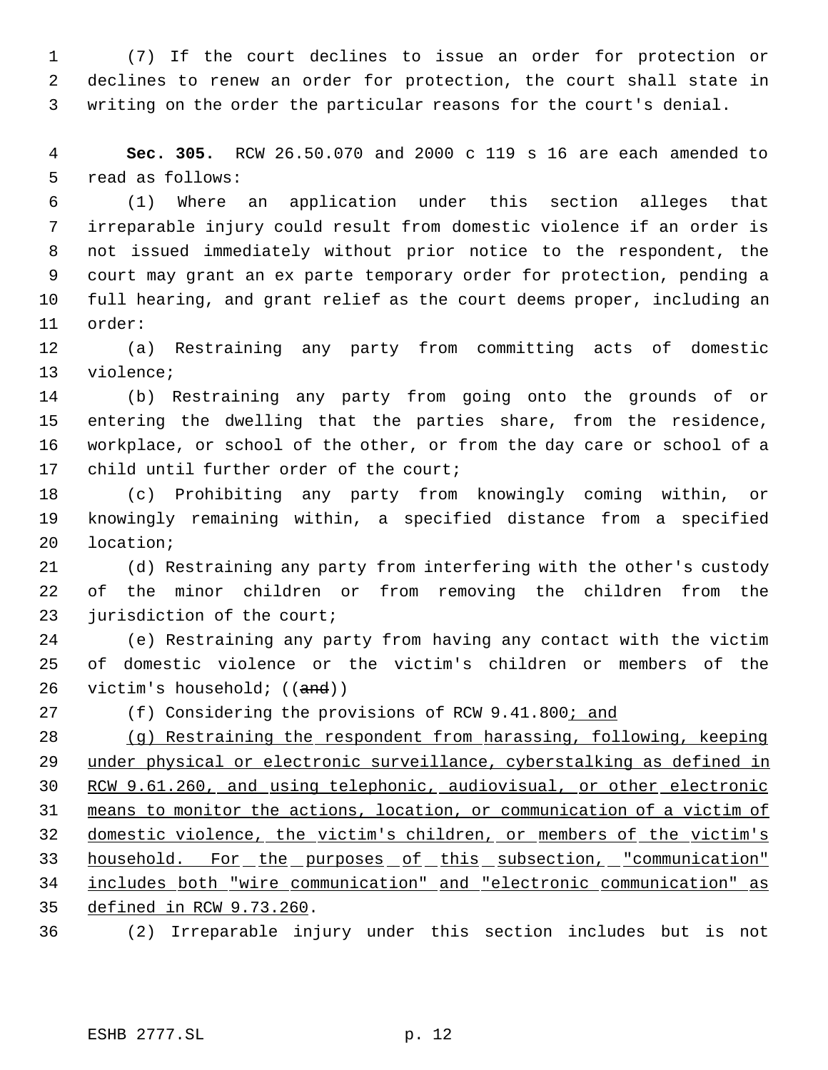(7) If the court declines to issue an order for protection or declines to renew an order for protection, the court shall state in writing on the order the particular reasons for the court's denial.

 **Sec. 305.** RCW 26.50.070 and 2000 c 119 s 16 are each amended to read as follows:

 (1) Where an application under this section alleges that irreparable injury could result from domestic violence if an order is not issued immediately without prior notice to the respondent, the court may grant an ex parte temporary order for protection, pending a full hearing, and grant relief as the court deems proper, including an order:

 (a) Restraining any party from committing acts of domestic violence;

 (b) Restraining any party from going onto the grounds of or entering the dwelling that the parties share, from the residence, workplace, or school of the other, or from the day care or school of a child until further order of the court;

 (c) Prohibiting any party from knowingly coming within, or knowingly remaining within, a specified distance from a specified location;

 (d) Restraining any party from interfering with the other's custody of the minor children or from removing the children from the 23 jurisdiction of the court;

 (e) Restraining any party from having any contact with the victim of domestic violence or the victim's children or members of the 26 victim's household;  $((and))$ 

27 (f) Considering the provisions of RCW 9.41.800; and

 (g) Restraining the respondent from harassing, following, keeping under physical or electronic surveillance, cyberstalking as defined in RCW 9.61.260, and using telephonic, audiovisual, or other electronic means to monitor the actions, location, or communication of a victim of domestic violence, the victim's children, or members of the victim's 33 household. For the purposes of this subsection, "communication" includes both "wire communication" and "electronic communication" as defined in RCW 9.73.260.

(2) Irreparable injury under this section includes but is not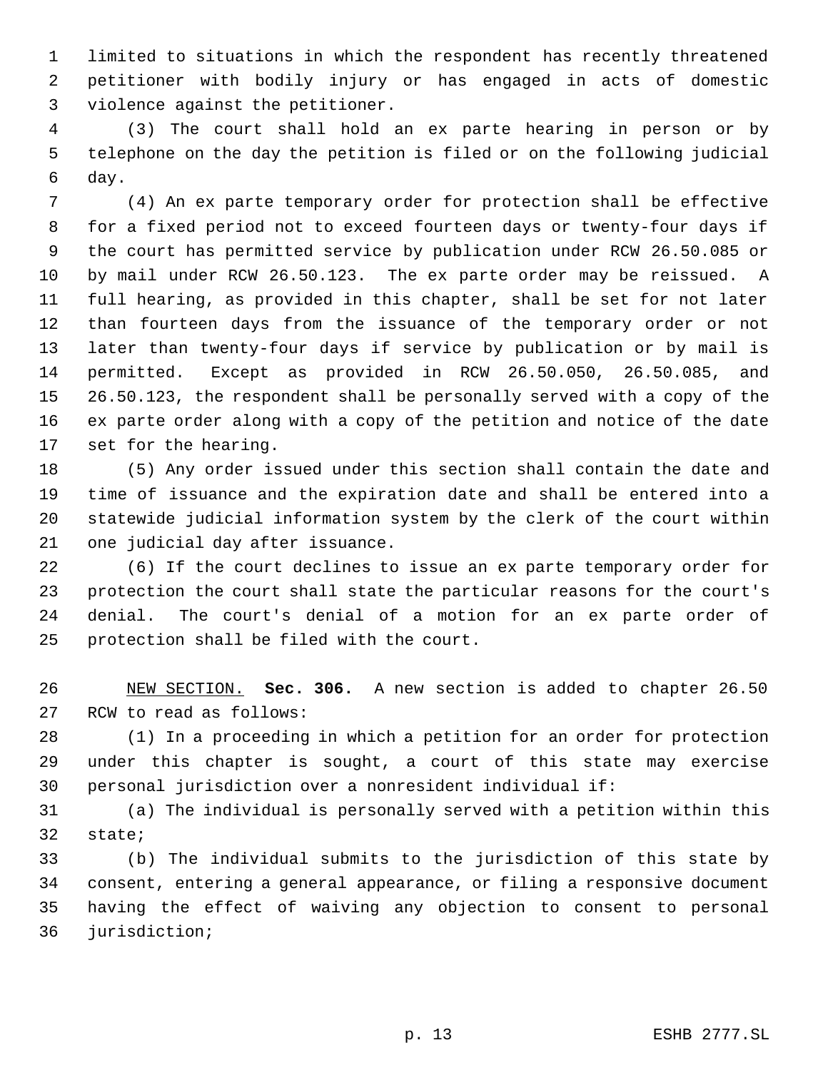limited to situations in which the respondent has recently threatened petitioner with bodily injury or has engaged in acts of domestic violence against the petitioner.

 (3) The court shall hold an ex parte hearing in person or by telephone on the day the petition is filed or on the following judicial day.

 (4) An ex parte temporary order for protection shall be effective for a fixed period not to exceed fourteen days or twenty-four days if the court has permitted service by publication under RCW 26.50.085 or by mail under RCW 26.50.123. The ex parte order may be reissued. A full hearing, as provided in this chapter, shall be set for not later than fourteen days from the issuance of the temporary order or not later than twenty-four days if service by publication or by mail is permitted. Except as provided in RCW 26.50.050, 26.50.085, and 26.50.123, the respondent shall be personally served with a copy of the ex parte order along with a copy of the petition and notice of the date set for the hearing.

 (5) Any order issued under this section shall contain the date and time of issuance and the expiration date and shall be entered into a statewide judicial information system by the clerk of the court within one judicial day after issuance.

 (6) If the court declines to issue an ex parte temporary order for protection the court shall state the particular reasons for the court's denial. The court's denial of a motion for an ex parte order of protection shall be filed with the court.

 NEW SECTION. **Sec. 306.** A new section is added to chapter 26.50 RCW to read as follows:

 (1) In a proceeding in which a petition for an order for protection under this chapter is sought, a court of this state may exercise personal jurisdiction over a nonresident individual if:

 (a) The individual is personally served with a petition within this state;

 (b) The individual submits to the jurisdiction of this state by consent, entering a general appearance, or filing a responsive document having the effect of waiving any objection to consent to personal jurisdiction;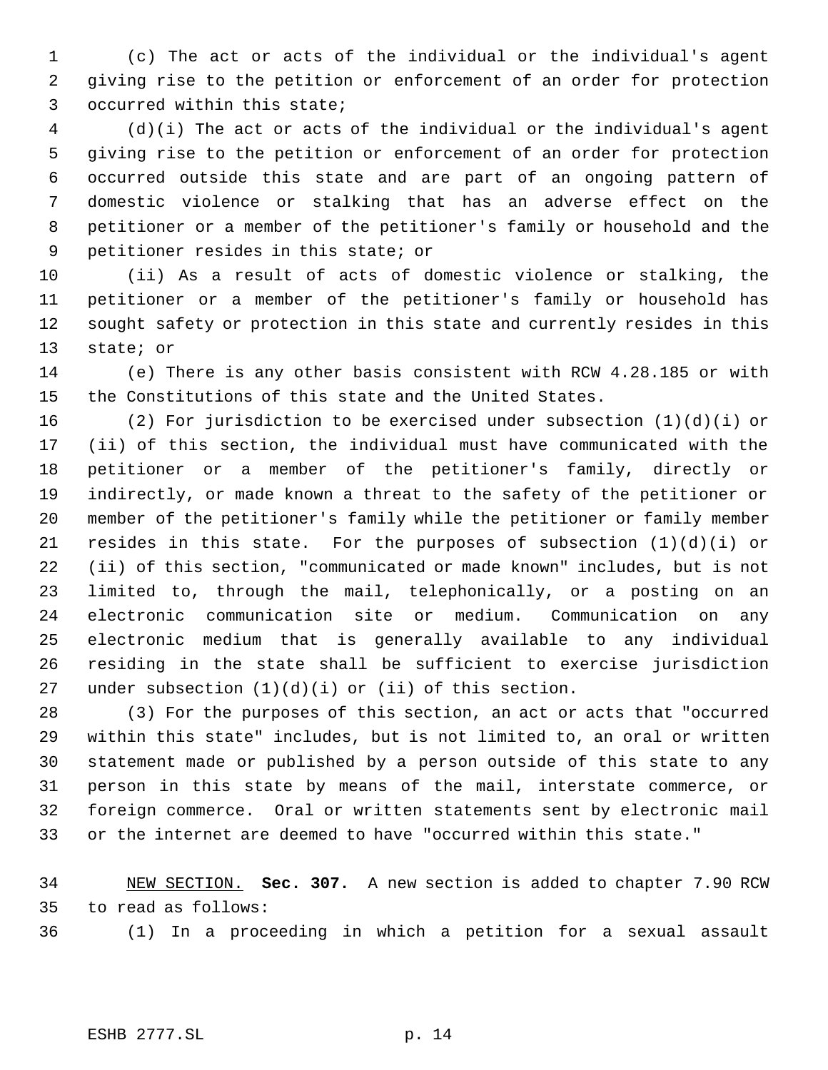(c) The act or acts of the individual or the individual's agent giving rise to the petition or enforcement of an order for protection occurred within this state;

 (d)(i) The act or acts of the individual or the individual's agent giving rise to the petition or enforcement of an order for protection occurred outside this state and are part of an ongoing pattern of domestic violence or stalking that has an adverse effect on the petitioner or a member of the petitioner's family or household and the petitioner resides in this state; or

 (ii) As a result of acts of domestic violence or stalking, the petitioner or a member of the petitioner's family or household has sought safety or protection in this state and currently resides in this state; or

 (e) There is any other basis consistent with RCW 4.28.185 or with the Constitutions of this state and the United States.

 (2) For jurisdiction to be exercised under subsection (1)(d)(i) or (ii) of this section, the individual must have communicated with the petitioner or a member of the petitioner's family, directly or indirectly, or made known a threat to the safety of the petitioner or member of the petitioner's family while the petitioner or family member resides in this state. For the purposes of subsection (1)(d)(i) or (ii) of this section, "communicated or made known" includes, but is not limited to, through the mail, telephonically, or a posting on an electronic communication site or medium. Communication on any electronic medium that is generally available to any individual residing in the state shall be sufficient to exercise jurisdiction 27 under subsection  $(1)(d)(i)$  or  $(ii)$  of this section.

 (3) For the purposes of this section, an act or acts that "occurred within this state" includes, but is not limited to, an oral or written statement made or published by a person outside of this state to any person in this state by means of the mail, interstate commerce, or foreign commerce. Oral or written statements sent by electronic mail or the internet are deemed to have "occurred within this state."

 NEW SECTION. **Sec. 307.** A new section is added to chapter 7.90 RCW to read as follows:

(1) In a proceeding in which a petition for a sexual assault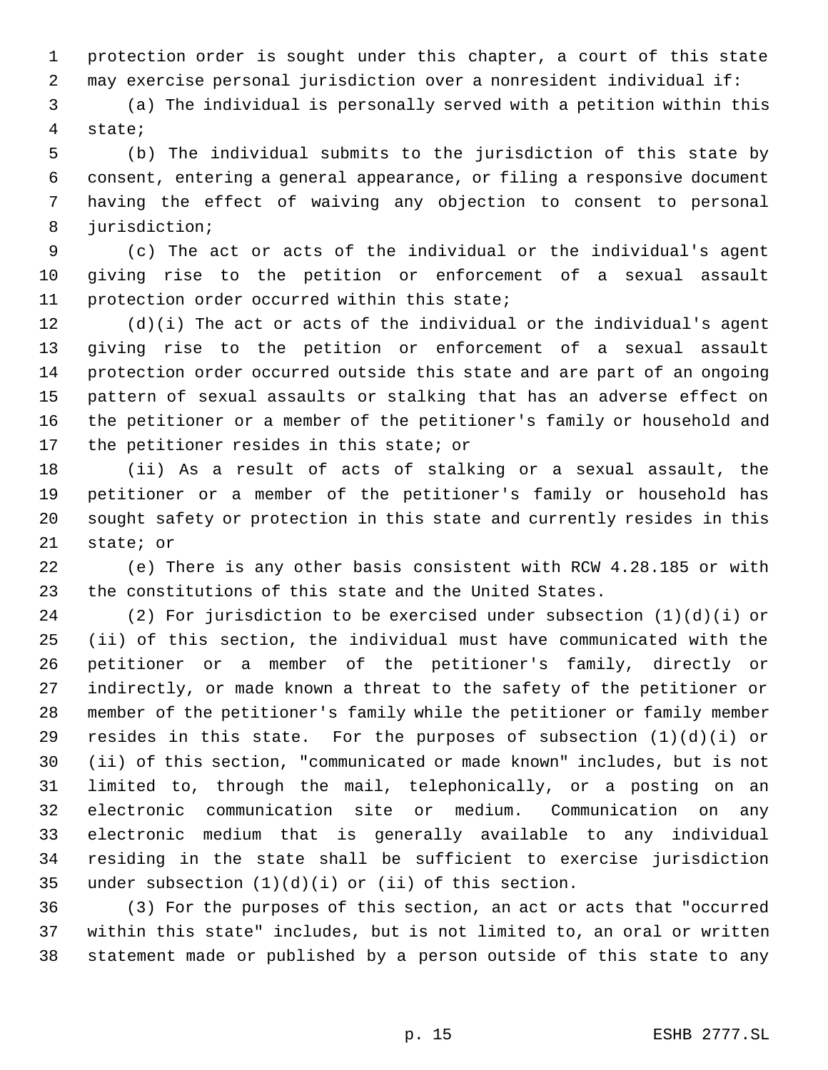protection order is sought under this chapter, a court of this state may exercise personal jurisdiction over a nonresident individual if:

 (a) The individual is personally served with a petition within this state;

 (b) The individual submits to the jurisdiction of this state by consent, entering a general appearance, or filing a responsive document having the effect of waiving any objection to consent to personal jurisdiction;

 (c) The act or acts of the individual or the individual's agent giving rise to the petition or enforcement of a sexual assault protection order occurred within this state;

 (d)(i) The act or acts of the individual or the individual's agent giving rise to the petition or enforcement of a sexual assault protection order occurred outside this state and are part of an ongoing pattern of sexual assaults or stalking that has an adverse effect on the petitioner or a member of the petitioner's family or household and 17 the petitioner resides in this state; or

 (ii) As a result of acts of stalking or a sexual assault, the petitioner or a member of the petitioner's family or household has sought safety or protection in this state and currently resides in this state; or

 (e) There is any other basis consistent with RCW 4.28.185 or with the constitutions of this state and the United States.

 (2) For jurisdiction to be exercised under subsection (1)(d)(i) or (ii) of this section, the individual must have communicated with the petitioner or a member of the petitioner's family, directly or indirectly, or made known a threat to the safety of the petitioner or member of the petitioner's family while the petitioner or family member 29 resides in this state. For the purposes of subsection  $(1)(d)(i)$  or (ii) of this section, "communicated or made known" includes, but is not limited to, through the mail, telephonically, or a posting on an electronic communication site or medium. Communication on any electronic medium that is generally available to any individual residing in the state shall be sufficient to exercise jurisdiction under subsection (1)(d)(i) or (ii) of this section.

 (3) For the purposes of this section, an act or acts that "occurred within this state" includes, but is not limited to, an oral or written statement made or published by a person outside of this state to any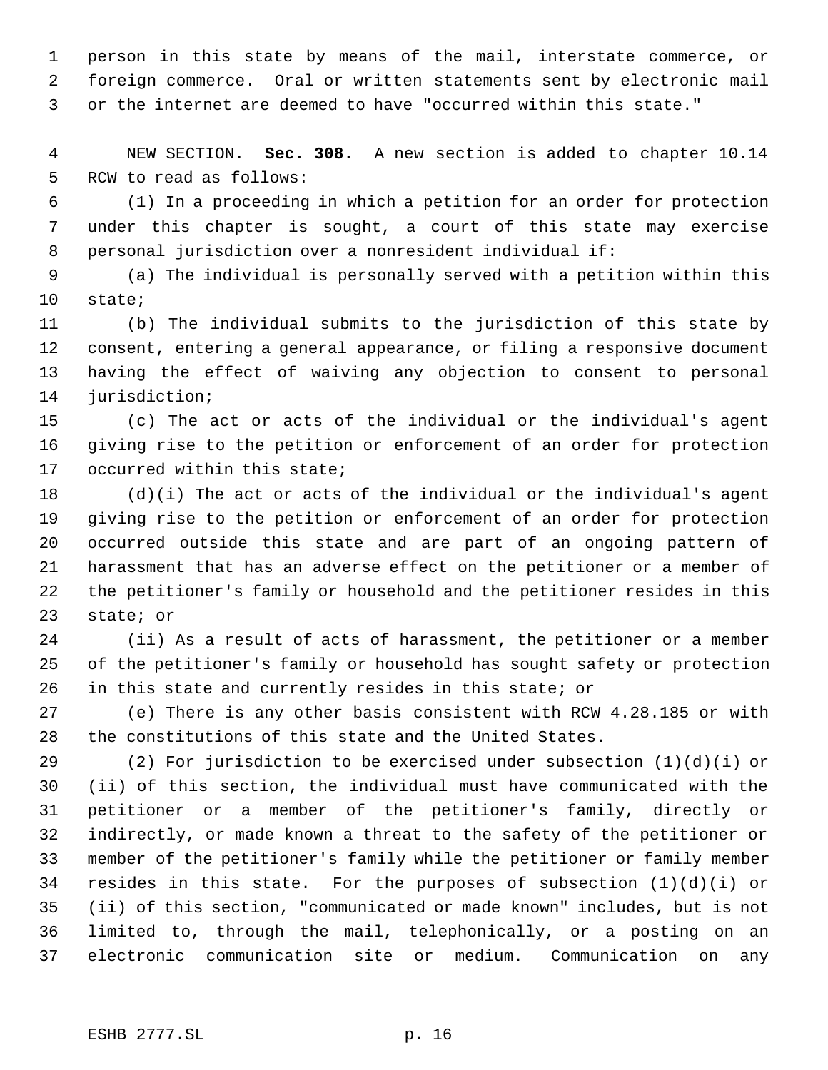person in this state by means of the mail, interstate commerce, or foreign commerce. Oral or written statements sent by electronic mail or the internet are deemed to have "occurred within this state."

 NEW SECTION. **Sec. 308.** A new section is added to chapter 10.14 RCW to read as follows:

 (1) In a proceeding in which a petition for an order for protection under this chapter is sought, a court of this state may exercise personal jurisdiction over a nonresident individual if:

 (a) The individual is personally served with a petition within this state;

 (b) The individual submits to the jurisdiction of this state by consent, entering a general appearance, or filing a responsive document having the effect of waiving any objection to consent to personal jurisdiction;

 (c) The act or acts of the individual or the individual's agent giving rise to the petition or enforcement of an order for protection occurred within this state;

 (d)(i) The act or acts of the individual or the individual's agent giving rise to the petition or enforcement of an order for protection occurred outside this state and are part of an ongoing pattern of harassment that has an adverse effect on the petitioner or a member of the petitioner's family or household and the petitioner resides in this state; or

 (ii) As a result of acts of harassment, the petitioner or a member of the petitioner's family or household has sought safety or protection in this state and currently resides in this state; or

 (e) There is any other basis consistent with RCW 4.28.185 or with the constitutions of this state and the United States.

 (2) For jurisdiction to be exercised under subsection (1)(d)(i) or (ii) of this section, the individual must have communicated with the petitioner or a member of the petitioner's family, directly or indirectly, or made known a threat to the safety of the petitioner or member of the petitioner's family while the petitioner or family member resides in this state. For the purposes of subsection (1)(d)(i) or (ii) of this section, "communicated or made known" includes, but is not limited to, through the mail, telephonically, or a posting on an electronic communication site or medium. Communication on any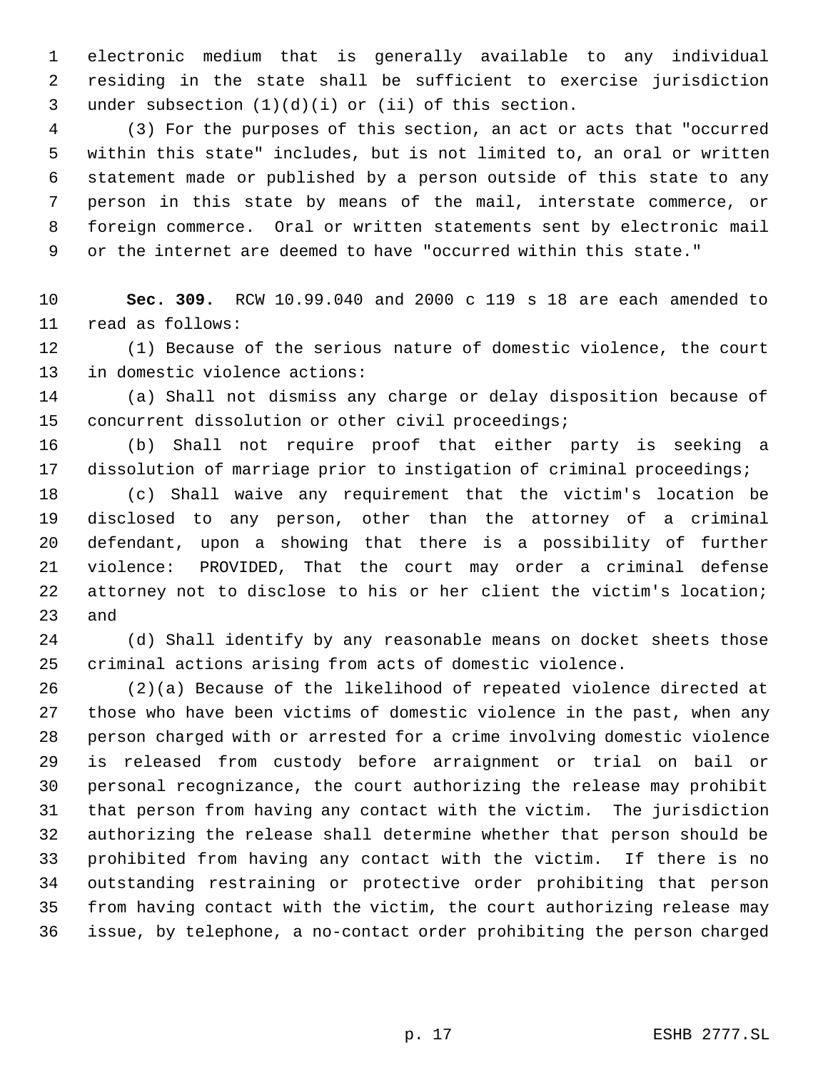electronic medium that is generally available to any individual residing in the state shall be sufficient to exercise jurisdiction under subsection (1)(d)(i) or (ii) of this section.

 (3) For the purposes of this section, an act or acts that "occurred within this state" includes, but is not limited to, an oral or written statement made or published by a person outside of this state to any person in this state by means of the mail, interstate commerce, or foreign commerce. Oral or written statements sent by electronic mail or the internet are deemed to have "occurred within this state."

 **Sec. 309.** RCW 10.99.040 and 2000 c 119 s 18 are each amended to read as follows:

 (1) Because of the serious nature of domestic violence, the court in domestic violence actions:

 (a) Shall not dismiss any charge or delay disposition because of concurrent dissolution or other civil proceedings;

 (b) Shall not require proof that either party is seeking a dissolution of marriage prior to instigation of criminal proceedings;

 (c) Shall waive any requirement that the victim's location be disclosed to any person, other than the attorney of a criminal defendant, upon a showing that there is a possibility of further violence: PROVIDED, That the court may order a criminal defense attorney not to disclose to his or her client the victim's location; and

 (d) Shall identify by any reasonable means on docket sheets those criminal actions arising from acts of domestic violence.

 (2)(a) Because of the likelihood of repeated violence directed at those who have been victims of domestic violence in the past, when any person charged with or arrested for a crime involving domestic violence is released from custody before arraignment or trial on bail or personal recognizance, the court authorizing the release may prohibit that person from having any contact with the victim. The jurisdiction authorizing the release shall determine whether that person should be prohibited from having any contact with the victim. If there is no outstanding restraining or protective order prohibiting that person from having contact with the victim, the court authorizing release may issue, by telephone, a no-contact order prohibiting the person charged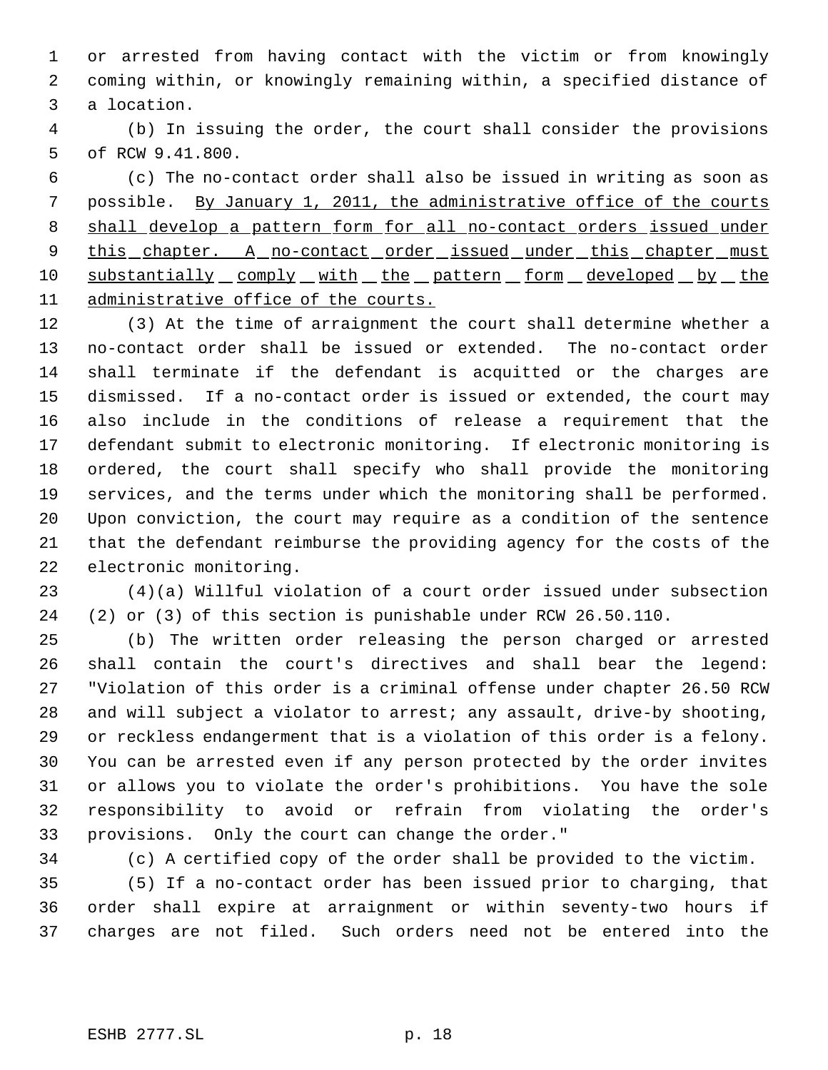or arrested from having contact with the victim or from knowingly coming within, or knowingly remaining within, a specified distance of a location.

 (b) In issuing the order, the court shall consider the provisions of RCW 9.41.800.

 (c) The no-contact order shall also be issued in writing as soon as possible. By January 1, 2011, the administrative office of the courts 8 shall develop a pattern form for all no-contact orders issued under 9 this chapter. A no-contact order issued under this chapter must 10 substantially comply with the pattern form developed by the administrative office of the courts.

 (3) At the time of arraignment the court shall determine whether a no-contact order shall be issued or extended. The no-contact order shall terminate if the defendant is acquitted or the charges are dismissed. If a no-contact order is issued or extended, the court may also include in the conditions of release a requirement that the defendant submit to electronic monitoring. If electronic monitoring is ordered, the court shall specify who shall provide the monitoring services, and the terms under which the monitoring shall be performed. Upon conviction, the court may require as a condition of the sentence that the defendant reimburse the providing agency for the costs of the electronic monitoring.

 (4)(a) Willful violation of a court order issued under subsection (2) or (3) of this section is punishable under RCW 26.50.110.

 (b) The written order releasing the person charged or arrested shall contain the court's directives and shall bear the legend: "Violation of this order is a criminal offense under chapter 26.50 RCW and will subject a violator to arrest; any assault, drive-by shooting, or reckless endangerment that is a violation of this order is a felony. You can be arrested even if any person protected by the order invites or allows you to violate the order's prohibitions. You have the sole responsibility to avoid or refrain from violating the order's provisions. Only the court can change the order."

(c) A certified copy of the order shall be provided to the victim.

 (5) If a no-contact order has been issued prior to charging, that order shall expire at arraignment or within seventy-two hours if charges are not filed. Such orders need not be entered into the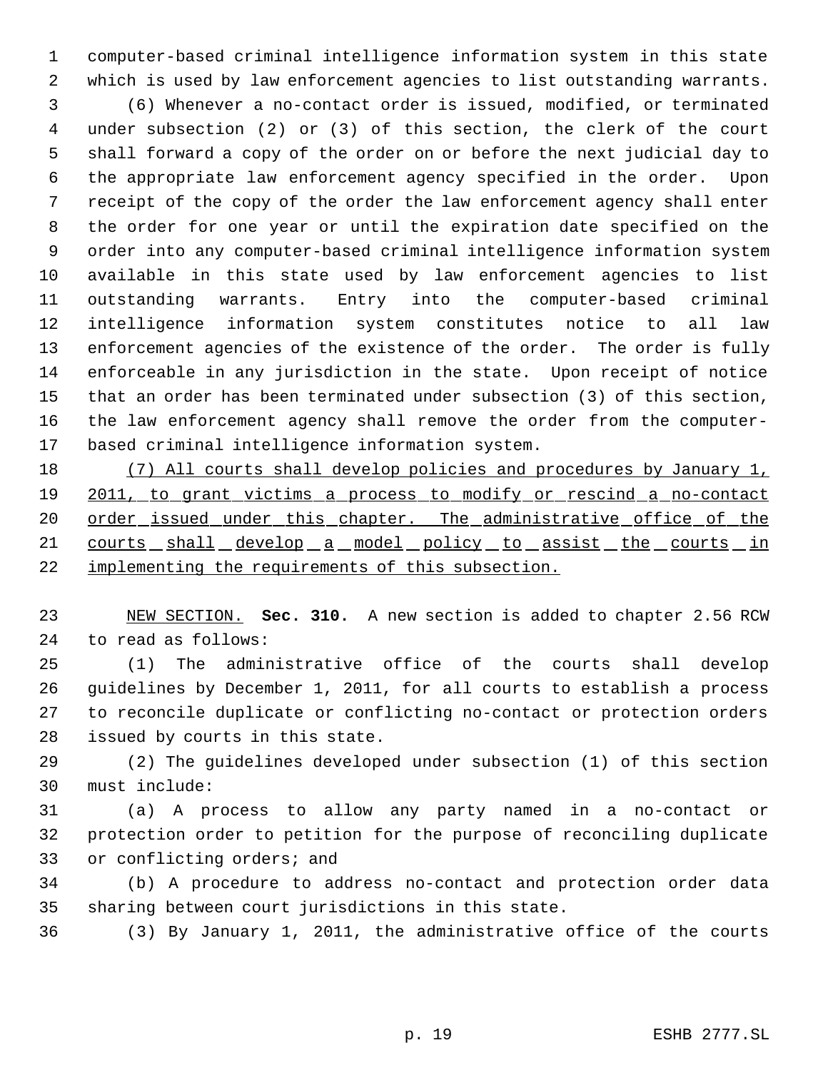computer-based criminal intelligence information system in this state which is used by law enforcement agencies to list outstanding warrants. (6) Whenever a no-contact order is issued, modified, or terminated under subsection (2) or (3) of this section, the clerk of the court shall forward a copy of the order on or before the next judicial day to the appropriate law enforcement agency specified in the order. Upon receipt of the copy of the order the law enforcement agency shall enter the order for one year or until the expiration date specified on the order into any computer-based criminal intelligence information system available in this state used by law enforcement agencies to list outstanding warrants. Entry into the computer-based criminal intelligence information system constitutes notice to all law enforcement agencies of the existence of the order. The order is fully enforceable in any jurisdiction in the state. Upon receipt of notice that an order has been terminated under subsection (3) of this section,

 the law enforcement agency shall remove the order from the computer- based criminal intelligence information system. (7) All courts shall develop policies and procedures by January 1,

 2011, to grant victims a process to modify or rescind a no-contact 20 order\_issued\_under\_this\_chapter. The\_administrative\_office\_of\_the 21 courts shall develop a model policy to assist the courts in implementing the requirements of this subsection.

 NEW SECTION. **Sec. 310.** A new section is added to chapter 2.56 RCW to read as follows:

 (1) The administrative office of the courts shall develop guidelines by December 1, 2011, for all courts to establish a process to reconcile duplicate or conflicting no-contact or protection orders issued by courts in this state.

 (2) The guidelines developed under subsection (1) of this section must include:

 (a) A process to allow any party named in a no-contact or protection order to petition for the purpose of reconciling duplicate or conflicting orders; and

 (b) A procedure to address no-contact and protection order data sharing between court jurisdictions in this state.

(3) By January 1, 2011, the administrative office of the courts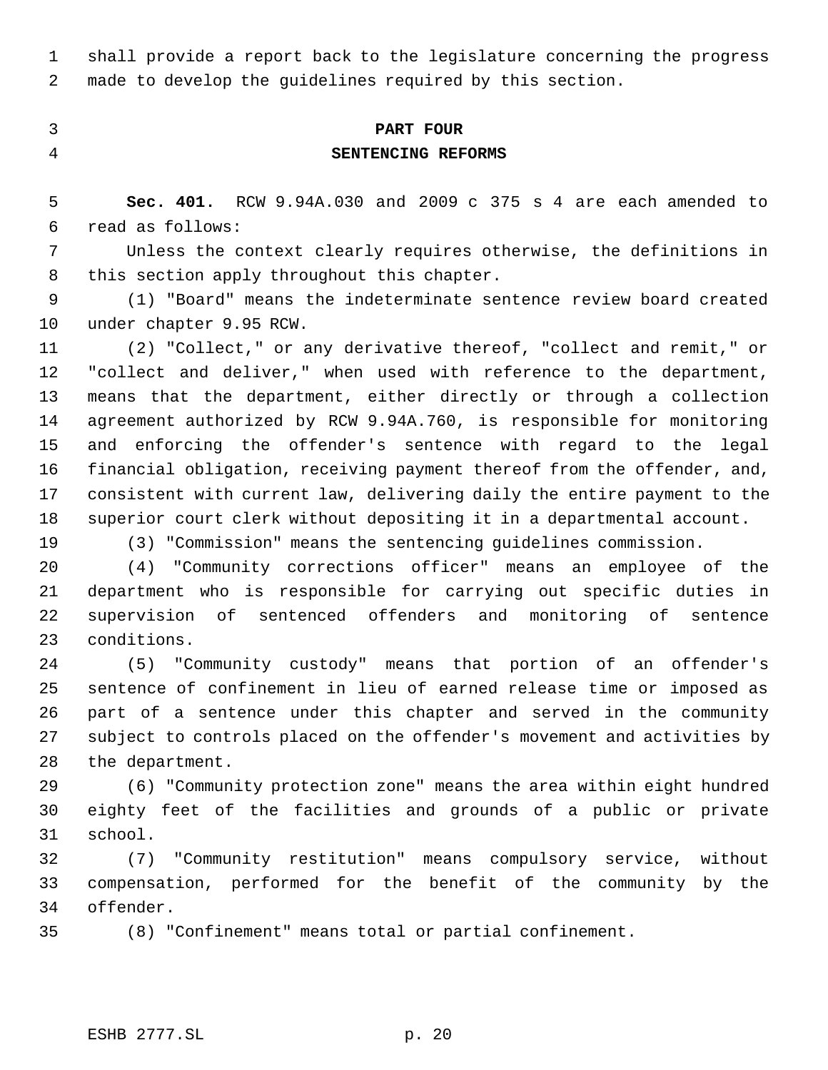shall provide a report back to the legislature concerning the progress made to develop the guidelines required by this section.

# **PART FOUR SENTENCING REFORMS**

 **Sec. 401.** RCW 9.94A.030 and 2009 c 375 s 4 are each amended to read as follows:

 Unless the context clearly requires otherwise, the definitions in 8 this section apply throughout this chapter.

 (1) "Board" means the indeterminate sentence review board created under chapter 9.95 RCW.

 (2) "Collect," or any derivative thereof, "collect and remit," or "collect and deliver," when used with reference to the department, means that the department, either directly or through a collection agreement authorized by RCW 9.94A.760, is responsible for monitoring and enforcing the offender's sentence with regard to the legal financial obligation, receiving payment thereof from the offender, and, consistent with current law, delivering daily the entire payment to the superior court clerk without depositing it in a departmental account.

(3) "Commission" means the sentencing guidelines commission.

 (4) "Community corrections officer" means an employee of the department who is responsible for carrying out specific duties in supervision of sentenced offenders and monitoring of sentence conditions.

 (5) "Community custody" means that portion of an offender's sentence of confinement in lieu of earned release time or imposed as part of a sentence under this chapter and served in the community subject to controls placed on the offender's movement and activities by the department.

 (6) "Community protection zone" means the area within eight hundred eighty feet of the facilities and grounds of a public or private school.

 (7) "Community restitution" means compulsory service, without compensation, performed for the benefit of the community by the offender.

(8) "Confinement" means total or partial confinement.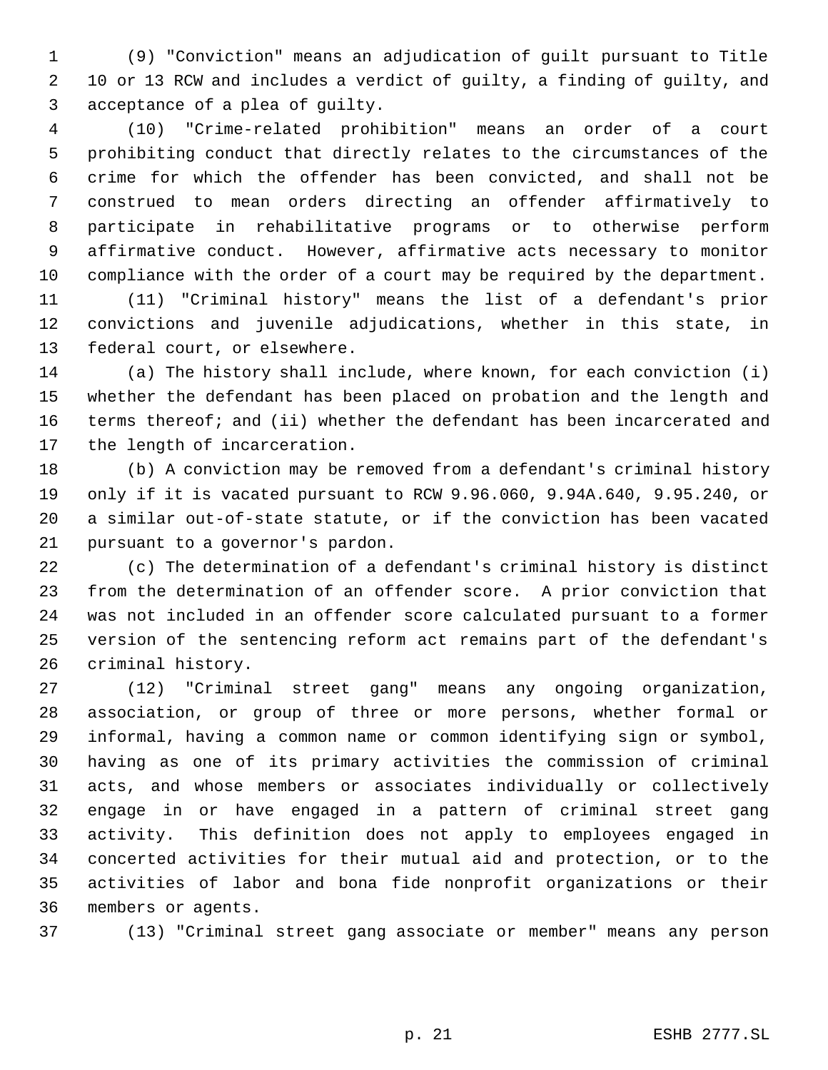(9) "Conviction" means an adjudication of guilt pursuant to Title 10 or 13 RCW and includes a verdict of guilty, a finding of guilty, and acceptance of a plea of guilty.

 (10) "Crime-related prohibition" means an order of a court prohibiting conduct that directly relates to the circumstances of the crime for which the offender has been convicted, and shall not be construed to mean orders directing an offender affirmatively to participate in rehabilitative programs or to otherwise perform affirmative conduct. However, affirmative acts necessary to monitor compliance with the order of a court may be required by the department.

 (11) "Criminal history" means the list of a defendant's prior convictions and juvenile adjudications, whether in this state, in federal court, or elsewhere.

 (a) The history shall include, where known, for each conviction (i) whether the defendant has been placed on probation and the length and terms thereof; and (ii) whether the defendant has been incarcerated and the length of incarceration.

 (b) A conviction may be removed from a defendant's criminal history only if it is vacated pursuant to RCW 9.96.060, 9.94A.640, 9.95.240, or a similar out-of-state statute, or if the conviction has been vacated pursuant to a governor's pardon.

 (c) The determination of a defendant's criminal history is distinct from the determination of an offender score. A prior conviction that was not included in an offender score calculated pursuant to a former version of the sentencing reform act remains part of the defendant's criminal history.

 (12) "Criminal street gang" means any ongoing organization, association, or group of three or more persons, whether formal or informal, having a common name or common identifying sign or symbol, having as one of its primary activities the commission of criminal acts, and whose members or associates individually or collectively engage in or have engaged in a pattern of criminal street gang activity. This definition does not apply to employees engaged in concerted activities for their mutual aid and protection, or to the activities of labor and bona fide nonprofit organizations or their members or agents.

(13) "Criminal street gang associate or member" means any person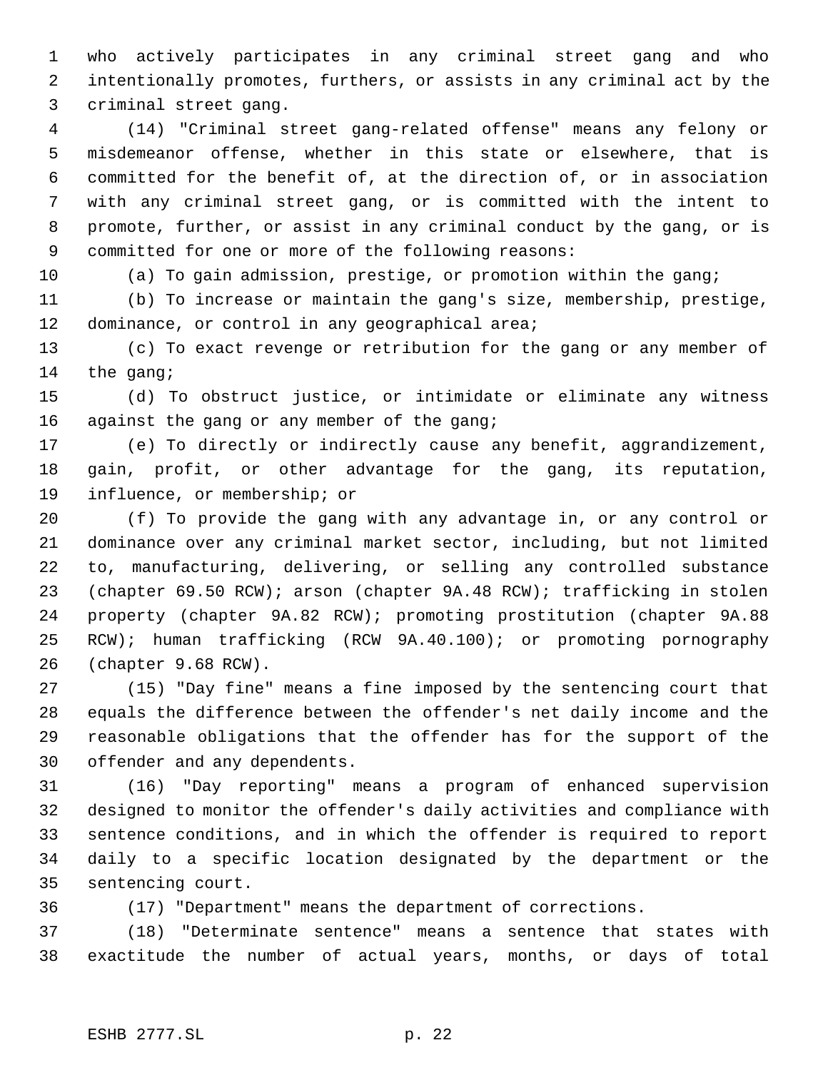who actively participates in any criminal street gang and who intentionally promotes, furthers, or assists in any criminal act by the criminal street gang.

 (14) "Criminal street gang-related offense" means any felony or misdemeanor offense, whether in this state or elsewhere, that is committed for the benefit of, at the direction of, or in association with any criminal street gang, or is committed with the intent to promote, further, or assist in any criminal conduct by the gang, or is committed for one or more of the following reasons:

(a) To gain admission, prestige, or promotion within the gang;

 (b) To increase or maintain the gang's size, membership, prestige, 12 dominance, or control in any geographical area;

 (c) To exact revenge or retribution for the gang or any member of 14 the gang;

 (d) To obstruct justice, or intimidate or eliminate any witness 16 against the gang or any member of the gang;

 (e) To directly or indirectly cause any benefit, aggrandizement, gain, profit, or other advantage for the gang, its reputation, influence, or membership; or

 (f) To provide the gang with any advantage in, or any control or dominance over any criminal market sector, including, but not limited to, manufacturing, delivering, or selling any controlled substance (chapter 69.50 RCW); arson (chapter 9A.48 RCW); trafficking in stolen property (chapter 9A.82 RCW); promoting prostitution (chapter 9A.88 RCW); human trafficking (RCW 9A.40.100); or promoting pornography (chapter 9.68 RCW).

 (15) "Day fine" means a fine imposed by the sentencing court that equals the difference between the offender's net daily income and the reasonable obligations that the offender has for the support of the offender and any dependents.

 (16) "Day reporting" means a program of enhanced supervision designed to monitor the offender's daily activities and compliance with sentence conditions, and in which the offender is required to report daily to a specific location designated by the department or the sentencing court.

(17) "Department" means the department of corrections.

 (18) "Determinate sentence" means a sentence that states with exactitude the number of actual years, months, or days of total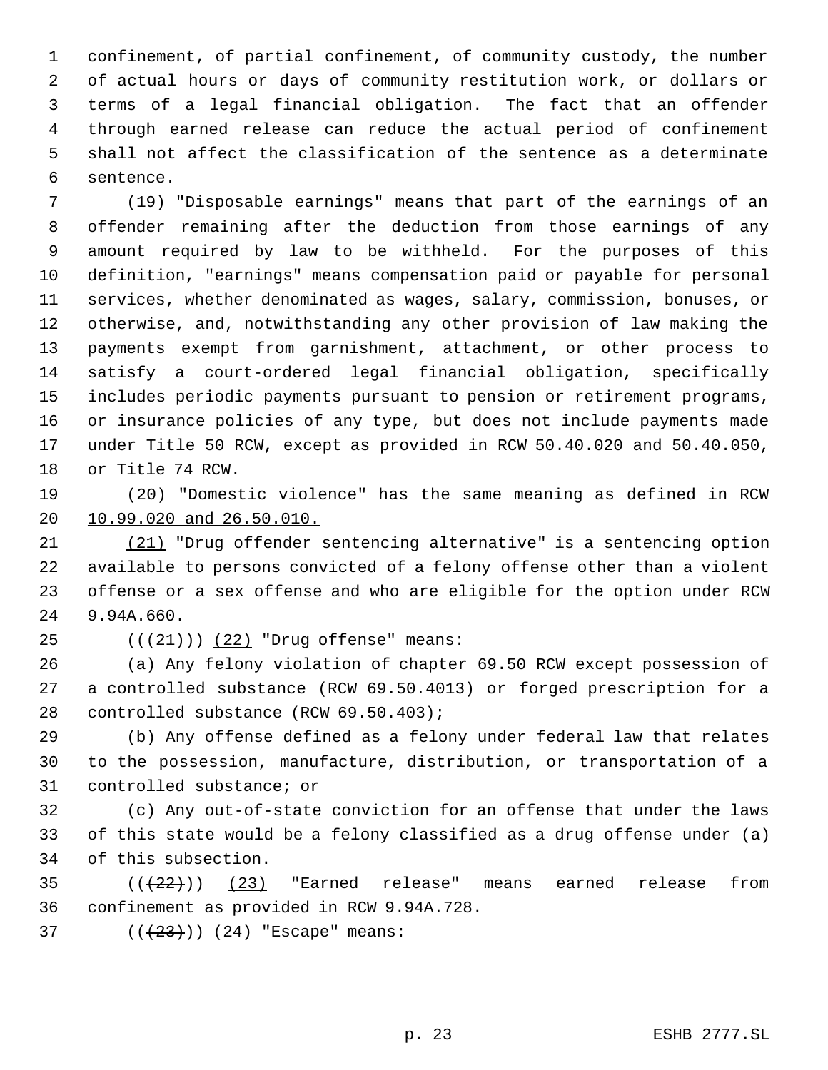confinement, of partial confinement, of community custody, the number of actual hours or days of community restitution work, or dollars or terms of a legal financial obligation. The fact that an offender through earned release can reduce the actual period of confinement shall not affect the classification of the sentence as a determinate sentence.

 (19) "Disposable earnings" means that part of the earnings of an offender remaining after the deduction from those earnings of any amount required by law to be withheld. For the purposes of this definition, "earnings" means compensation paid or payable for personal services, whether denominated as wages, salary, commission, bonuses, or otherwise, and, notwithstanding any other provision of law making the payments exempt from garnishment, attachment, or other process to satisfy a court-ordered legal financial obligation, specifically includes periodic payments pursuant to pension or retirement programs, or insurance policies of any type, but does not include payments made under Title 50 RCW, except as provided in RCW 50.40.020 and 50.40.050, or Title 74 RCW.

 (20) "Domestic violence" has the same meaning as defined in RCW 10.99.020 and 26.50.010.

 (21) "Drug offender sentencing alternative" is a sentencing option available to persons convicted of a felony offense other than a violent offense or a sex offense and who are eligible for the option under RCW 9.94A.660.

25  $((+21))$  (22) "Drug offense" means:

 (a) Any felony violation of chapter 69.50 RCW except possession of a controlled substance (RCW 69.50.4013) or forged prescription for a controlled substance (RCW 69.50.403);

 (b) Any offense defined as a felony under federal law that relates to the possession, manufacture, distribution, or transportation of a controlled substance; or

 (c) Any out-of-state conviction for an offense that under the laws of this state would be a felony classified as a drug offense under (a) of this subsection.

35  $((22))$   $(23)$  "Earned release" means earned release from confinement as provided in RCW 9.94A.728.

37  $((+23))$   $(24)$  "Escape" means: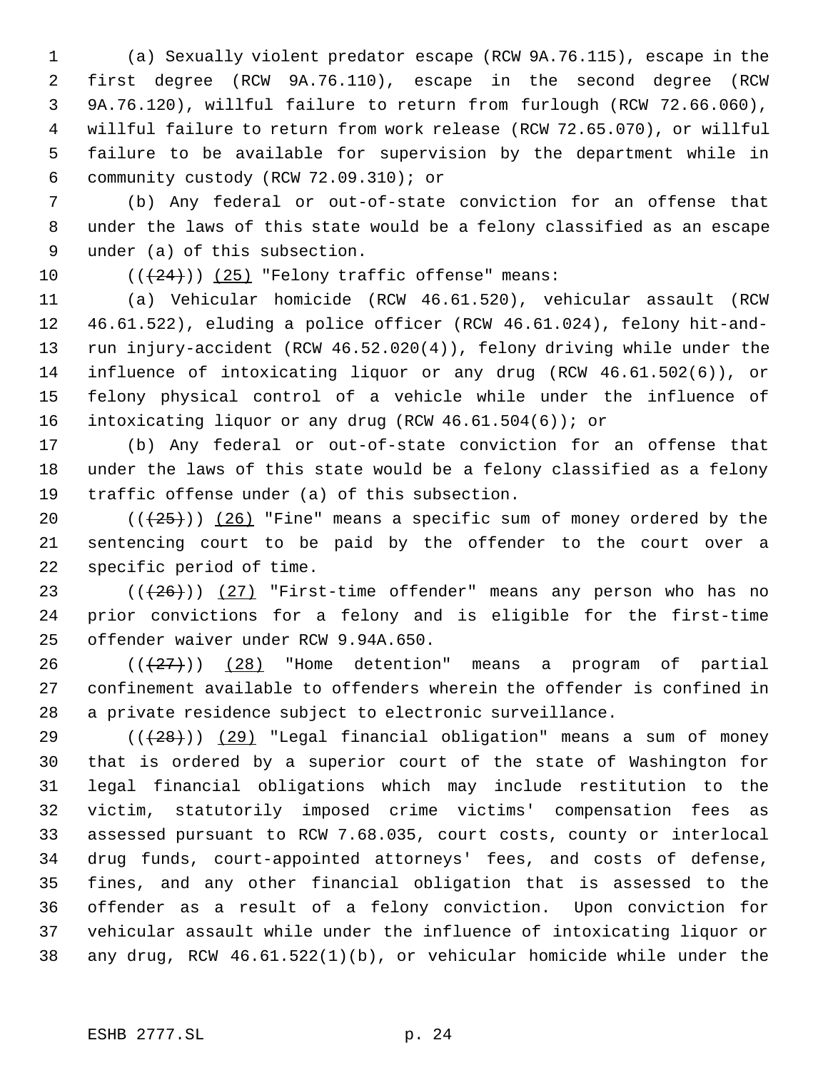(a) Sexually violent predator escape (RCW 9A.76.115), escape in the first degree (RCW 9A.76.110), escape in the second degree (RCW 9A.76.120), willful failure to return from furlough (RCW 72.66.060), willful failure to return from work release (RCW 72.65.070), or willful failure to be available for supervision by the department while in community custody (RCW 72.09.310); or

 (b) Any federal or out-of-state conviction for an offense that under the laws of this state would be a felony classified as an escape under (a) of this subsection.

10  $((+24))$  (25) "Felony traffic offense" means:

 (a) Vehicular homicide (RCW 46.61.520), vehicular assault (RCW 46.61.522), eluding a police officer (RCW 46.61.024), felony hit-and- run injury-accident (RCW 46.52.020(4)), felony driving while under the influence of intoxicating liquor or any drug (RCW 46.61.502(6)), or felony physical control of a vehicle while under the influence of intoxicating liquor or any drug (RCW 46.61.504(6)); or

 (b) Any federal or out-of-state conviction for an offense that under the laws of this state would be a felony classified as a felony traffic offense under (a) of this subsection.

20  $((+25))$   $(26)$  "Fine" means a specific sum of money ordered by the sentencing court to be paid by the offender to the court over a specific period of time.

23  $((+26))$   $(27)$  "First-time offender" means any person who has no prior convictions for a felony and is eligible for the first-time offender waiver under RCW 9.94A.650.

 $((+27))$   $(28)$  "Home detention" means a program of partial confinement available to offenders wherein the offender is confined in a private residence subject to electronic surveillance.

29 ( $(\overline{28})$ ) (29) "Legal financial obligation" means a sum of money that is ordered by a superior court of the state of Washington for legal financial obligations which may include restitution to the victim, statutorily imposed crime victims' compensation fees as assessed pursuant to RCW 7.68.035, court costs, county or interlocal drug funds, court-appointed attorneys' fees, and costs of defense, fines, and any other financial obligation that is assessed to the offender as a result of a felony conviction. Upon conviction for vehicular assault while under the influence of intoxicating liquor or any drug, RCW 46.61.522(1)(b), or vehicular homicide while under the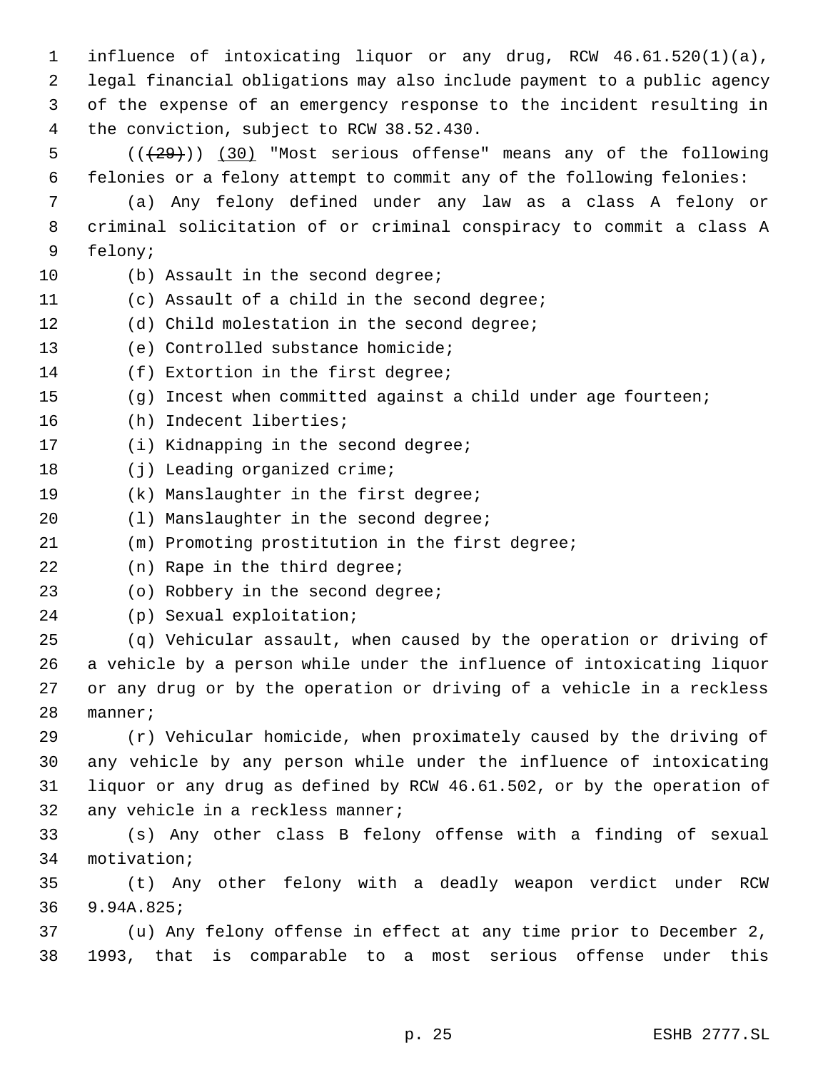influence of intoxicating liquor or any drug, RCW 46.61.520(1)(a), legal financial obligations may also include payment to a public agency of the expense of an emergency response to the incident resulting in the conviction, subject to RCW 38.52.430.  $((+29))$  (30) "Most serious offense" means any of the following felonies or a felony attempt to commit any of the following felonies: (a) Any felony defined under any law as a class A felony or criminal solicitation of or criminal conspiracy to commit a class A felony; (b) Assault in the second degree; (c) Assault of a child in the second degree; (d) Child molestation in the second degree; (e) Controlled substance homicide; (f) Extortion in the first degree; (g) Incest when committed against a child under age fourteen; (h) Indecent liberties; (i) Kidnapping in the second degree; 18 (j) Leading organized crime; (k) Manslaughter in the first degree; 20 (1) Manslaughter in the second degree; (m) Promoting prostitution in the first degree; (n) Rape in the third degree; (o) Robbery in the second degree; (p) Sexual exploitation; (q) Vehicular assault, when caused by the operation or driving of a vehicle by a person while under the influence of intoxicating liquor or any drug or by the operation or driving of a vehicle in a reckless manner; (r) Vehicular homicide, when proximately caused by the driving of any vehicle by any person while under the influence of intoxicating liquor or any drug as defined by RCW 46.61.502, or by the operation of any vehicle in a reckless manner;

 (s) Any other class B felony offense with a finding of sexual motivation;

 (t) Any other felony with a deadly weapon verdict under RCW 9.94A.825;

 (u) Any felony offense in effect at any time prior to December 2, 1993, that is comparable to a most serious offense under this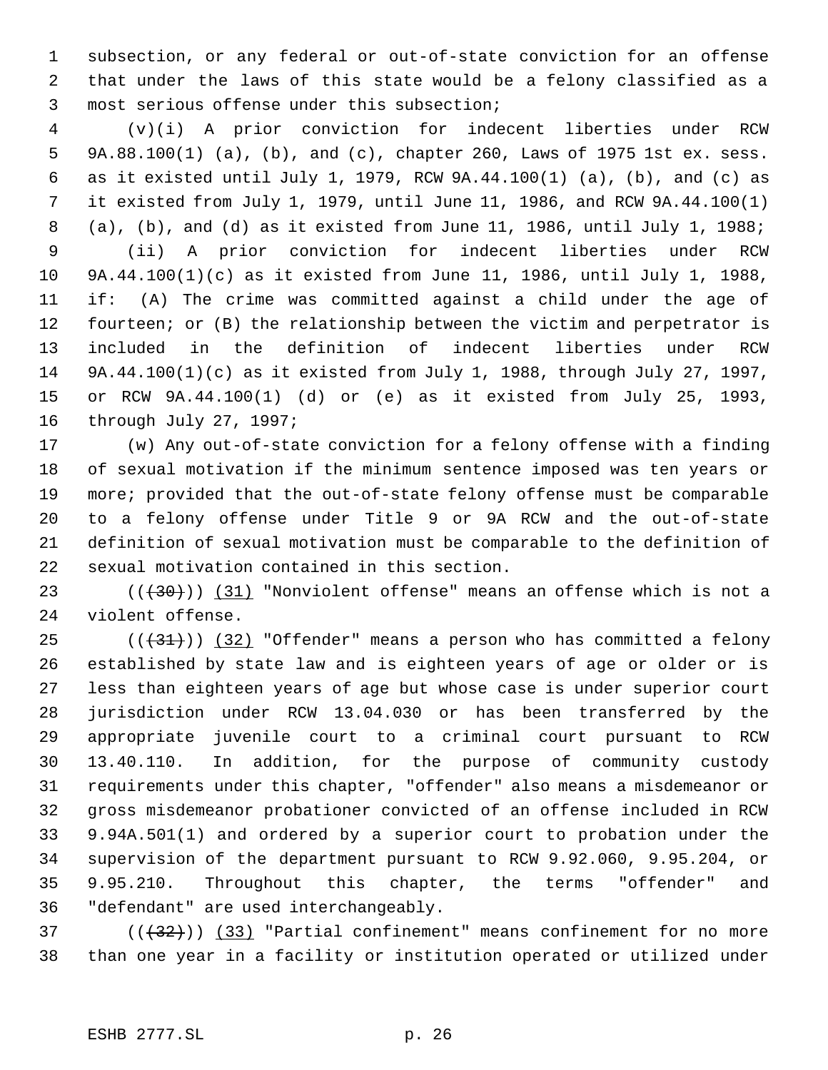subsection, or any federal or out-of-state conviction for an offense that under the laws of this state would be a felony classified as a most serious offense under this subsection;

 (v)(i) A prior conviction for indecent liberties under RCW 9A.88.100(1) (a), (b), and (c), chapter 260, Laws of 1975 1st ex. sess. as it existed until July 1, 1979, RCW 9A.44.100(1) (a), (b), and (c) as it existed from July 1, 1979, until June 11, 1986, and RCW 9A.44.100(1) (a), (b), and (d) as it existed from June 11, 1986, until July 1, 1988; (ii) A prior conviction for indecent liberties under RCW 9A.44.100(1)(c) as it existed from June 11, 1986, until July 1, 1988, if: (A) The crime was committed against a child under the age of fourteen; or (B) the relationship between the victim and perpetrator is included in the definition of indecent liberties under RCW 9A.44.100(1)(c) as it existed from July 1, 1988, through July 27, 1997, or RCW 9A.44.100(1) (d) or (e) as it existed from July 25, 1993, through July 27, 1997;

 (w) Any out-of-state conviction for a felony offense with a finding of sexual motivation if the minimum sentence imposed was ten years or more; provided that the out-of-state felony offense must be comparable to a felony offense under Title 9 or 9A RCW and the out-of-state definition of sexual motivation must be comparable to the definition of sexual motivation contained in this section.

23 (( $(30)$ )) (31) "Nonviolent offense" means an offense which is not a violent offense.

 $((31))$  (32) "Offender" means a person who has committed a felony established by state law and is eighteen years of age or older or is less than eighteen years of age but whose case is under superior court jurisdiction under RCW 13.04.030 or has been transferred by the appropriate juvenile court to a criminal court pursuant to RCW 13.40.110. In addition, for the purpose of community custody requirements under this chapter, "offender" also means a misdemeanor or gross misdemeanor probationer convicted of an offense included in RCW 9.94A.501(1) and ordered by a superior court to probation under the supervision of the department pursuant to RCW 9.92.060, 9.95.204, or 9.95.210. Throughout this chapter, the terms "offender" and "defendant" are used interchangeably.

 ( $(\overline{32})$ ) (33) "Partial confinement" means confinement for no more than one year in a facility or institution operated or utilized under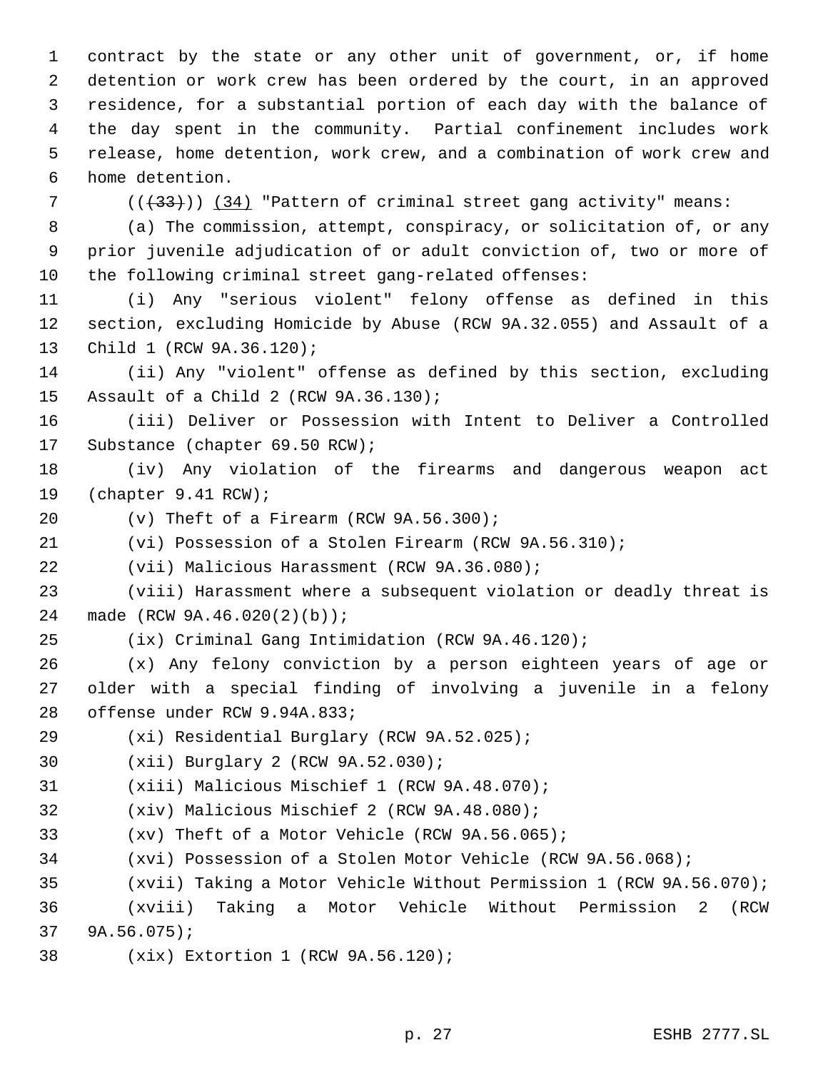contract by the state or any other unit of government, or, if home detention or work crew has been ordered by the court, in an approved residence, for a substantial portion of each day with the balance of the day spent in the community. Partial confinement includes work release, home detention, work crew, and a combination of work crew and home detention.

 $((+33))$  (34) "Pattern of criminal street gang activity" means:

 (a) The commission, attempt, conspiracy, or solicitation of, or any prior juvenile adjudication of or adult conviction of, two or more of the following criminal street gang-related offenses:

 (i) Any "serious violent" felony offense as defined in this section, excluding Homicide by Abuse (RCW 9A.32.055) and Assault of a Child 1 (RCW 9A.36.120);

 (ii) Any "violent" offense as defined by this section, excluding Assault of a Child 2 (RCW 9A.36.130);

 (iii) Deliver or Possession with Intent to Deliver a Controlled Substance (chapter 69.50 RCW);

 (iv) Any violation of the firearms and dangerous weapon act (chapter 9.41 RCW);

(v) Theft of a Firearm (RCW 9A.56.300);

(vi) Possession of a Stolen Firearm (RCW 9A.56.310);

(vii) Malicious Harassment (RCW 9A.36.080);

 (viii) Harassment where a subsequent violation or deadly threat is made (RCW 9A.46.020(2)(b));

(ix) Criminal Gang Intimidation (RCW 9A.46.120);

 (x) Any felony conviction by a person eighteen years of age or older with a special finding of involving a juvenile in a felony offense under RCW 9.94A.833;

(xi) Residential Burglary (RCW 9A.52.025);

(xii) Burglary 2 (RCW 9A.52.030);

(xiii) Malicious Mischief 1 (RCW 9A.48.070);

(xiv) Malicious Mischief 2 (RCW 9A.48.080);

(xv) Theft of a Motor Vehicle (RCW 9A.56.065);

(xvi) Possession of a Stolen Motor Vehicle (RCW 9A.56.068);

(xvii) Taking a Motor Vehicle Without Permission 1 (RCW 9A.56.070);

 (xviii) Taking a Motor Vehicle Without Permission 2 (RCW 9A.56.075);

(xix) Extortion 1 (RCW 9A.56.120);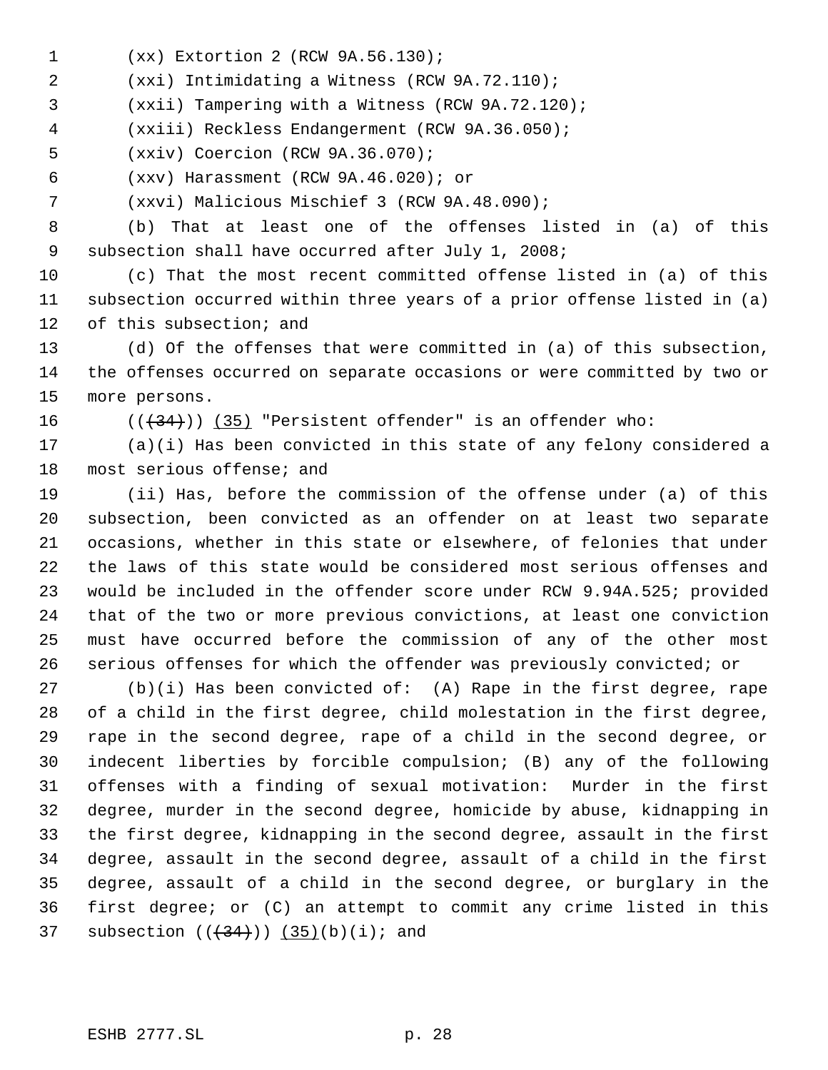- (xx) Extortion 2 (RCW 9A.56.130);
- (xxi) Intimidating a Witness (RCW 9A.72.110);

(xxii) Tampering with a Witness (RCW 9A.72.120);

(xxiii) Reckless Endangerment (RCW 9A.36.050);

- (xxiv) Coercion (RCW 9A.36.070);
- (xxv) Harassment (RCW 9A.46.020); or
- (xxvi) Malicious Mischief 3 (RCW 9A.48.090);

 (b) That at least one of the offenses listed in (a) of this subsection shall have occurred after July 1, 2008;

 (c) That the most recent committed offense listed in (a) of this subsection occurred within three years of a prior offense listed in (a) of this subsection; and

 (d) Of the offenses that were committed in (a) of this subsection, the offenses occurred on separate occasions or were committed by two or more persons.

 $((+34))$   $(35)$  "Persistent offender" is an offender who:

 (a)(i) Has been convicted in this state of any felony considered a most serious offense; and

 (ii) Has, before the commission of the offense under (a) of this subsection, been convicted as an offender on at least two separate occasions, whether in this state or elsewhere, of felonies that under the laws of this state would be considered most serious offenses and would be included in the offender score under RCW 9.94A.525; provided that of the two or more previous convictions, at least one conviction must have occurred before the commission of any of the other most serious offenses for which the offender was previously convicted; or

 (b)(i) Has been convicted of: (A) Rape in the first degree, rape of a child in the first degree, child molestation in the first degree, rape in the second degree, rape of a child in the second degree, or indecent liberties by forcible compulsion; (B) any of the following offenses with a finding of sexual motivation: Murder in the first degree, murder in the second degree, homicide by abuse, kidnapping in the first degree, kidnapping in the second degree, assault in the first degree, assault in the second degree, assault of a child in the first degree, assault of a child in the second degree, or burglary in the first degree; or (C) an attempt to commit any crime listed in this 37 subsection  $((+34))$   $(35)(b)(i)$ ; and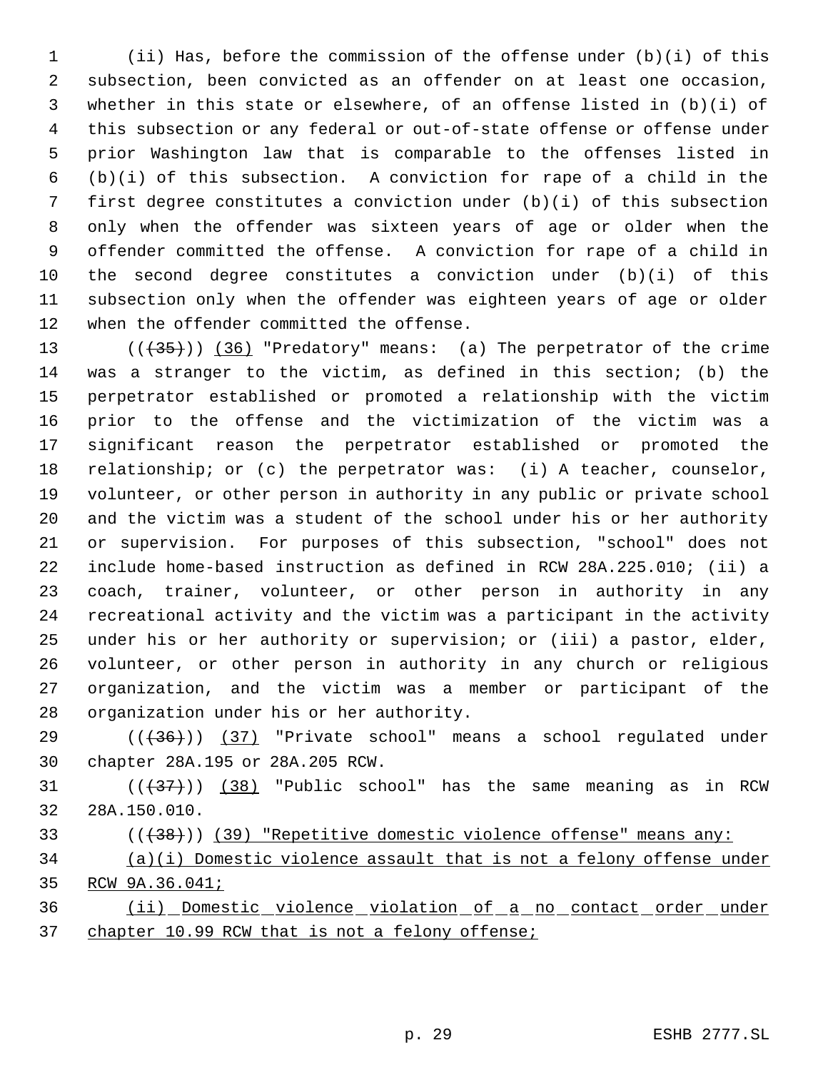(ii) Has, before the commission of the offense under (b)(i) of this subsection, been convicted as an offender on at least one occasion, whether in this state or elsewhere, of an offense listed in (b)(i) of this subsection or any federal or out-of-state offense or offense under prior Washington law that is comparable to the offenses listed in (b)(i) of this subsection. A conviction for rape of a child in the first degree constitutes a conviction under (b)(i) of this subsection only when the offender was sixteen years of age or older when the offender committed the offense. A conviction for rape of a child in the second degree constitutes a conviction under (b)(i) of this subsection only when the offender was eighteen years of age or older when the offender committed the offense.

13 (( $\left(\frac{35}{10}\right)$ ) (36) "Predatory" means: (a) The perpetrator of the crime was a stranger to the victim, as defined in this section; (b) the perpetrator established or promoted a relationship with the victim prior to the offense and the victimization of the victim was a significant reason the perpetrator established or promoted the relationship; or (c) the perpetrator was: (i) A teacher, counselor, volunteer, or other person in authority in any public or private school and the victim was a student of the school under his or her authority or supervision. For purposes of this subsection, "school" does not include home-based instruction as defined in RCW 28A.225.010; (ii) a coach, trainer, volunteer, or other person in authority in any recreational activity and the victim was a participant in the activity under his or her authority or supervision; or (iii) a pastor, elder, volunteer, or other person in authority in any church or religious organization, and the victim was a member or participant of the organization under his or her authority.

 $((+36))$  (37) "Private school" means a school regulated under chapter 28A.195 or 28A.205 RCW.

31  $((38)$  "Public school" has the same meaning as in RCW 28A.150.010.

33 ( $((38))$  (39) "Repetitive domestic violence offense" means any:

 (a)(i) Domestic violence assault that is not a felony offense under RCW 9A.36.041;

 (ii) Domestic violence violation of a no contact order under 37 chapter 10.99 RCW that is not a felony offense;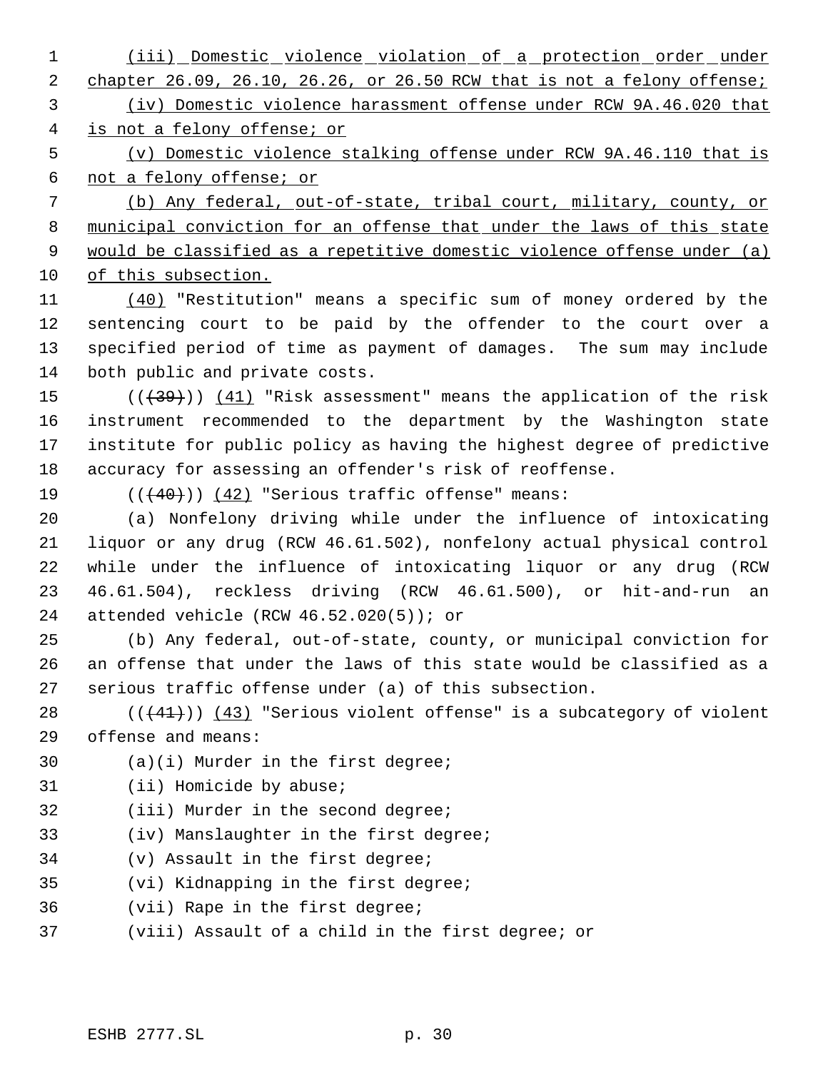(iii) Domestic violence violation of a protection order under 2 chapter 26.09, 26.10, 26.26, or 26.50 RCW that is not a felony offense; (iv) Domestic violence harassment offense under RCW 9A.46.020 that

is not a felony offense; or

 (v) Domestic violence stalking offense under RCW 9A.46.110 that is not a felony offense; or

 (b) Any federal, out-of-state, tribal court, military, county, or 8 municipal conviction for an offense that under the laws of this state 9 would be classified as a repetitive domestic violence offense under (a) of this subsection.

 (40) "Restitution" means a specific sum of money ordered by the sentencing court to be paid by the offender to the court over a specified period of time as payment of damages. The sum may include both public and private costs.

 $((+39))$   $(41)$  "Risk assessment" means the application of the risk instrument recommended to the department by the Washington state institute for public policy as having the highest degree of predictive accuracy for assessing an offender's risk of reoffense.

19  $((40))$   $(42)$  "Serious traffic offense" means:

 (a) Nonfelony driving while under the influence of intoxicating liquor or any drug (RCW 46.61.502), nonfelony actual physical control while under the influence of intoxicating liquor or any drug (RCW 46.61.504), reckless driving (RCW 46.61.500), or hit-and-run an attended vehicle (RCW 46.52.020(5)); or

 (b) Any federal, out-of-state, county, or municipal conviction for an offense that under the laws of this state would be classified as a serious traffic offense under (a) of this subsection.

28  $((41))$   $(43)$  "Serious violent offense" is a subcategory of violent offense and means:

(a)(i) Murder in the first degree;

- (ii) Homicide by abuse;
- (iii) Murder in the second degree;
- (iv) Manslaughter in the first degree;
- (v) Assault in the first degree;
- (vi) Kidnapping in the first degree;
- (vii) Rape in the first degree;
- (viii) Assault of a child in the first degree; or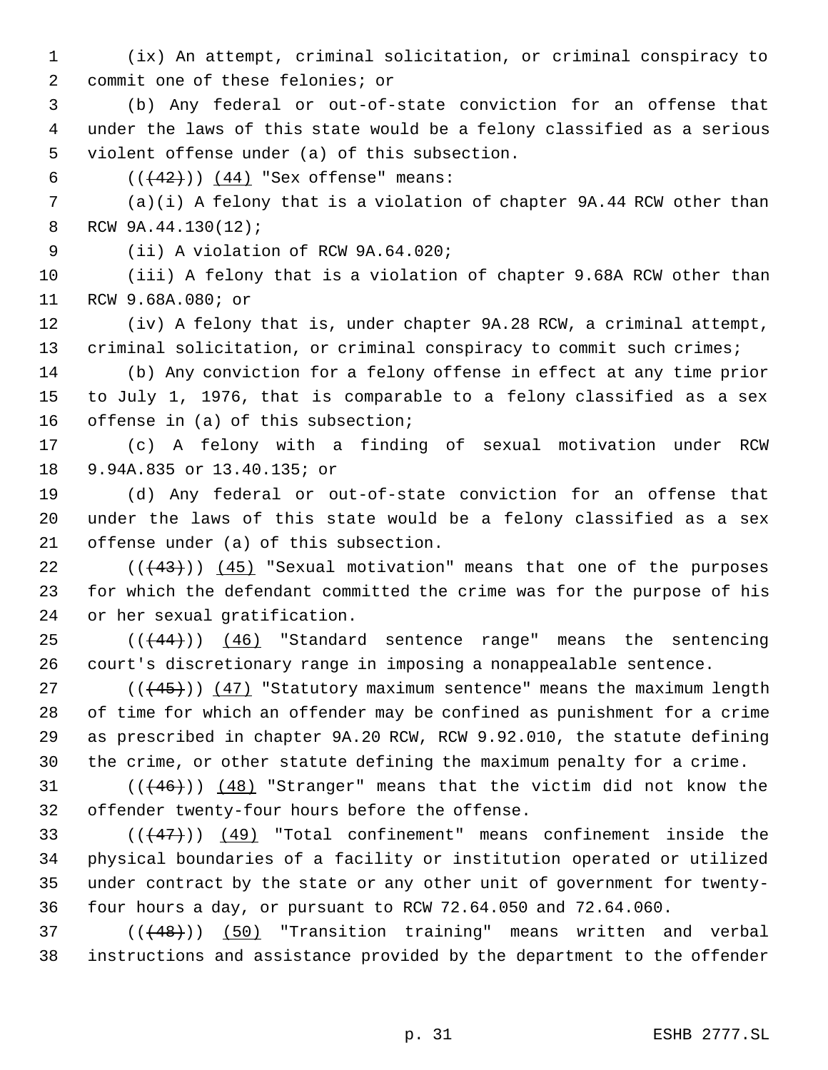- (ix) An attempt, criminal solicitation, or criminal conspiracy to commit one of these felonies; or
- (b) Any federal or out-of-state conviction for an offense that under the laws of this state would be a felony classified as a serious violent offense under (a) of this subsection.
- 6  $((+42))$   $(44)$  "Sex offense" means:
- (a)(i) A felony that is a violation of chapter 9A.44 RCW other than RCW 9A.44.130(12);
- (ii) A violation of RCW 9A.64.020;

 (iii) A felony that is a violation of chapter 9.68A RCW other than RCW 9.68A.080; or

 (iv) A felony that is, under chapter 9A.28 RCW, a criminal attempt, 13 criminal solicitation, or criminal conspiracy to commit such crimes;

 (b) Any conviction for a felony offense in effect at any time prior to July 1, 1976, that is comparable to a felony classified as a sex offense in (a) of this subsection;

 (c) A felony with a finding of sexual motivation under RCW 9.94A.835 or 13.40.135; or

 (d) Any federal or out-of-state conviction for an offense that under the laws of this state would be a felony classified as a sex offense under (a) of this subsection.

22  $((+43))$   $(45)$  "Sexual motivation" means that one of the purposes for which the defendant committed the crime was for the purpose of his or her sexual gratification.

 $((444))$  (46) "Standard sentence range" means the sentencing court's discretionary range in imposing a nonappealable sentence.

 $((445))$   $(47)$  "Statutory maximum sentence" means the maximum length of time for which an offender may be confined as punishment for a crime as prescribed in chapter 9A.20 RCW, RCW 9.92.010, the statute defining the crime, or other statute defining the maximum penalty for a crime.

31  $((46))$   $(48)$  "Stranger" means that the victim did not know the offender twenty-four hours before the offense.

 $((47))$   $(49)$  "Total confinement" means confinement inside the physical boundaries of a facility or institution operated or utilized under contract by the state or any other unit of government for twenty-four hours a day, or pursuant to RCW 72.64.050 and 72.64.060.

37 (((48))) (50) "Transition training" means written and verbal instructions and assistance provided by the department to the offender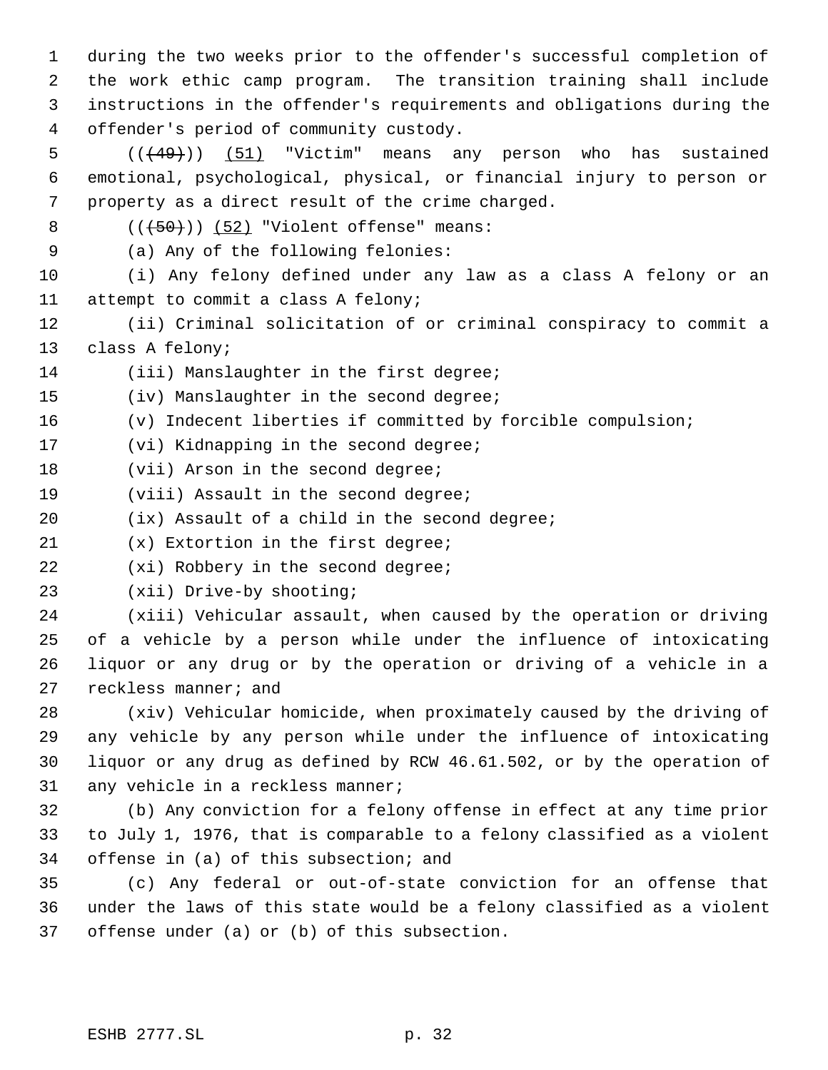during the two weeks prior to the offender's successful completion of the work ethic camp program. The transition training shall include instructions in the offender's requirements and obligations during the offender's period of community custody.

5  $((49)$ )  $(51)$  "Victim" means any person who has sustained emotional, psychological, physical, or financial injury to person or property as a direct result of the crime charged.

( $(\overline{+50})$ ) (52) "Violent offense" means:

(a) Any of the following felonies:

 (i) Any felony defined under any law as a class A felony or an attempt to commit a class A felony;

 (ii) Criminal solicitation of or criminal conspiracy to commit a class A felony;

14 (iii) Manslaughter in the first degree;

15 (iv) Manslaughter in the second degree;

(v) Indecent liberties if committed by forcible compulsion;

(vi) Kidnapping in the second degree;

18 (vii) Arson in the second degree;

(viii) Assault in the second degree;

(ix) Assault of a child in the second degree;

(x) Extortion in the first degree;

22 (xi) Robbery in the second degree;

(xii) Drive-by shooting;

 (xiii) Vehicular assault, when caused by the operation or driving of a vehicle by a person while under the influence of intoxicating liquor or any drug or by the operation or driving of a vehicle in a reckless manner; and

 (xiv) Vehicular homicide, when proximately caused by the driving of any vehicle by any person while under the influence of intoxicating liquor or any drug as defined by RCW 46.61.502, or by the operation of any vehicle in a reckless manner;

 (b) Any conviction for a felony offense in effect at any time prior to July 1, 1976, that is comparable to a felony classified as a violent offense in (a) of this subsection; and

 (c) Any federal or out-of-state conviction for an offense that under the laws of this state would be a felony classified as a violent offense under (a) or (b) of this subsection.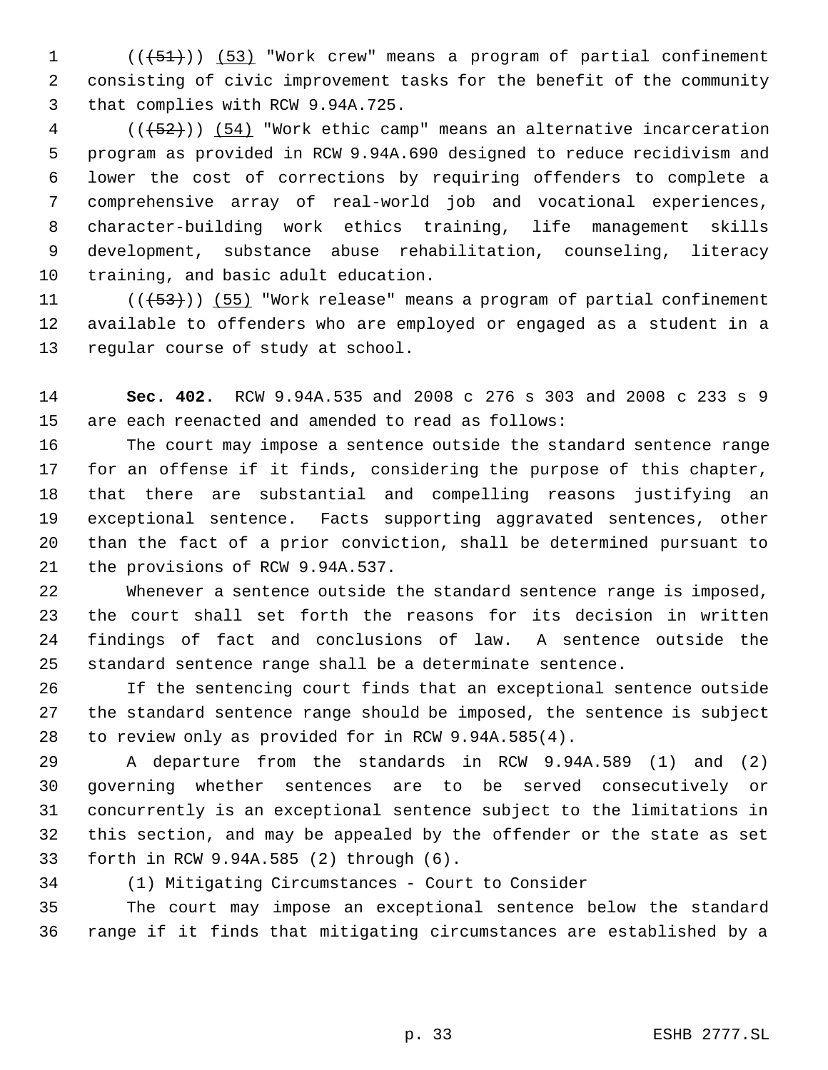(( $\left(\frac{51}{1}\right)$ ) (53) "Work crew" means a program of partial confinement consisting of civic improvement tasks for the benefit of the community that complies with RCW 9.94A.725.

4 (( $(52)$ )) (54) "Work ethic camp" means an alternative incarceration program as provided in RCW 9.94A.690 designed to reduce recidivism and lower the cost of corrections by requiring offenders to complete a comprehensive array of real-world job and vocational experiences, character-building work ethics training, life management skills development, substance abuse rehabilitation, counseling, literacy training, and basic adult education.

11 (( $\left(\frac{53}{1}\right)$ ) (55) "Work release" means a program of partial confinement available to offenders who are employed or engaged as a student in a regular course of study at school.

 **Sec. 402.** RCW 9.94A.535 and 2008 c 276 s 303 and 2008 c 233 s 9 are each reenacted and amended to read as follows:

 The court may impose a sentence outside the standard sentence range for an offense if it finds, considering the purpose of this chapter, that there are substantial and compelling reasons justifying an exceptional sentence. Facts supporting aggravated sentences, other than the fact of a prior conviction, shall be determined pursuant to the provisions of RCW 9.94A.537.

 Whenever a sentence outside the standard sentence range is imposed, the court shall set forth the reasons for its decision in written findings of fact and conclusions of law. A sentence outside the standard sentence range shall be a determinate sentence.

 If the sentencing court finds that an exceptional sentence outside the standard sentence range should be imposed, the sentence is subject to review only as provided for in RCW 9.94A.585(4).

 A departure from the standards in RCW 9.94A.589 (1) and (2) governing whether sentences are to be served consecutively or concurrently is an exceptional sentence subject to the limitations in this section, and may be appealed by the offender or the state as set forth in RCW 9.94A.585 (2) through (6).

(1) Mitigating Circumstances - Court to Consider

 The court may impose an exceptional sentence below the standard range if it finds that mitigating circumstances are established by a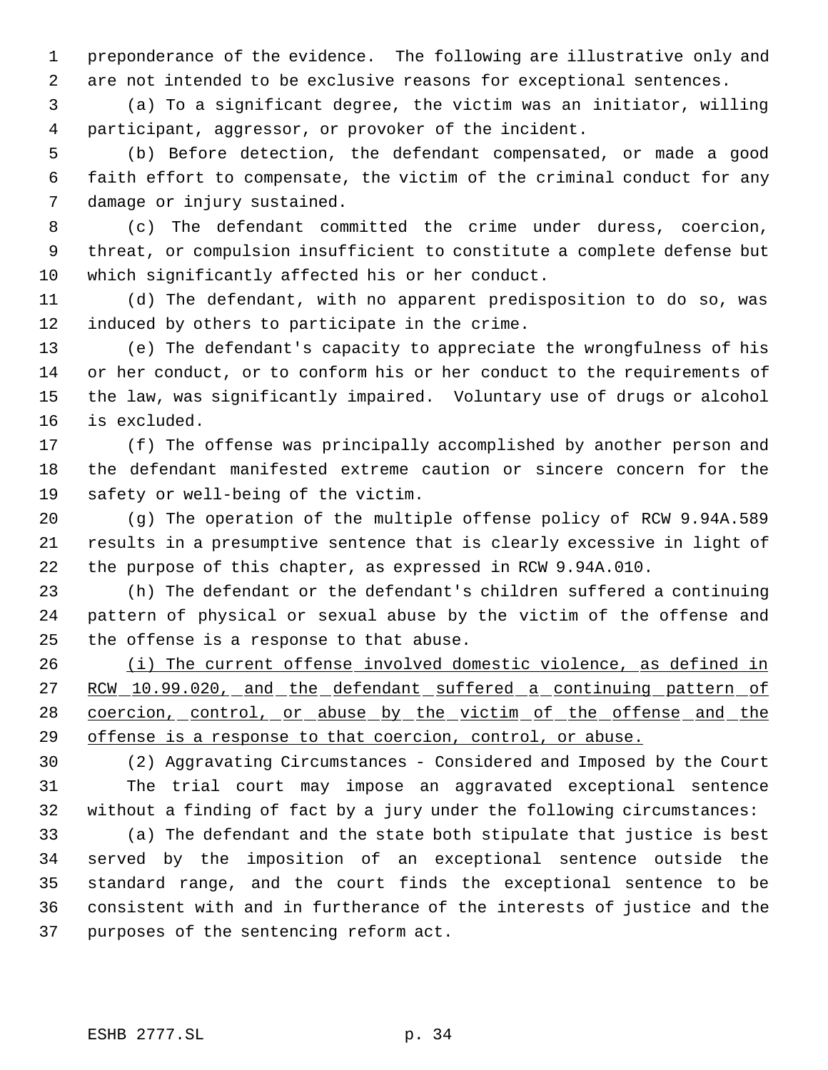preponderance of the evidence. The following are illustrative only and are not intended to be exclusive reasons for exceptional sentences.

 (a) To a significant degree, the victim was an initiator, willing participant, aggressor, or provoker of the incident.

 (b) Before detection, the defendant compensated, or made a good faith effort to compensate, the victim of the criminal conduct for any damage or injury sustained.

 (c) The defendant committed the crime under duress, coercion, threat, or compulsion insufficient to constitute a complete defense but which significantly affected his or her conduct.

 (d) The defendant, with no apparent predisposition to do so, was induced by others to participate in the crime.

 (e) The defendant's capacity to appreciate the wrongfulness of his or her conduct, or to conform his or her conduct to the requirements of the law, was significantly impaired. Voluntary use of drugs or alcohol is excluded.

 (f) The offense was principally accomplished by another person and the defendant manifested extreme caution or sincere concern for the safety or well-being of the victim.

 (g) The operation of the multiple offense policy of RCW 9.94A.589 results in a presumptive sentence that is clearly excessive in light of the purpose of this chapter, as expressed in RCW 9.94A.010.

 (h) The defendant or the defendant's children suffered a continuing pattern of physical or sexual abuse by the victim of the offense and the offense is a response to that abuse.

26 (i) The current offense involved domestic violence, as defined in 27 RCW 10.99.020, and the defendant suffered a continuing pattern of 28 coercion, control, or abuse by the victim of the offense and the 29 offense is a response to that coercion, control, or abuse.

 (2) Aggravating Circumstances - Considered and Imposed by the Court The trial court may impose an aggravated exceptional sentence without a finding of fact by a jury under the following circumstances:

 (a) The defendant and the state both stipulate that justice is best served by the imposition of an exceptional sentence outside the standard range, and the court finds the exceptional sentence to be consistent with and in furtherance of the interests of justice and the purposes of the sentencing reform act.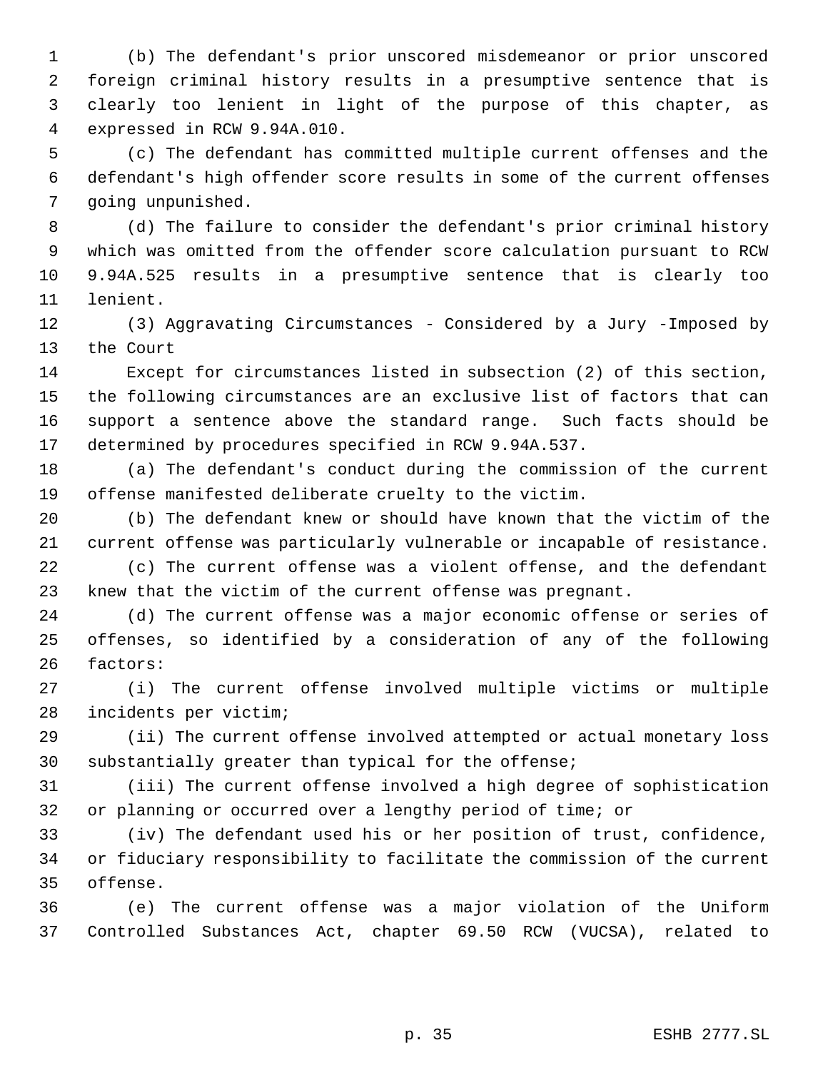(b) The defendant's prior unscored misdemeanor or prior unscored foreign criminal history results in a presumptive sentence that is clearly too lenient in light of the purpose of this chapter, as expressed in RCW 9.94A.010.

 (c) The defendant has committed multiple current offenses and the defendant's high offender score results in some of the current offenses going unpunished.

 (d) The failure to consider the defendant's prior criminal history which was omitted from the offender score calculation pursuant to RCW 9.94A.525 results in a presumptive sentence that is clearly too lenient.

 (3) Aggravating Circumstances - Considered by a Jury -Imposed by the Court

 Except for circumstances listed in subsection (2) of this section, the following circumstances are an exclusive list of factors that can support a sentence above the standard range. Such facts should be determined by procedures specified in RCW 9.94A.537.

 (a) The defendant's conduct during the commission of the current offense manifested deliberate cruelty to the victim.

 (b) The defendant knew or should have known that the victim of the current offense was particularly vulnerable or incapable of resistance.

 (c) The current offense was a violent offense, and the defendant knew that the victim of the current offense was pregnant.

 (d) The current offense was a major economic offense or series of offenses, so identified by a consideration of any of the following factors:

 (i) The current offense involved multiple victims or multiple incidents per victim;

 (ii) The current offense involved attempted or actual monetary loss substantially greater than typical for the offense;

 (iii) The current offense involved a high degree of sophistication or planning or occurred over a lengthy period of time; or

 (iv) The defendant used his or her position of trust, confidence, or fiduciary responsibility to facilitate the commission of the current offense.

 (e) The current offense was a major violation of the Uniform Controlled Substances Act, chapter 69.50 RCW (VUCSA), related to

p. 35 ESHB 2777.SL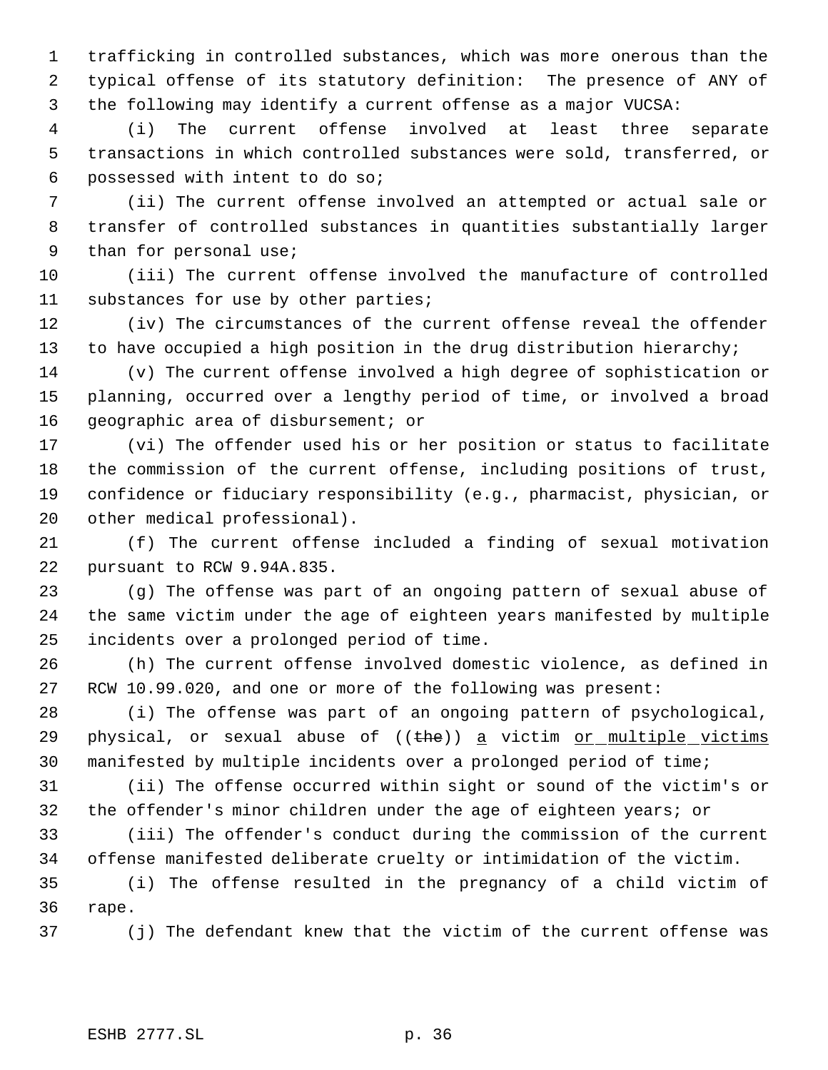trafficking in controlled substances, which was more onerous than the typical offense of its statutory definition: The presence of ANY of the following may identify a current offense as a major VUCSA:

 (i) The current offense involved at least three separate transactions in which controlled substances were sold, transferred, or possessed with intent to do so;

 (ii) The current offense involved an attempted or actual sale or transfer of controlled substances in quantities substantially larger than for personal use;

 (iii) The current offense involved the manufacture of controlled substances for use by other parties;

 (iv) The circumstances of the current offense reveal the offender to have occupied a high position in the drug distribution hierarchy;

 (v) The current offense involved a high degree of sophistication or planning, occurred over a lengthy period of time, or involved a broad geographic area of disbursement; or

 (vi) The offender used his or her position or status to facilitate the commission of the current offense, including positions of trust, confidence or fiduciary responsibility (e.g., pharmacist, physician, or other medical professional).

 (f) The current offense included a finding of sexual motivation pursuant to RCW 9.94A.835.

 (g) The offense was part of an ongoing pattern of sexual abuse of the same victim under the age of eighteen years manifested by multiple incidents over a prolonged period of time.

 (h) The current offense involved domestic violence, as defined in RCW 10.99.020, and one or more of the following was present:

 (i) The offense was part of an ongoing pattern of psychological, 29 physical, or sexual abuse of  $((the)$  a victim or multiple victims manifested by multiple incidents over a prolonged period of time;

 (ii) The offense occurred within sight or sound of the victim's or the offender's minor children under the age of eighteen years; or

 (iii) The offender's conduct during the commission of the current offense manifested deliberate cruelty or intimidation of the victim.

 (i) The offense resulted in the pregnancy of a child victim of rape.

(j) The defendant knew that the victim of the current offense was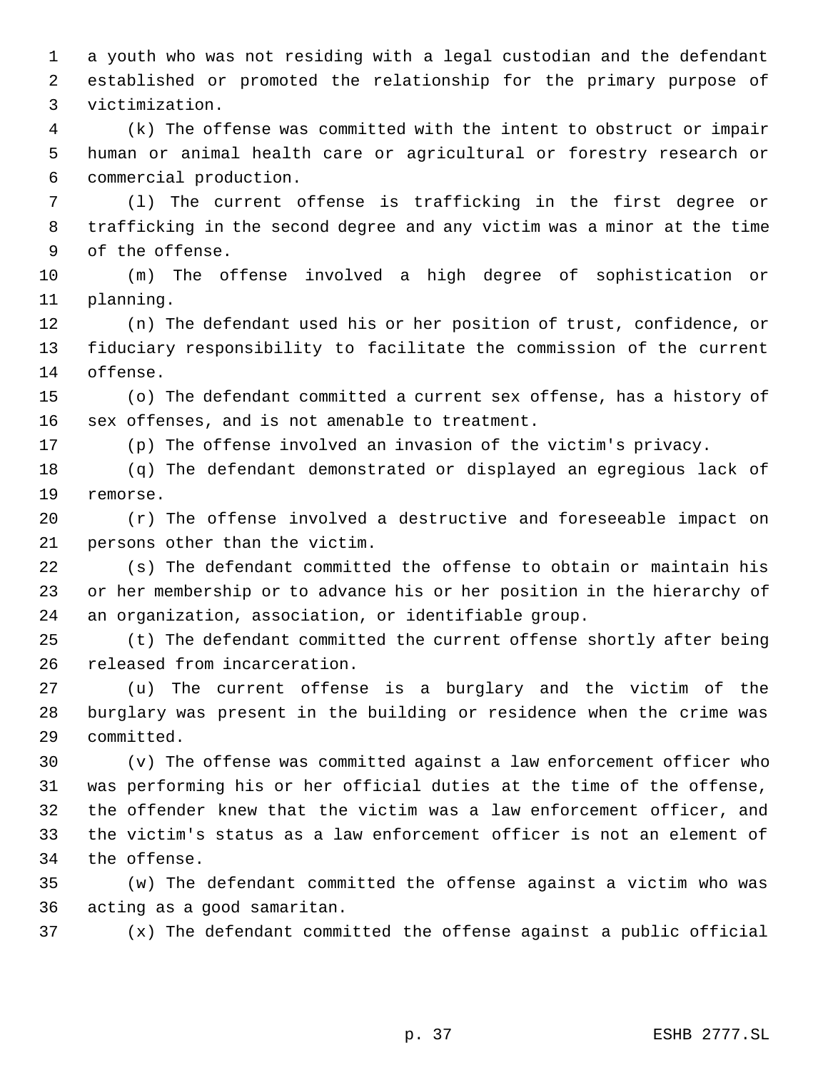a youth who was not residing with a legal custodian and the defendant established or promoted the relationship for the primary purpose of victimization.

 (k) The offense was committed with the intent to obstruct or impair human or animal health care or agricultural or forestry research or commercial production.

 (l) The current offense is trafficking in the first degree or trafficking in the second degree and any victim was a minor at the time of the offense.

 (m) The offense involved a high degree of sophistication or planning.

 (n) The defendant used his or her position of trust, confidence, or fiduciary responsibility to facilitate the commission of the current offense.

 (o) The defendant committed a current sex offense, has a history of sex offenses, and is not amenable to treatment.

(p) The offense involved an invasion of the victim's privacy.

 (q) The defendant demonstrated or displayed an egregious lack of remorse.

 (r) The offense involved a destructive and foreseeable impact on persons other than the victim.

 (s) The defendant committed the offense to obtain or maintain his or her membership or to advance his or her position in the hierarchy of an organization, association, or identifiable group.

 (t) The defendant committed the current offense shortly after being released from incarceration.

 (u) The current offense is a burglary and the victim of the burglary was present in the building or residence when the crime was committed.

 (v) The offense was committed against a law enforcement officer who was performing his or her official duties at the time of the offense, the offender knew that the victim was a law enforcement officer, and the victim's status as a law enforcement officer is not an element of the offense.

 (w) The defendant committed the offense against a victim who was acting as a good samaritan.

(x) The defendant committed the offense against a public official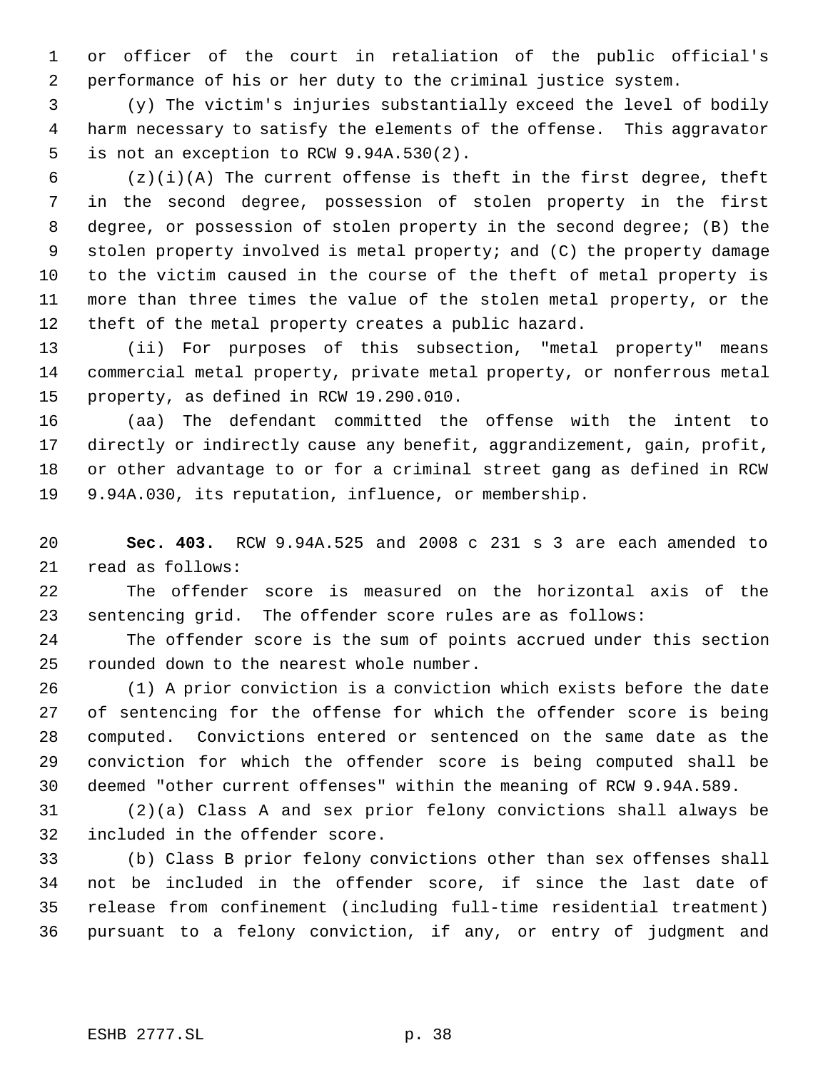or officer of the court in retaliation of the public official's performance of his or her duty to the criminal justice system.

 (y) The victim's injuries substantially exceed the level of bodily harm necessary to satisfy the elements of the offense. This aggravator is not an exception to RCW 9.94A.530(2).

 $(2)(i)(A)$  The current offense is theft in the first degree, theft in the second degree, possession of stolen property in the first degree, or possession of stolen property in the second degree; (B) the stolen property involved is metal property; and (C) the property damage to the victim caused in the course of the theft of metal property is more than three times the value of the stolen metal property, or the theft of the metal property creates a public hazard.

 (ii) For purposes of this subsection, "metal property" means commercial metal property, private metal property, or nonferrous metal property, as defined in RCW 19.290.010.

 (aa) The defendant committed the offense with the intent to directly or indirectly cause any benefit, aggrandizement, gain, profit, or other advantage to or for a criminal street gang as defined in RCW 9.94A.030, its reputation, influence, or membership.

 **Sec. 403.** RCW 9.94A.525 and 2008 c 231 s 3 are each amended to read as follows:

 The offender score is measured on the horizontal axis of the sentencing grid. The offender score rules are as follows:

 The offender score is the sum of points accrued under this section rounded down to the nearest whole number.

 (1) A prior conviction is a conviction which exists before the date of sentencing for the offense for which the offender score is being computed. Convictions entered or sentenced on the same date as the conviction for which the offender score is being computed shall be deemed "other current offenses" within the meaning of RCW 9.94A.589.

 (2)(a) Class A and sex prior felony convictions shall always be included in the offender score.

 (b) Class B prior felony convictions other than sex offenses shall not be included in the offender score, if since the last date of release from confinement (including full-time residential treatment) pursuant to a felony conviction, if any, or entry of judgment and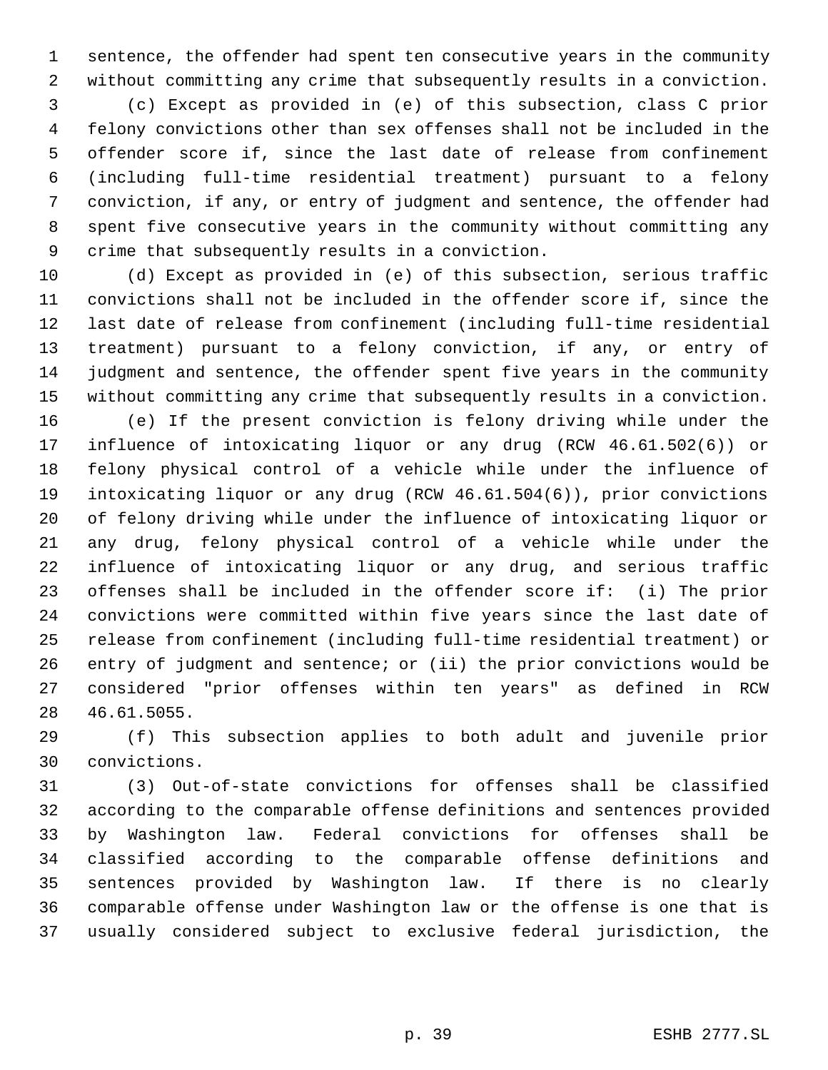sentence, the offender had spent ten consecutive years in the community without committing any crime that subsequently results in a conviction.

 (c) Except as provided in (e) of this subsection, class C prior felony convictions other than sex offenses shall not be included in the offender score if, since the last date of release from confinement (including full-time residential treatment) pursuant to a felony conviction, if any, or entry of judgment and sentence, the offender had spent five consecutive years in the community without committing any crime that subsequently results in a conviction.

 (d) Except as provided in (e) of this subsection, serious traffic convictions shall not be included in the offender score if, since the last date of release from confinement (including full-time residential treatment) pursuant to a felony conviction, if any, or entry of judgment and sentence, the offender spent five years in the community without committing any crime that subsequently results in a conviction. (e) If the present conviction is felony driving while under the influence of intoxicating liquor or any drug (RCW 46.61.502(6)) or felony physical control of a vehicle while under the influence of intoxicating liquor or any drug (RCW 46.61.504(6)), prior convictions of felony driving while under the influence of intoxicating liquor or any drug, felony physical control of a vehicle while under the influence of intoxicating liquor or any drug, and serious traffic offenses shall be included in the offender score if: (i) The prior convictions were committed within five years since the last date of release from confinement (including full-time residential treatment) or entry of judgment and sentence; or (ii) the prior convictions would be considered "prior offenses within ten years" as defined in RCW 46.61.5055.

 (f) This subsection applies to both adult and juvenile prior convictions.

 (3) Out-of-state convictions for offenses shall be classified according to the comparable offense definitions and sentences provided by Washington law. Federal convictions for offenses shall be classified according to the comparable offense definitions and sentences provided by Washington law. If there is no clearly comparable offense under Washington law or the offense is one that is usually considered subject to exclusive federal jurisdiction, the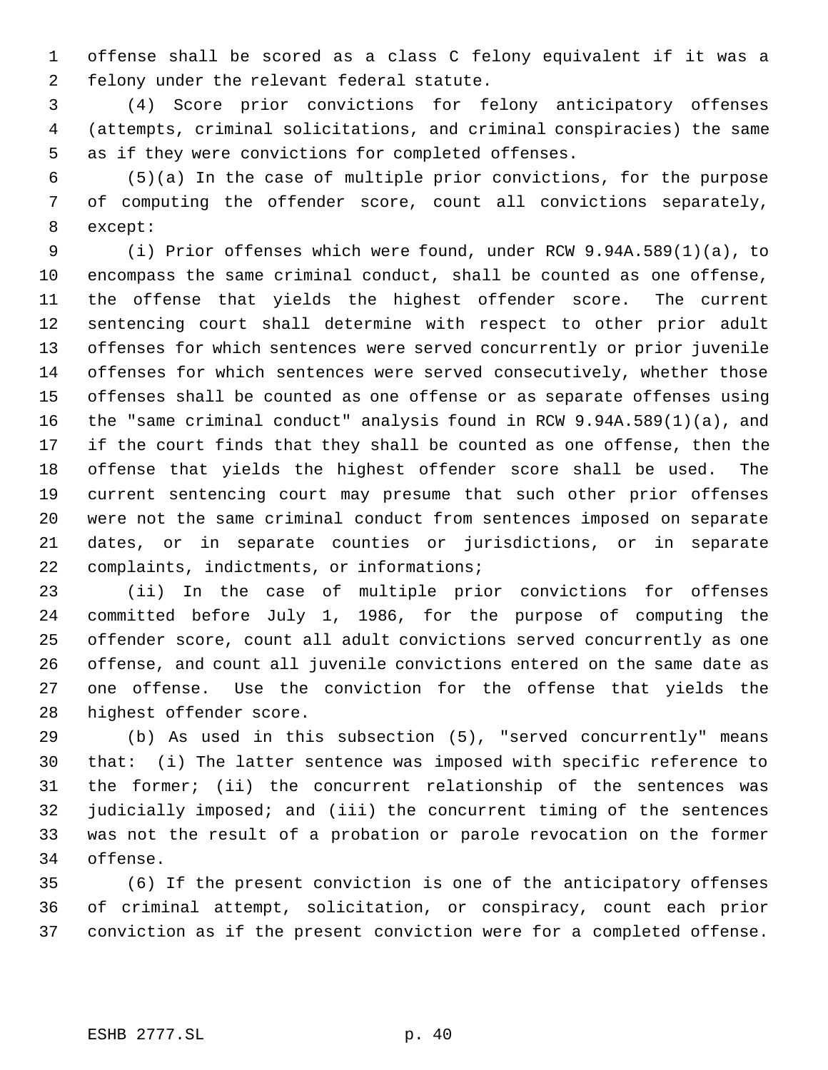offense shall be scored as a class C felony equivalent if it was a felony under the relevant federal statute.

 (4) Score prior convictions for felony anticipatory offenses (attempts, criminal solicitations, and criminal conspiracies) the same as if they were convictions for completed offenses.

 (5)(a) In the case of multiple prior convictions, for the purpose of computing the offender score, count all convictions separately, except:

 (i) Prior offenses which were found, under RCW 9.94A.589(1)(a), to encompass the same criminal conduct, shall be counted as one offense, the offense that yields the highest offender score. The current sentencing court shall determine with respect to other prior adult offenses for which sentences were served concurrently or prior juvenile offenses for which sentences were served consecutively, whether those offenses shall be counted as one offense or as separate offenses using the "same criminal conduct" analysis found in RCW 9.94A.589(1)(a), and if the court finds that they shall be counted as one offense, then the offense that yields the highest offender score shall be used. The current sentencing court may presume that such other prior offenses were not the same criminal conduct from sentences imposed on separate dates, or in separate counties or jurisdictions, or in separate 22 complaints, indictments, or informations;

 (ii) In the case of multiple prior convictions for offenses committed before July 1, 1986, for the purpose of computing the offender score, count all adult convictions served concurrently as one offense, and count all juvenile convictions entered on the same date as one offense. Use the conviction for the offense that yields the highest offender score.

 (b) As used in this subsection (5), "served concurrently" means that: (i) The latter sentence was imposed with specific reference to the former; (ii) the concurrent relationship of the sentences was judicially imposed; and (iii) the concurrent timing of the sentences was not the result of a probation or parole revocation on the former offense.

 (6) If the present conviction is one of the anticipatory offenses of criminal attempt, solicitation, or conspiracy, count each prior conviction as if the present conviction were for a completed offense.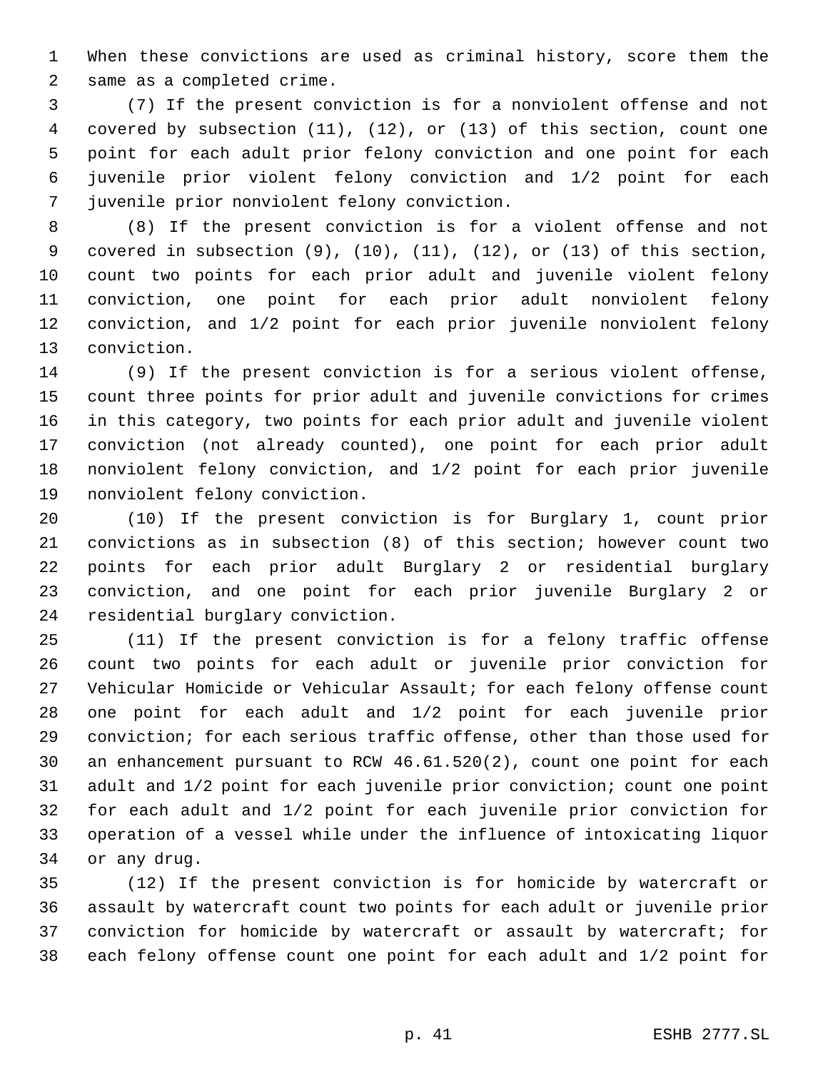When these convictions are used as criminal history, score them the same as a completed crime.

 (7) If the present conviction is for a nonviolent offense and not covered by subsection (11), (12), or (13) of this section, count one point for each adult prior felony conviction and one point for each juvenile prior violent felony conviction and 1/2 point for each juvenile prior nonviolent felony conviction.

 (8) If the present conviction is for a violent offense and not covered in subsection (9), (10), (11), (12), or (13) of this section, count two points for each prior adult and juvenile violent felony conviction, one point for each prior adult nonviolent felony conviction, and 1/2 point for each prior juvenile nonviolent felony conviction.

 (9) If the present conviction is for a serious violent offense, count three points for prior adult and juvenile convictions for crimes in this category, two points for each prior adult and juvenile violent conviction (not already counted), one point for each prior adult nonviolent felony conviction, and 1/2 point for each prior juvenile nonviolent felony conviction.

 (10) If the present conviction is for Burglary 1, count prior convictions as in subsection (8) of this section; however count two points for each prior adult Burglary 2 or residential burglary conviction, and one point for each prior juvenile Burglary 2 or residential burglary conviction.

 (11) If the present conviction is for a felony traffic offense count two points for each adult or juvenile prior conviction for Vehicular Homicide or Vehicular Assault; for each felony offense count one point for each adult and 1/2 point for each juvenile prior conviction; for each serious traffic offense, other than those used for an enhancement pursuant to RCW 46.61.520(2), count one point for each adult and 1/2 point for each juvenile prior conviction; count one point for each adult and 1/2 point for each juvenile prior conviction for operation of a vessel while under the influence of intoxicating liquor or any drug.

 (12) If the present conviction is for homicide by watercraft or assault by watercraft count two points for each adult or juvenile prior conviction for homicide by watercraft or assault by watercraft; for each felony offense count one point for each adult and 1/2 point for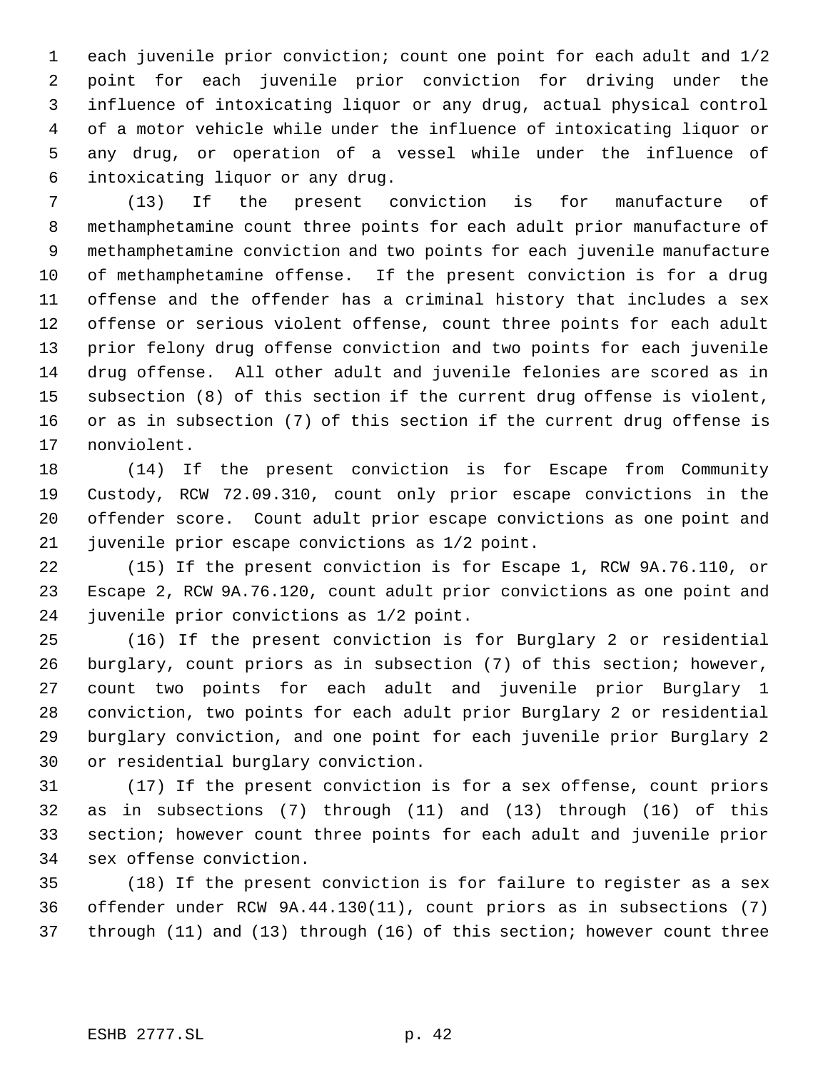each juvenile prior conviction; count one point for each adult and 1/2 point for each juvenile prior conviction for driving under the influence of intoxicating liquor or any drug, actual physical control of a motor vehicle while under the influence of intoxicating liquor or any drug, or operation of a vessel while under the influence of intoxicating liquor or any drug.

 (13) If the present conviction is for manufacture of methamphetamine count three points for each adult prior manufacture of methamphetamine conviction and two points for each juvenile manufacture of methamphetamine offense. If the present conviction is for a drug offense and the offender has a criminal history that includes a sex offense or serious violent offense, count three points for each adult prior felony drug offense conviction and two points for each juvenile drug offense. All other adult and juvenile felonies are scored as in subsection (8) of this section if the current drug offense is violent, or as in subsection (7) of this section if the current drug offense is nonviolent.

 (14) If the present conviction is for Escape from Community Custody, RCW 72.09.310, count only prior escape convictions in the offender score. Count adult prior escape convictions as one point and juvenile prior escape convictions as 1/2 point.

 (15) If the present conviction is for Escape 1, RCW 9A.76.110, or Escape 2, RCW 9A.76.120, count adult prior convictions as one point and juvenile prior convictions as 1/2 point.

 (16) If the present conviction is for Burglary 2 or residential burglary, count priors as in subsection (7) of this section; however, count two points for each adult and juvenile prior Burglary 1 conviction, two points for each adult prior Burglary 2 or residential burglary conviction, and one point for each juvenile prior Burglary 2 or residential burglary conviction.

 (17) If the present conviction is for a sex offense, count priors as in subsections (7) through (11) and (13) through (16) of this section; however count three points for each adult and juvenile prior sex offense conviction.

 (18) If the present conviction is for failure to register as a sex offender under RCW 9A.44.130(11), count priors as in subsections (7) through (11) and (13) through (16) of this section; however count three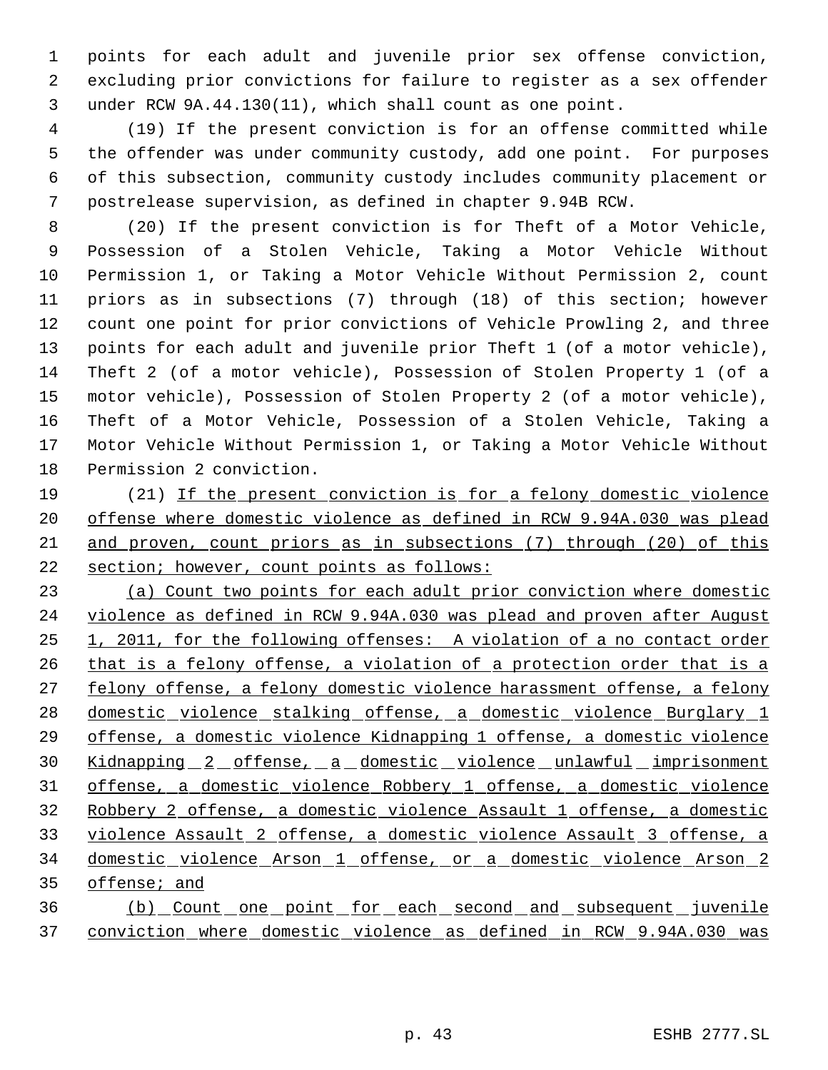points for each adult and juvenile prior sex offense conviction, excluding prior convictions for failure to register as a sex offender under RCW 9A.44.130(11), which shall count as one point.

 (19) If the present conviction is for an offense committed while the offender was under community custody, add one point. For purposes of this subsection, community custody includes community placement or postrelease supervision, as defined in chapter 9.94B RCW.

 (20) If the present conviction is for Theft of a Motor Vehicle, Possession of a Stolen Vehicle, Taking a Motor Vehicle Without Permission 1, or Taking a Motor Vehicle Without Permission 2, count priors as in subsections (7) through (18) of this section; however count one point for prior convictions of Vehicle Prowling 2, and three points for each adult and juvenile prior Theft 1 (of a motor vehicle), Theft 2 (of a motor vehicle), Possession of Stolen Property 1 (of a motor vehicle), Possession of Stolen Property 2 (of a motor vehicle), Theft of a Motor Vehicle, Possession of a Stolen Vehicle, Taking a Motor Vehicle Without Permission 1, or Taking a Motor Vehicle Without Permission 2 conviction.

 (21) If the present conviction is for a felony domestic violence offense where domestic violence as defined in RCW 9.94A.030 was plead and proven, count priors as in subsections (7) through (20) of this section; however, count points as follows:

 (a) Count two points for each adult prior conviction where domestic violence as defined in RCW 9.94A.030 was plead and proven after August 1, 2011, for the following offenses: A violation of a no contact order 26 that is a felony offense, a violation of a protection order that is a 27 felony offense, a felony domestic violence harassment offense, a felony 28 domestic violence stalking offense, a domestic violence Burglary 1 offense, a domestic violence Kidnapping 1 offense, a domestic violence Kidnapping 2 offense, a domestic violence unlawful imprisonment offense, a domestic violence Robbery 1 offense, a domestic violence Robbery 2 offense, a domestic violence Assault 1 offense, a domestic violence Assault 2 offense, a domestic violence Assault 3 offense, a domestic violence Arson 1 offense, or a domestic violence Arson 2 offense; and (b) Count one point for each second and subsequent juvenile

conviction where domestic violence as defined in RCW 9.94A.030 was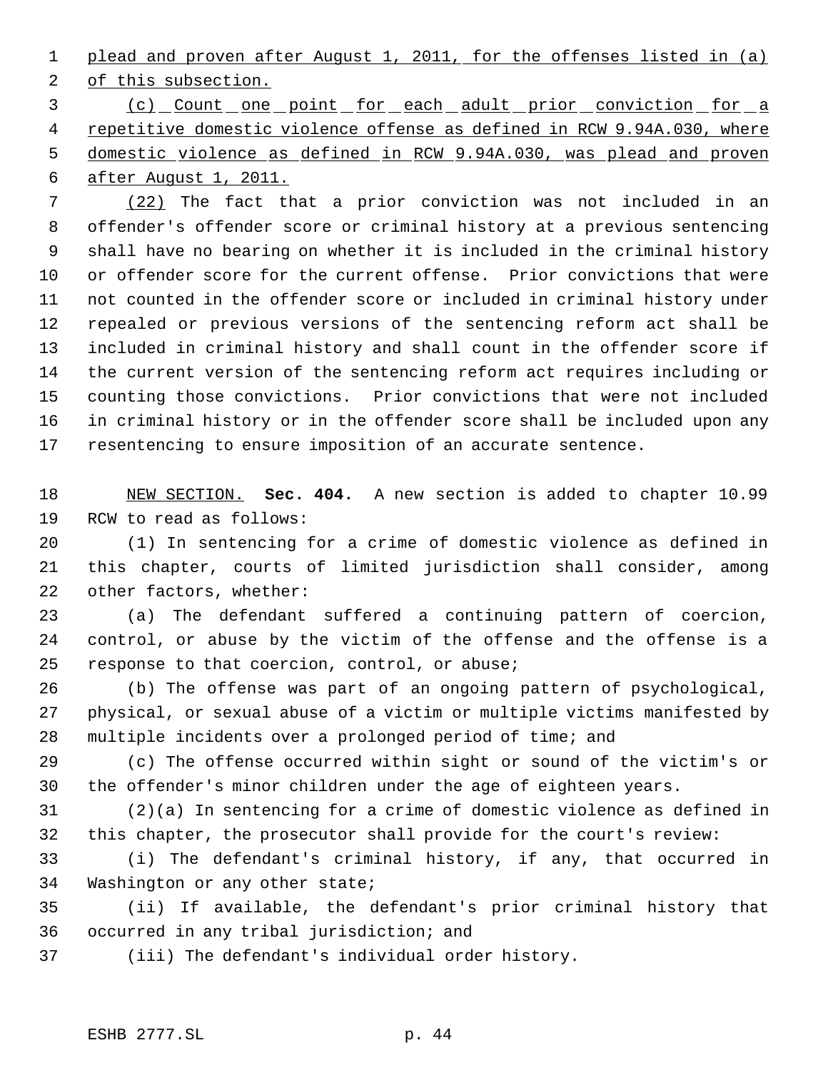plead and proven after August 1, 2011, for the offenses listed in (a)

2 of this subsection.

 (c) Count one point for each adult prior conviction for a repetitive domestic violence offense as defined in RCW 9.94A.030, where domestic violence as defined in RCW 9.94A.030, was plead and proven after August 1, 2011.

 (22) The fact that a prior conviction was not included in an offender's offender score or criminal history at a previous sentencing shall have no bearing on whether it is included in the criminal history or offender score for the current offense. Prior convictions that were not counted in the offender score or included in criminal history under repealed or previous versions of the sentencing reform act shall be included in criminal history and shall count in the offender score if the current version of the sentencing reform act requires including or counting those convictions. Prior convictions that were not included in criminal history or in the offender score shall be included upon any resentencing to ensure imposition of an accurate sentence.

 NEW SECTION. **Sec. 404.** A new section is added to chapter 10.99 RCW to read as follows:

 (1) In sentencing for a crime of domestic violence as defined in this chapter, courts of limited jurisdiction shall consider, among other factors, whether:

 (a) The defendant suffered a continuing pattern of coercion, control, or abuse by the victim of the offense and the offense is a response to that coercion, control, or abuse;

 (b) The offense was part of an ongoing pattern of psychological, physical, or sexual abuse of a victim or multiple victims manifested by multiple incidents over a prolonged period of time; and

 (c) The offense occurred within sight or sound of the victim's or the offender's minor children under the age of eighteen years.

 (2)(a) In sentencing for a crime of domestic violence as defined in this chapter, the prosecutor shall provide for the court's review:

 (i) The defendant's criminal history, if any, that occurred in Washington or any other state;

 (ii) If available, the defendant's prior criminal history that occurred in any tribal jurisdiction; and

(iii) The defendant's individual order history.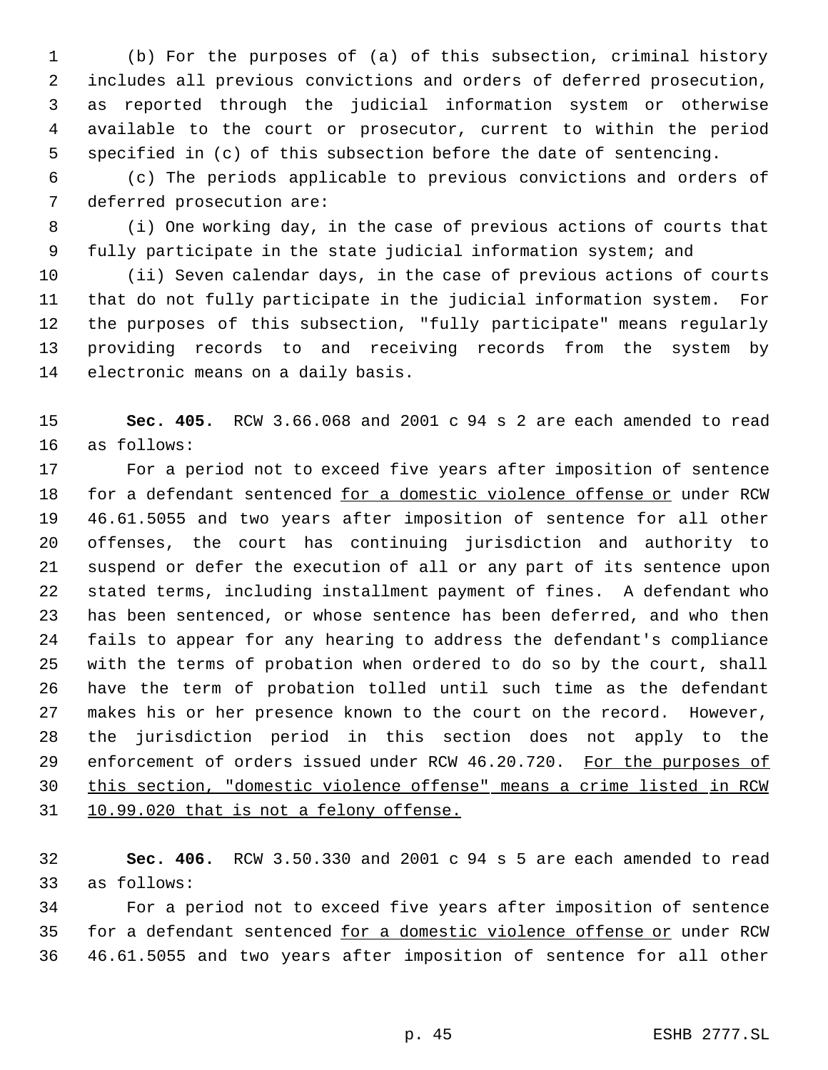(b) For the purposes of (a) of this subsection, criminal history includes all previous convictions and orders of deferred prosecution, as reported through the judicial information system or otherwise available to the court or prosecutor, current to within the period specified in (c) of this subsection before the date of sentencing.

 (c) The periods applicable to previous convictions and orders of deferred prosecution are:

 (i) One working day, in the case of previous actions of courts that fully participate in the state judicial information system; and

 (ii) Seven calendar days, in the case of previous actions of courts that do not fully participate in the judicial information system. For the purposes of this subsection, "fully participate" means regularly providing records to and receiving records from the system by electronic means on a daily basis.

 **Sec. 405.** RCW 3.66.068 and 2001 c 94 s 2 are each amended to read as follows:

 For a period not to exceed five years after imposition of sentence for a defendant sentenced for a domestic violence offense or under RCW 46.61.5055 and two years after imposition of sentence for all other offenses, the court has continuing jurisdiction and authority to suspend or defer the execution of all or any part of its sentence upon stated terms, including installment payment of fines. A defendant who has been sentenced, or whose sentence has been deferred, and who then fails to appear for any hearing to address the defendant's compliance with the terms of probation when ordered to do so by the court, shall have the term of probation tolled until such time as the defendant makes his or her presence known to the court on the record. However, the jurisdiction period in this section does not apply to the 29 enforcement of orders issued under RCW 46.20.720. For the purposes of this section, "domestic violence offense" means a crime listed in RCW 31 10.99.020 that is not a felony offense.

 **Sec. 406.** RCW 3.50.330 and 2001 c 94 s 5 are each amended to read as follows:

 For a period not to exceed five years after imposition of sentence 35 for a defendant sentenced for a domestic violence offense or under RCW 46.61.5055 and two years after imposition of sentence for all other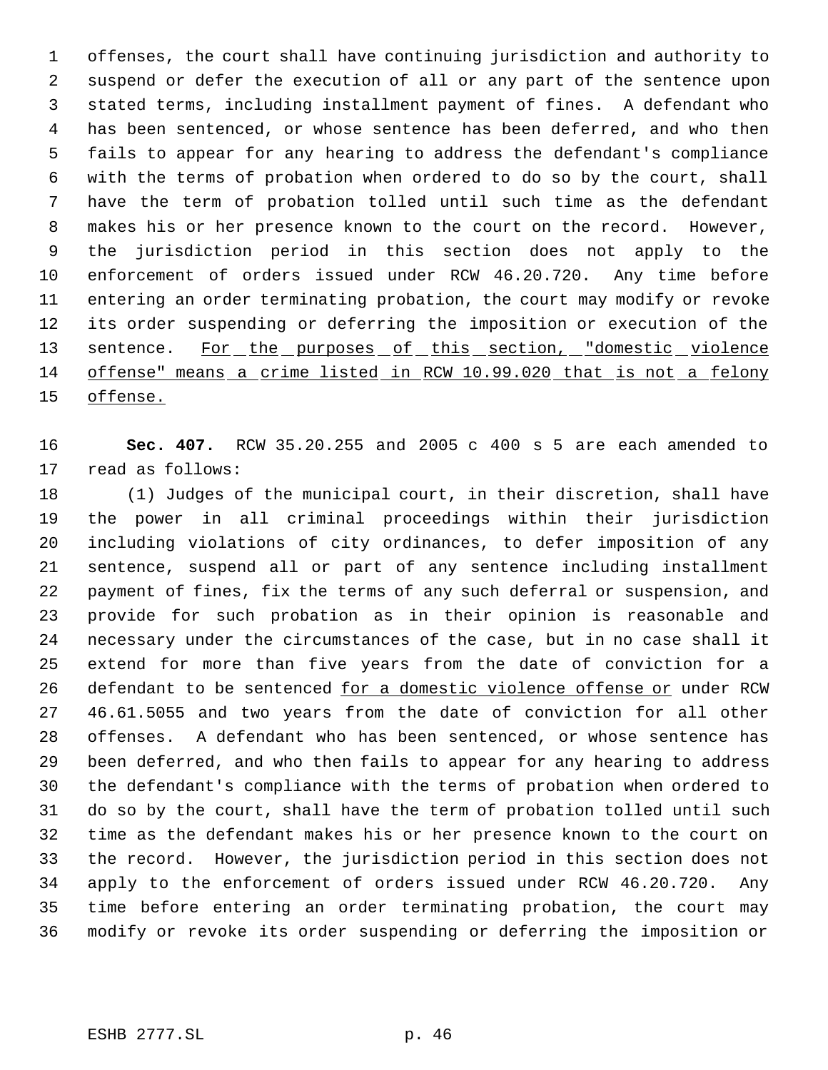offenses, the court shall have continuing jurisdiction and authority to suspend or defer the execution of all or any part of the sentence upon stated terms, including installment payment of fines. A defendant who has been sentenced, or whose sentence has been deferred, and who then fails to appear for any hearing to address the defendant's compliance with the terms of probation when ordered to do so by the court, shall have the term of probation tolled until such time as the defendant makes his or her presence known to the court on the record. However, the jurisdiction period in this section does not apply to the enforcement of orders issued under RCW 46.20.720. Any time before entering an order terminating probation, the court may modify or revoke its order suspending or deferring the imposition or execution of the 13 sentence. For the purposes of this section, "domestic violence offense" means a crime listed in RCW 10.99.020 that is not a felony 15 offense.

 **Sec. 407.** RCW 35.20.255 and 2005 c 400 s 5 are each amended to read as follows:

 (1) Judges of the municipal court, in their discretion, shall have the power in all criminal proceedings within their jurisdiction including violations of city ordinances, to defer imposition of any sentence, suspend all or part of any sentence including installment payment of fines, fix the terms of any such deferral or suspension, and provide for such probation as in their opinion is reasonable and necessary under the circumstances of the case, but in no case shall it extend for more than five years from the date of conviction for a 26 defendant to be sentenced for a domestic violence offense or under RCW 46.61.5055 and two years from the date of conviction for all other offenses. A defendant who has been sentenced, or whose sentence has been deferred, and who then fails to appear for any hearing to address the defendant's compliance with the terms of probation when ordered to do so by the court, shall have the term of probation tolled until such time as the defendant makes his or her presence known to the court on the record. However, the jurisdiction period in this section does not apply to the enforcement of orders issued under RCW 46.20.720. Any time before entering an order terminating probation, the court may modify or revoke its order suspending or deferring the imposition or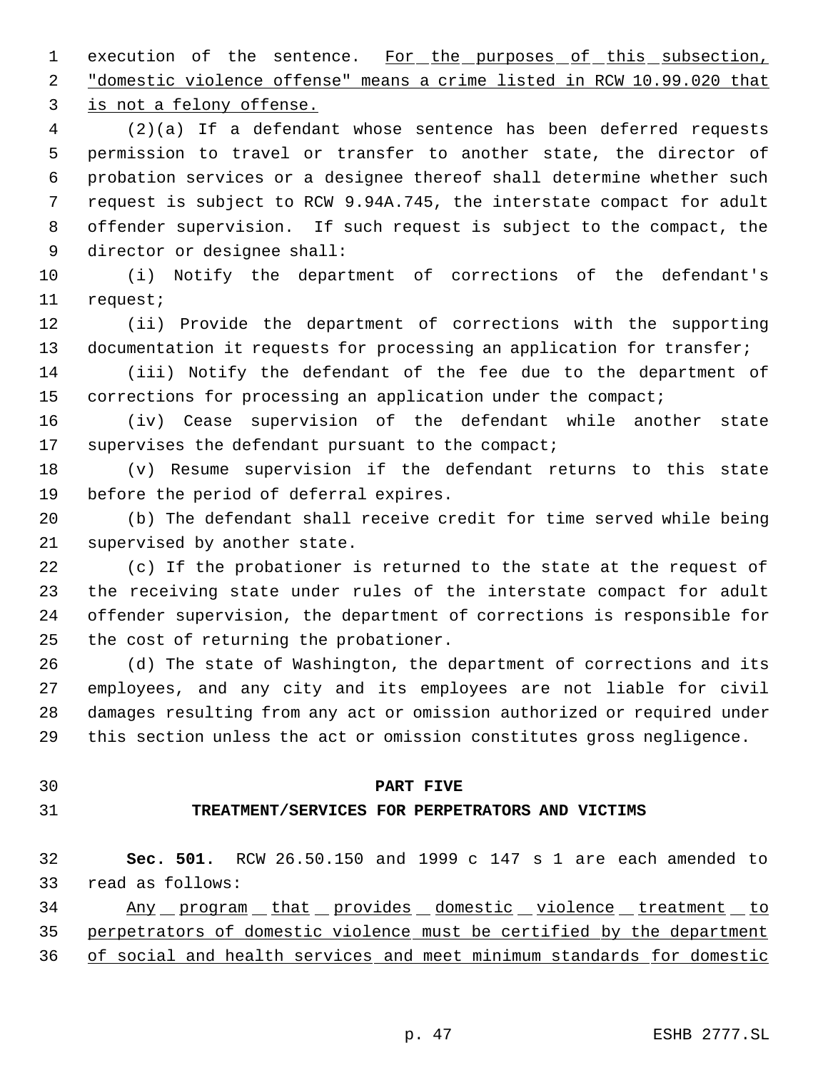1 execution of the sentence. For the purposes of this subsection, "domestic violence offense" means a crime listed in RCW 10.99.020 that is not a felony offense.

 (2)(a) If a defendant whose sentence has been deferred requests permission to travel or transfer to another state, the director of probation services or a designee thereof shall determine whether such request is subject to RCW 9.94A.745, the interstate compact for adult offender supervision. If such request is subject to the compact, the director or designee shall:

 (i) Notify the department of corrections of the defendant's request;

 (ii) Provide the department of corrections with the supporting 13 documentation it requests for processing an application for transfer;

 (iii) Notify the defendant of the fee due to the department of 15 corrections for processing an application under the compact;

 (iv) Cease supervision of the defendant while another state supervises the defendant pursuant to the compact;

 (v) Resume supervision if the defendant returns to this state before the period of deferral expires.

 (b) The defendant shall receive credit for time served while being supervised by another state.

 (c) If the probationer is returned to the state at the request of the receiving state under rules of the interstate compact for adult offender supervision, the department of corrections is responsible for the cost of returning the probationer.

 (d) The state of Washington, the department of corrections and its employees, and any city and its employees are not liable for civil damages resulting from any act or omission authorized or required under this section unless the act or omission constitutes gross negligence.

# **PART FIVE**

# **TREATMENT/SERVICES FOR PERPETRATORS AND VICTIMS**

 **Sec. 501.** RCW 26.50.150 and 1999 c 147 s 1 are each amended to read as follows:

 Any program that provides domestic violence treatment to perpetrators of domestic violence must be certified by the department of social and health services and meet minimum standards for domestic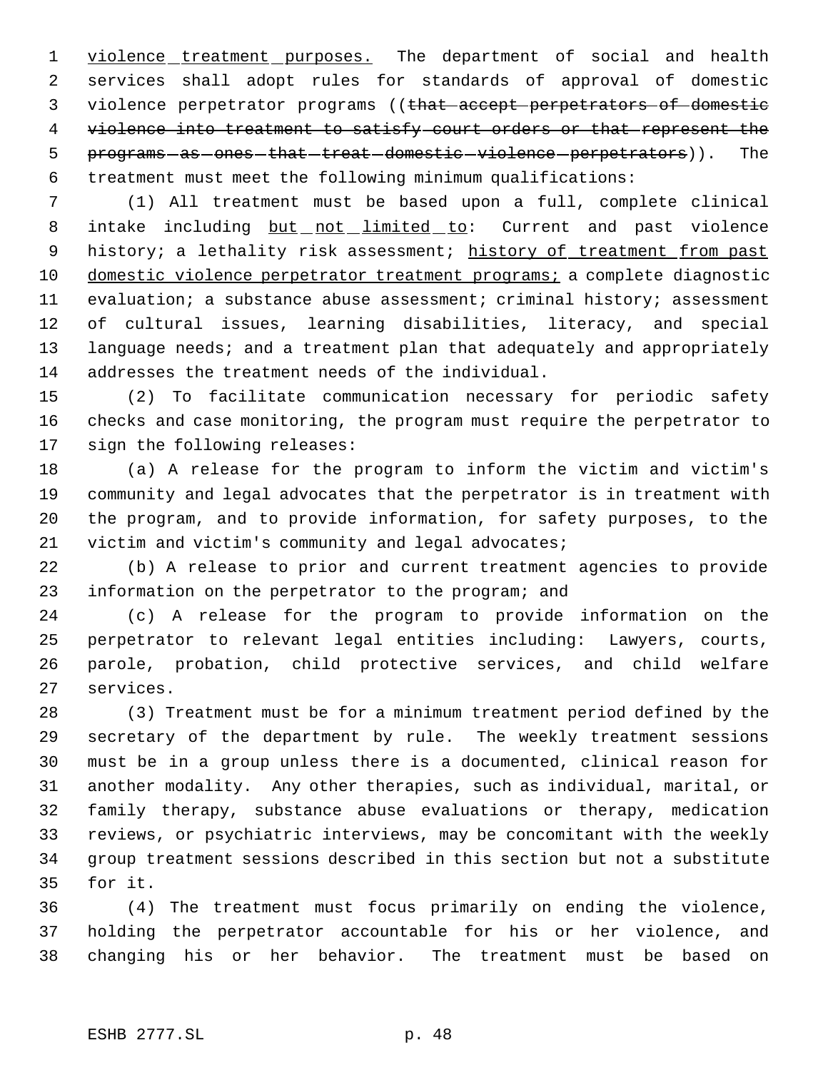1 violence treatment purposes. The department of social and health services shall adopt rules for standards of approval of domestic 3 violence perpetrator programs ((that accept perpetrators of domestic violence into treatment to satisfy court orders or that represent the 5 programs as ones that treat domestic violence perpetrators)). The treatment must meet the following minimum qualifications:

 (1) All treatment must be based upon a full, complete clinical 8 intake including but not limited to: Current and past violence 9 history; a lethality risk assessment; history of treatment from past 10 domestic violence perpetrator treatment programs; a complete diagnostic evaluation; a substance abuse assessment; criminal history; assessment of cultural issues, learning disabilities, literacy, and special 13 language needs; and a treatment plan that adequately and appropriately addresses the treatment needs of the individual.

 (2) To facilitate communication necessary for periodic safety checks and case monitoring, the program must require the perpetrator to sign the following releases:

 (a) A release for the program to inform the victim and victim's community and legal advocates that the perpetrator is in treatment with the program, and to provide information, for safety purposes, to the victim and victim's community and legal advocates;

 (b) A release to prior and current treatment agencies to provide information on the perpetrator to the program; and

 (c) A release for the program to provide information on the perpetrator to relevant legal entities including: Lawyers, courts, parole, probation, child protective services, and child welfare services.

 (3) Treatment must be for a minimum treatment period defined by the secretary of the department by rule. The weekly treatment sessions must be in a group unless there is a documented, clinical reason for another modality. Any other therapies, such as individual, marital, or family therapy, substance abuse evaluations or therapy, medication reviews, or psychiatric interviews, may be concomitant with the weekly group treatment sessions described in this section but not a substitute for it.

 (4) The treatment must focus primarily on ending the violence, holding the perpetrator accountable for his or her violence, and changing his or her behavior. The treatment must be based on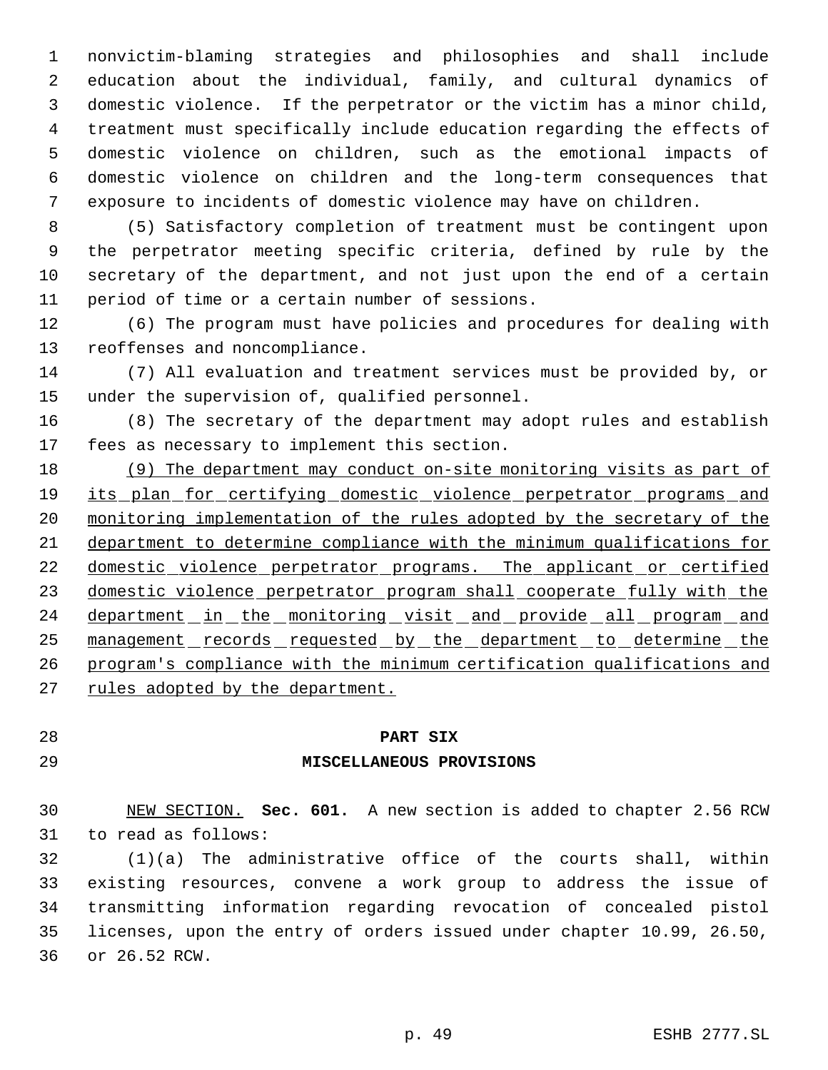nonvictim-blaming strategies and philosophies and shall include education about the individual, family, and cultural dynamics of domestic violence. If the perpetrator or the victim has a minor child, treatment must specifically include education regarding the effects of domestic violence on children, such as the emotional impacts of domestic violence on children and the long-term consequences that exposure to incidents of domestic violence may have on children.

 (5) Satisfactory completion of treatment must be contingent upon the perpetrator meeting specific criteria, defined by rule by the secretary of the department, and not just upon the end of a certain period of time or a certain number of sessions.

 (6) The program must have policies and procedures for dealing with reoffenses and noncompliance.

 (7) All evaluation and treatment services must be provided by, or under the supervision of, qualified personnel.

 (8) The secretary of the department may adopt rules and establish fees as necessary to implement this section.

 (9) The department may conduct on-site monitoring visits as part of 19 its plan for certifying domestic violence perpetrator programs and monitoring implementation of the rules adopted by the secretary of the department to determine compliance with the minimum qualifications for 22 domestic violence perpetrator programs. The applicant or certified domestic violence perpetrator program shall cooperate fully with the 24 department in the monitoring visit and provide all program and 25 management records requested by the department to determine the program's compliance with the minimum certification qualifications and rules adopted by the department.

## **PART SIX**

# **MISCELLANEOUS PROVISIONS**

 NEW SECTION. **Sec. 601.** A new section is added to chapter 2.56 RCW to read as follows:

 (1)(a) The administrative office of the courts shall, within existing resources, convene a work group to address the issue of transmitting information regarding revocation of concealed pistol licenses, upon the entry of orders issued under chapter 10.99, 26.50, or 26.52 RCW.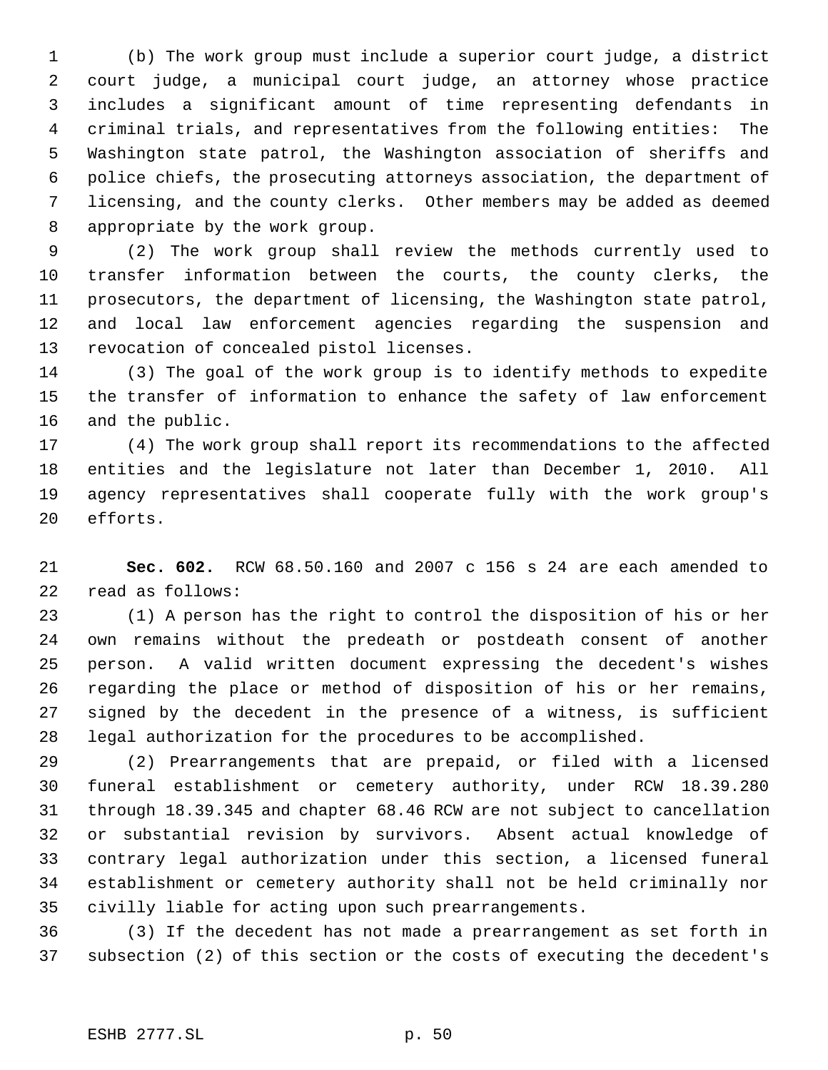(b) The work group must include a superior court judge, a district court judge, a municipal court judge, an attorney whose practice includes a significant amount of time representing defendants in criminal trials, and representatives from the following entities: The Washington state patrol, the Washington association of sheriffs and police chiefs, the prosecuting attorneys association, the department of licensing, and the county clerks. Other members may be added as deemed appropriate by the work group.

 (2) The work group shall review the methods currently used to transfer information between the courts, the county clerks, the prosecutors, the department of licensing, the Washington state patrol, and local law enforcement agencies regarding the suspension and revocation of concealed pistol licenses.

 (3) The goal of the work group is to identify methods to expedite the transfer of information to enhance the safety of law enforcement and the public.

 (4) The work group shall report its recommendations to the affected entities and the legislature not later than December 1, 2010. All agency representatives shall cooperate fully with the work group's efforts.

 **Sec. 602.** RCW 68.50.160 and 2007 c 156 s 24 are each amended to read as follows:

 (1) A person has the right to control the disposition of his or her own remains without the predeath or postdeath consent of another person. A valid written document expressing the decedent's wishes regarding the place or method of disposition of his or her remains, signed by the decedent in the presence of a witness, is sufficient legal authorization for the procedures to be accomplished.

 (2) Prearrangements that are prepaid, or filed with a licensed funeral establishment or cemetery authority, under RCW 18.39.280 through 18.39.345 and chapter 68.46 RCW are not subject to cancellation or substantial revision by survivors. Absent actual knowledge of contrary legal authorization under this section, a licensed funeral establishment or cemetery authority shall not be held criminally nor civilly liable for acting upon such prearrangements.

 (3) If the decedent has not made a prearrangement as set forth in subsection (2) of this section or the costs of executing the decedent's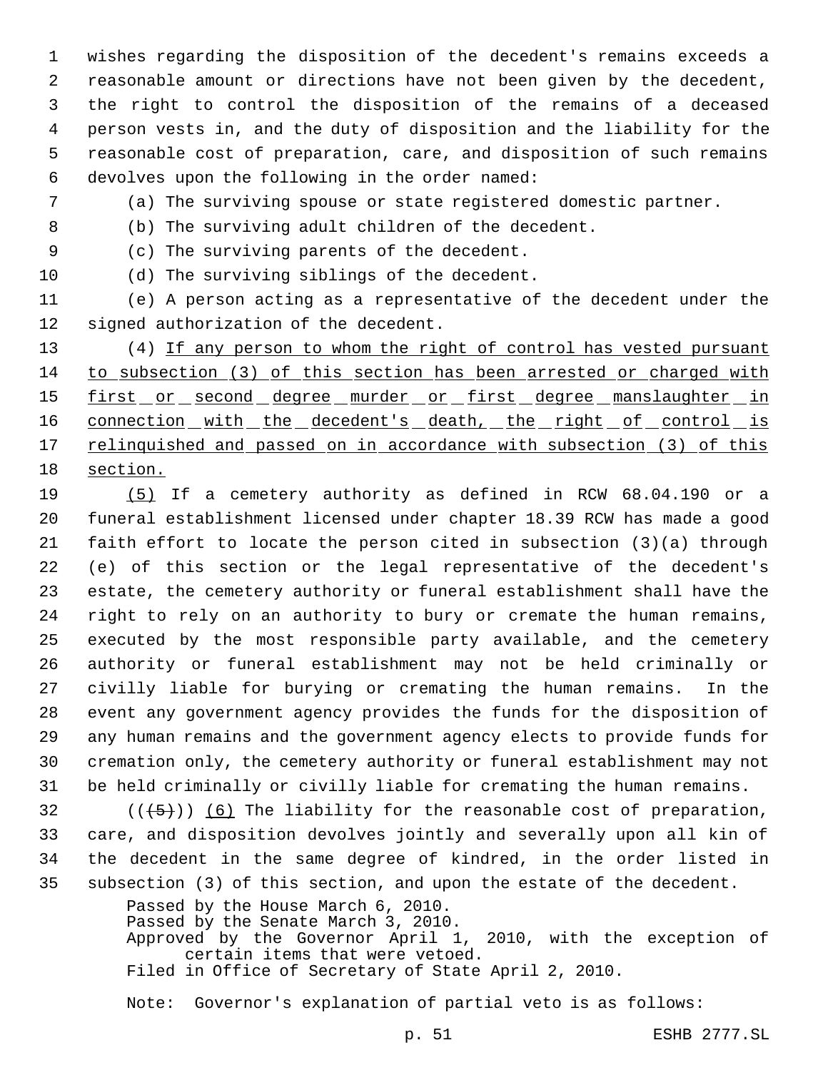wishes regarding the disposition of the decedent's remains exceeds a reasonable amount or directions have not been given by the decedent, the right to control the disposition of the remains of a deceased person vests in, and the duty of disposition and the liability for the reasonable cost of preparation, care, and disposition of such remains devolves upon the following in the order named:

(a) The surviving spouse or state registered domestic partner.

(b) The surviving adult children of the decedent.

(c) The surviving parents of the decedent.

(d) The surviving siblings of the decedent.

 (e) A person acting as a representative of the decedent under the signed authorization of the decedent.

13 (4) If any person to whom the right of control has vested pursuant to subsection (3) of this section has been arrested or charged with 15 first or second degree murder or first degree manslaughter in 16 connection with the decedent's death, the right of control is 17 relinquished and passed on in accordance with subsection (3) of this section.

 (5) If a cemetery authority as defined in RCW 68.04.190 or a funeral establishment licensed under chapter 18.39 RCW has made a good faith effort to locate the person cited in subsection (3)(a) through (e) of this section or the legal representative of the decedent's estate, the cemetery authority or funeral establishment shall have the right to rely on an authority to bury or cremate the human remains, executed by the most responsible party available, and the cemetery authority or funeral establishment may not be held criminally or civilly liable for burying or cremating the human remains. In the event any government agency provides the funds for the disposition of any human remains and the government agency elects to provide funds for cremation only, the cemetery authority or funeral establishment may not be held criminally or civilly liable for cremating the human remains.

 $((\langle 5 \rangle)(6)$  The liability for the reasonable cost of preparation, care, and disposition devolves jointly and severally upon all kin of the decedent in the same degree of kindred, in the order listed in subsection (3) of this section, and upon the estate of the decedent.

> Passed by the House March 6, 2010. Passed by the Senate March 3, 2010. Approved by the Governor April 1, 2010, with the exception of certain items that were vetoed. Filed in Office of Secretary of State April 2, 2010.

Note: Governor's explanation of partial veto is as follows: